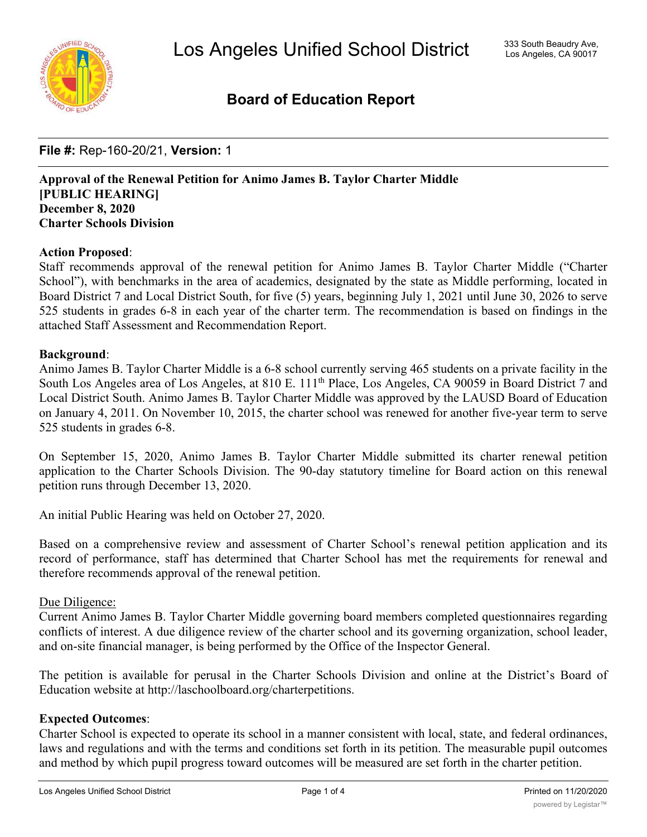

### **Board of Education Report**

**File #:** Rep-160-20/21, **Version:** 1

**Approval of the Renewal Petition for Animo James B. Taylor Charter Middle [PUBLIC HEARING] December 8, 2020 Charter Schools Division**

#### **Action Proposed**:

Staff recommends approval of the renewal petition for Animo James B. Taylor Charter Middle ("Charter School"), with benchmarks in the area of academics, designated by the state as Middle performing, located in Board District 7 and Local District South, for five (5) years, beginning July 1, 2021 until June 30, 2026 to serve 525 students in grades 6-8 in each year of the charter term. The recommendation is based on findings in the attached Staff Assessment and Recommendation Report.

#### **Background**:

Animo James B. Taylor Charter Middle is a 6-8 school currently serving 465 students on a private facility in the South Los Angeles area of Los Angeles, at 810 E. 111<sup>th</sup> Place, Los Angeles, CA 90059 in Board District 7 and Local District South. Animo James B. Taylor Charter Middle was approved by the LAUSD Board of Education on January 4, 2011. On November 10, 2015, the charter school was renewed for another five-year term to serve 525 students in grades 6-8.

On September 15, 2020, Animo James B. Taylor Charter Middle submitted its charter renewal petition application to the Charter Schools Division. The 90-day statutory timeline for Board action on this renewal petition runs through December 13, 2020.

An initial Public Hearing was held on October 27, 2020.

Based on a comprehensive review and assessment of Charter School's renewal petition application and its record of performance, staff has determined that Charter School has met the requirements for renewal and therefore recommends approval of the renewal petition.

#### Due Diligence:

Current Animo James B. Taylor Charter Middle governing board members completed questionnaires regarding conflicts of interest. A due diligence review of the charter school and its governing organization, school leader, and on-site financial manager, is being performed by the Office of the Inspector General.

The petition is available for perusal in the Charter Schools Division and online at the District's Board of Education website at http://laschoolboard.org/charterpetitions.

#### **Expected Outcomes**:

Charter School is expected to operate its school in a manner consistent with local, state, and federal ordinances, laws and regulations and with the terms and conditions set forth in its petition. The measurable pupil outcomes and method by which pupil progress toward outcomes will be measured are set forth in the charter petition.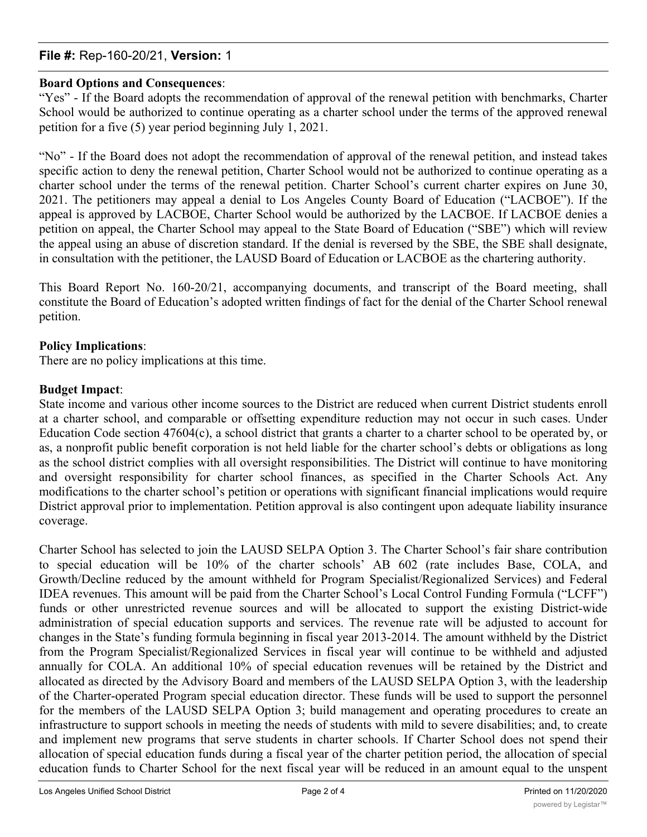### **File #:** Rep-160-20/21, **Version:** 1

### **Board Options and Consequences**:

"Yes" - If the Board adopts the recommendation of approval of the renewal petition with benchmarks, Charter School would be authorized to continue operating as a charter school under the terms of the approved renewal petition for a five (5) year period beginning July 1, 2021.

"No" - If the Board does not adopt the recommendation of approval of the renewal petition, and instead takes specific action to deny the renewal petition, Charter School would not be authorized to continue operating as a charter school under the terms of the renewal petition. Charter School's current charter expires on June 30, 2021. The petitioners may appeal a denial to Los Angeles County Board of Education ("LACBOE"). If the appeal is approved by LACBOE, Charter School would be authorized by the LACBOE. If LACBOE denies a petition on appeal, the Charter School may appeal to the State Board of Education ("SBE") which will review the appeal using an abuse of discretion standard. If the denial is reversed by the SBE, the SBE shall designate, in consultation with the petitioner, the LAUSD Board of Education or LACBOE as the chartering authority.

This Board Report No. 160-20/21, accompanying documents, and transcript of the Board meeting, shall constitute the Board of Education's adopted written findings of fact for the denial of the Charter School renewal petition.

### **Policy Implications**:

There are no policy implications at this time.

### **Budget Impact**:

State income and various other income sources to the District are reduced when current District students enroll at a charter school, and comparable or offsetting expenditure reduction may not occur in such cases. Under Education Code section 47604(c), a school district that grants a charter to a charter school to be operated by, or as, a nonprofit public benefit corporation is not held liable for the charter school's debts or obligations as long as the school district complies with all oversight responsibilities. The District will continue to have monitoring and oversight responsibility for charter school finances, as specified in the Charter Schools Act. Any modifications to the charter school's petition or operations with significant financial implications would require District approval prior to implementation. Petition approval is also contingent upon adequate liability insurance coverage.

Charter School has selected to join the LAUSD SELPA Option 3. The Charter School's fair share contribution to special education will be 10% of the charter schools' AB 602 (rate includes Base, COLA, and Growth/Decline reduced by the amount withheld for Program Specialist/Regionalized Services) and Federal IDEA revenues. This amount will be paid from the Charter School's Local Control Funding Formula ("LCFF") funds or other unrestricted revenue sources and will be allocated to support the existing District-wide administration of special education supports and services. The revenue rate will be adjusted to account for changes in the State's funding formula beginning in fiscal year 2013-2014. The amount withheld by the District from the Program Specialist/Regionalized Services in fiscal year will continue to be withheld and adjusted annually for COLA. An additional 10% of special education revenues will be retained by the District and allocated as directed by the Advisory Board and members of the LAUSD SELPA Option 3, with the leadership of the Charter-operated Program special education director. These funds will be used to support the personnel for the members of the LAUSD SELPA Option 3; build management and operating procedures to create an infrastructure to support schools in meeting the needs of students with mild to severe disabilities; and, to create and implement new programs that serve students in charter schools. If Charter School does not spend their allocation of special education funds during a fiscal year of the charter petition period, the allocation of special education funds to Charter School for the next fiscal year will be reduced in an amount equal to the unspent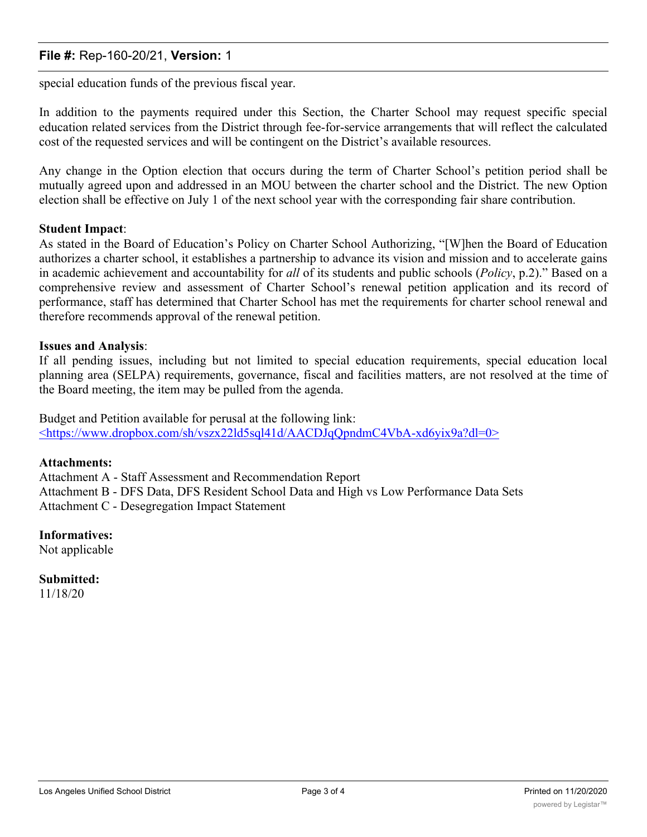### **File #:** Rep-160-20/21, **Version:** 1

special education funds of the previous fiscal year.

In addition to the payments required under this Section, the Charter School may request specific special education related services from the District through fee-for-service arrangements that will reflect the calculated cost of the requested services and will be contingent on the District's available resources.

Any change in the Option election that occurs during the term of Charter School's petition period shall be mutually agreed upon and addressed in an MOU between the charter school and the District. The new Option election shall be effective on July 1 of the next school year with the corresponding fair share contribution.

#### **Student Impact**:

As stated in the Board of Education's Policy on Charter School Authorizing, "[W]hen the Board of Education authorizes a charter school, it establishes a partnership to advance its vision and mission and to accelerate gains in academic achievement and accountability for *all* of its students and public schools (*Policy*, p.2)." Based on a comprehensive review and assessment of Charter School's renewal petition application and its record of performance, staff has determined that Charter School has met the requirements for charter school renewal and therefore recommends approval of the renewal petition.

#### **Issues and Analysis**:

If all pending issues, including but not limited to special education requirements, special education local planning area (SELPA) requirements, governance, fiscal and facilities matters, are not resolved at the time of the Board meeting, the item may be pulled from the agenda.

Budget and Petition available for perusal at the following link: <https://www.dropbox.com/sh/vszx22ld5sql41d/AACDJqQpndmC4VbA-xd6yix9a?dl=0>

#### **Attachments:**

Attachment A - Staff Assessment and Recommendation Report Attachment B - DFS Data, DFS Resident School Data and High vs Low Performance Data Sets Attachment C - Desegregation Impact Statement

### **Informatives:**

Not applicable

**Submitted:** 11/18/20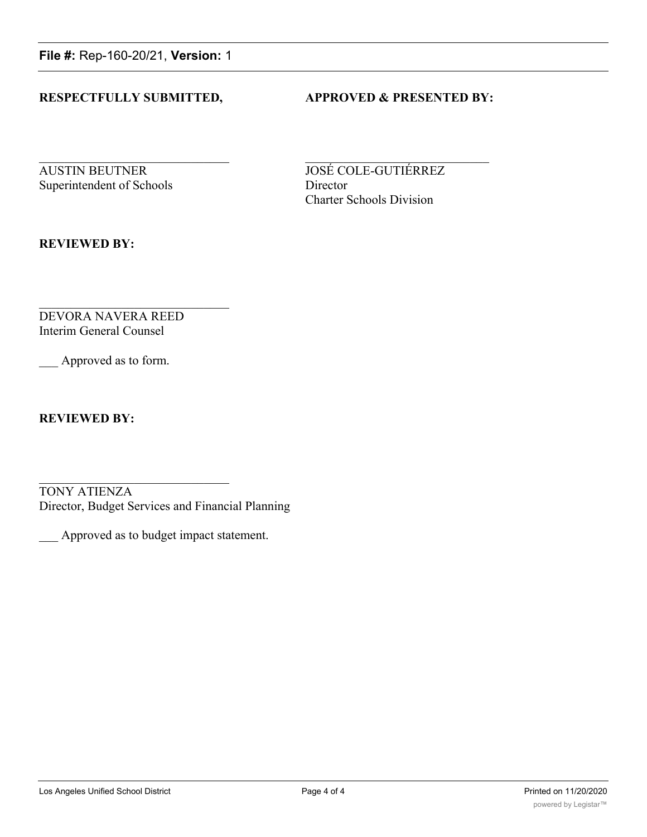**File #:** Rep-160-20/21, **Version:** 1

### **RESPECTFULLY SUBMITTED, APPROVED & PRESENTED BY:**

**AUSTIN BEUTNER JOSÉ COLE-GUTIÉRREZ** Superintendent of Schools Director

Charter Schools Division

**REVIEWED BY:**

DEVORA NAVERA REED Interim General Counsel

Approved as to form.

**REVIEWED BY:**

TONY ATIENZA Director, Budget Services and Financial Planning

\_\_\_ Approved as to budget impact statement.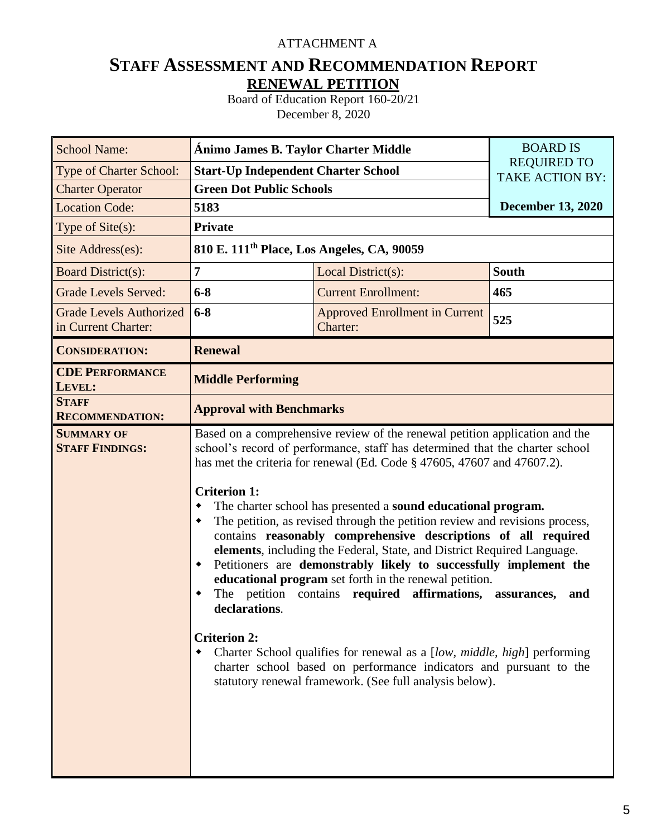### ATTACHMENT A

### **STAFF ASSESSMENT AND RECOMMENDATION REPORT RENEWAL PETITION**

Board of Education Report 160-20/21 December 8, 2020

| <b>School Name:</b>                                   | Ánimo James B. Taylor Charter Middle                                       | <b>BOARD IS</b>                                                                                                                                                                                                                                                                                                                                                                                                                                                                                                                                                                                                                                                                                                                                                                                                                                                                                                                             |                                              |  |  |  |  |  |
|-------------------------------------------------------|----------------------------------------------------------------------------|---------------------------------------------------------------------------------------------------------------------------------------------------------------------------------------------------------------------------------------------------------------------------------------------------------------------------------------------------------------------------------------------------------------------------------------------------------------------------------------------------------------------------------------------------------------------------------------------------------------------------------------------------------------------------------------------------------------------------------------------------------------------------------------------------------------------------------------------------------------------------------------------------------------------------------------------|----------------------------------------------|--|--|--|--|--|
| Type of Charter School:                               | <b>Start-Up Independent Charter School</b>                                 |                                                                                                                                                                                                                                                                                                                                                                                                                                                                                                                                                                                                                                                                                                                                                                                                                                                                                                                                             | <b>REQUIRED TO</b><br><b>TAKE ACTION BY:</b> |  |  |  |  |  |
| <b>Charter Operator</b>                               |                                                                            | <b>Green Dot Public Schools</b>                                                                                                                                                                                                                                                                                                                                                                                                                                                                                                                                                                                                                                                                                                                                                                                                                                                                                                             |                                              |  |  |  |  |  |
| <b>Location Code:</b>                                 | 5183                                                                       |                                                                                                                                                                                                                                                                                                                                                                                                                                                                                                                                                                                                                                                                                                                                                                                                                                                                                                                                             |                                              |  |  |  |  |  |
| Type of Site(s):                                      | <b>Private</b>                                                             |                                                                                                                                                                                                                                                                                                                                                                                                                                                                                                                                                                                                                                                                                                                                                                                                                                                                                                                                             |                                              |  |  |  |  |  |
| Site Address(es):                                     | 810 E. 111 <sup>th</sup> Place, Los Angeles, CA, 90059                     |                                                                                                                                                                                                                                                                                                                                                                                                                                                                                                                                                                                                                                                                                                                                                                                                                                                                                                                                             |                                              |  |  |  |  |  |
| <b>Board District(s):</b>                             | 7                                                                          | Local District(s):                                                                                                                                                                                                                                                                                                                                                                                                                                                                                                                                                                                                                                                                                                                                                                                                                                                                                                                          | <b>South</b>                                 |  |  |  |  |  |
| <b>Grade Levels Served:</b>                           | $6 - 8$                                                                    | <b>Current Enrollment:</b>                                                                                                                                                                                                                                                                                                                                                                                                                                                                                                                                                                                                                                                                                                                                                                                                                                                                                                                  | 465                                          |  |  |  |  |  |
| <b>Grade Levels Authorized</b><br>in Current Charter: | $6 - 8$                                                                    | <b>Approved Enrollment in Current</b><br>Charter:                                                                                                                                                                                                                                                                                                                                                                                                                                                                                                                                                                                                                                                                                                                                                                                                                                                                                           | 525                                          |  |  |  |  |  |
| <b>CONSIDERATION:</b>                                 | <b>Renewal</b>                                                             |                                                                                                                                                                                                                                                                                                                                                                                                                                                                                                                                                                                                                                                                                                                                                                                                                                                                                                                                             |                                              |  |  |  |  |  |
| <b>CDE PERFORMANCE</b><br>LEVEL:                      | <b>Middle Performing</b>                                                   |                                                                                                                                                                                                                                                                                                                                                                                                                                                                                                                                                                                                                                                                                                                                                                                                                                                                                                                                             |                                              |  |  |  |  |  |
| <b>STAFF</b><br><b>RECOMMENDATION:</b>                | <b>Approval with Benchmarks</b>                                            |                                                                                                                                                                                                                                                                                                                                                                                                                                                                                                                                                                                                                                                                                                                                                                                                                                                                                                                                             |                                              |  |  |  |  |  |
| <b>SUMMARY OF</b><br><b>STAFF FINDINGS:</b>           | <b>Criterion 1:</b><br>٠<br>٠<br>٠<br>declarations.<br><b>Criterion 2:</b> | Based on a comprehensive review of the renewal petition application and the<br>school's record of performance, staff has determined that the charter school<br>has met the criteria for renewal (Ed. Code § 47605, 47607 and 47607.2).<br>The charter school has presented a sound educational program.<br>The petition, as revised through the petition review and revisions process,<br>contains reasonably comprehensive descriptions of all required<br>elements, including the Federal, State, and District Required Language.<br>Petitioners are demonstrably likely to successfully implement the<br>educational program set forth in the renewal petition.<br>The petition contains required affirmations, assurances,<br>Charter School qualifies for renewal as a [low, middle, high] performing<br>charter school based on performance indicators and pursuant to the<br>statutory renewal framework. (See full analysis below). | and                                          |  |  |  |  |  |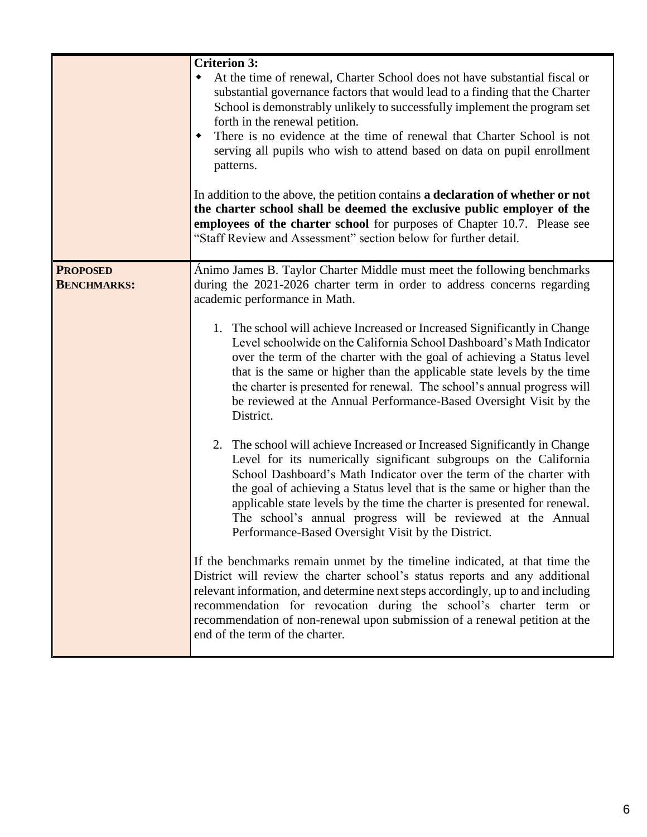|                                       | <b>Criterion 3:</b><br>At the time of renewal, Charter School does not have substantial fiscal or<br>$\bullet$<br>substantial governance factors that would lead to a finding that the Charter<br>School is demonstrably unlikely to successfully implement the program set<br>forth in the renewal petition.<br>There is no evidence at the time of renewal that Charter School is not<br>٠<br>serving all pupils who wish to attend based on data on pupil enrollment<br>patterns.<br>In addition to the above, the petition contains a declaration of whether or not<br>the charter school shall be deemed the exclusive public employer of the<br>employees of the charter school for purposes of Chapter 10.7. Please see<br>"Staff Review and Assessment" section below for further detail. |
|---------------------------------------|---------------------------------------------------------------------------------------------------------------------------------------------------------------------------------------------------------------------------------------------------------------------------------------------------------------------------------------------------------------------------------------------------------------------------------------------------------------------------------------------------------------------------------------------------------------------------------------------------------------------------------------------------------------------------------------------------------------------------------------------------------------------------------------------------|
| <b>PROPOSED</b><br><b>BENCHMARKS:</b> | Ánimo James B. Taylor Charter Middle must meet the following benchmarks<br>during the 2021-2026 charter term in order to address concerns regarding<br>academic performance in Math.<br>1. The school will achieve Increased or Increased Significantly in Change<br>Level schoolwide on the California School Dashboard's Math Indicator<br>over the term of the charter with the goal of achieving a Status level<br>that is the same or higher than the applicable state levels by the time<br>the charter is presented for renewal. The school's annual progress will<br>be reviewed at the Annual Performance-Based Oversight Visit by the<br>District.                                                                                                                                      |
|                                       | 2. The school will achieve Increased or Increased Significantly in Change<br>Level for its numerically significant subgroups on the California<br>School Dashboard's Math Indicator over the term of the charter with<br>the goal of achieving a Status level that is the same or higher than the<br>applicable state levels by the time the charter is presented for renewal.<br>The school's annual progress will be reviewed at the Annual<br>Performance-Based Oversight Visit by the District.                                                                                                                                                                                                                                                                                               |
|                                       | If the benchmarks remain unmet by the timeline indicated, at that time the<br>District will review the charter school's status reports and any additional<br>relevant information, and determine next steps accordingly, up to and including<br>recommendation for revocation during the school's charter term or<br>recommendation of non-renewal upon submission of a renewal petition at the<br>end of the term of the charter.                                                                                                                                                                                                                                                                                                                                                                |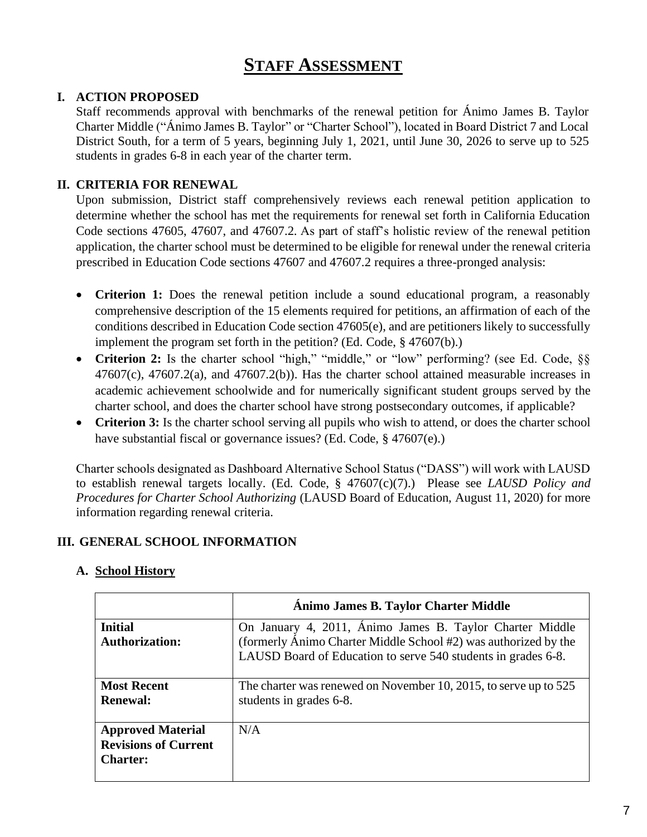### **STAFF ASSESSMENT**

### **I. ACTION PROPOSED**

Staff recommends approval with benchmarks of the renewal petition for Ánimo James B. Taylor Charter Middle ("Ánimo James B. Taylor" or "Charter School"), located in Board District 7 and Local District South, for a term of 5 years, beginning July 1, 2021, until June 30, 2026 to serve up to 525 students in grades 6-8 in each year of the charter term.

### **II. CRITERIA FOR RENEWAL**

Upon submission, District staff comprehensively reviews each renewal petition application to determine whether the school has met the requirements for renewal set forth in California Education Code sections 47605, 47607, and 47607.2. As part of staff's holistic review of the renewal petition application, the charter school must be determined to be eligible for renewal under the renewal criteria prescribed in Education Code sections 47607 and 47607.2 requires a three-pronged analysis:

- **Criterion 1:** Does the renewal petition include a sound educational program, a reasonably comprehensive description of the 15 elements required for petitions, an affirmation of each of the conditions described in Education Code section 47605(e), and are petitioners likely to successfully implement the program set forth in the petition? (Ed. Code, § 47607(b).)
- Criterion 2: Is the charter school "high," "middle," or "low" performing? (see Ed. Code, §§  $47607(c)$ ,  $47607.2(a)$ , and  $47607.2(b)$ ). Has the charter school attained measurable increases in academic achievement schoolwide and for numerically significant student groups served by the charter school, and does the charter school have strong postsecondary outcomes, if applicable?
- **Criterion 3:** Is the charter school serving all pupils who wish to attend, or does the charter school have substantial fiscal or governance issues? (Ed. Code, § 47607(e).)

Charter schools designated as Dashboard Alternative School Status ("DASS") will work with LAUSD to establish renewal targets locally. (Ed. Code, § 47607(c)(7).) Please see *LAUSD Policy and Procedures for Charter School Authorizing* (LAUSD Board of Education, August 11, 2020) for more information regarding renewal criteria.

### **III. GENERAL SCHOOL INFORMATION**

### **A. School History**

|                                                                            | Ánimo James B. Taylor Charter Middle                                                                                                                                                         |
|----------------------------------------------------------------------------|----------------------------------------------------------------------------------------------------------------------------------------------------------------------------------------------|
| <b>Initial</b><br><b>Authorization:</b>                                    | On January 4, 2011, Ánimo James B. Taylor Charter Middle<br>(formerly Animo Charter Middle School #2) was authorized by the<br>LAUSD Board of Education to serve 540 students in grades 6-8. |
| <b>Most Recent</b><br><b>Renewal:</b>                                      | The charter was renewed on November 10, 2015, to serve up to 525<br>students in grades 6-8.                                                                                                  |
| <b>Approved Material</b><br><b>Revisions of Current</b><br><b>Charter:</b> | N/A                                                                                                                                                                                          |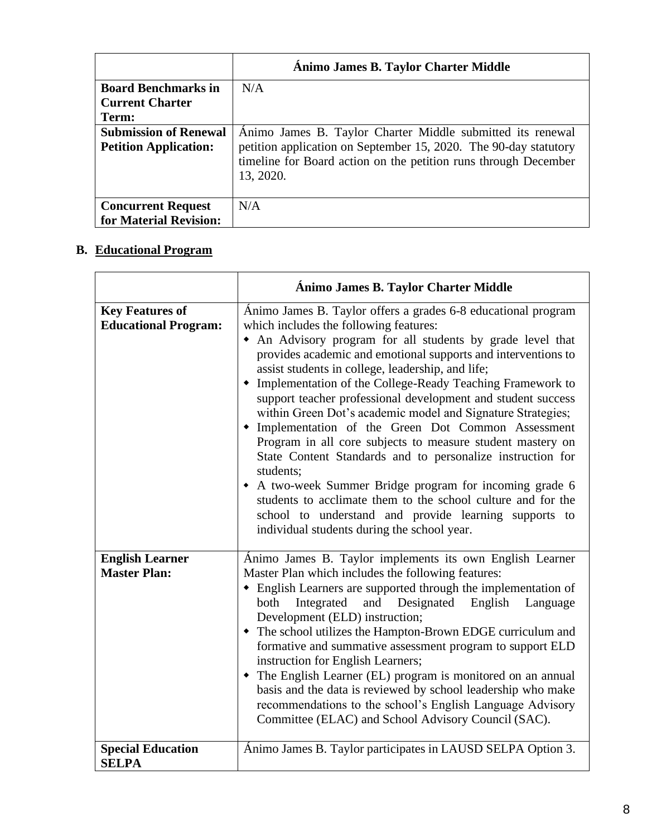|                              | Ánimo James B. Taylor Charter Middle                             |
|------------------------------|------------------------------------------------------------------|
| <b>Board Benchmarks in</b>   | N/A                                                              |
| <b>Current Charter</b>       |                                                                  |
| Term:                        |                                                                  |
| <b>Submission of Renewal</b> | Animo James B. Taylor Charter Middle submitted its renewal       |
| <b>Petition Application:</b> | petition application on September 15, 2020. The 90-day statutory |
|                              | timeline for Board action on the petition runs through December  |
|                              | 13, 2020.                                                        |
|                              |                                                                  |
| <b>Concurrent Request</b>    | N/A                                                              |
| for Material Revision:       |                                                                  |

### **B. Educational Program**

|                                                       | <b>Ánimo James B. Taylor Charter Middle</b>                                                                                                                                                                                                                                                                                                                                                                                                                                                                                                                                                                                                                                                                                                                                                                                                                                                                                  |
|-------------------------------------------------------|------------------------------------------------------------------------------------------------------------------------------------------------------------------------------------------------------------------------------------------------------------------------------------------------------------------------------------------------------------------------------------------------------------------------------------------------------------------------------------------------------------------------------------------------------------------------------------------------------------------------------------------------------------------------------------------------------------------------------------------------------------------------------------------------------------------------------------------------------------------------------------------------------------------------------|
| <b>Key Features of</b><br><b>Educational Program:</b> | Ánimo James B. Taylor offers a grades 6-8 educational program<br>which includes the following features:<br>• An Advisory program for all students by grade level that<br>provides academic and emotional supports and interventions to<br>assist students in college, leadership, and life;<br>• Implementation of the College-Ready Teaching Framework to<br>support teacher professional development and student success<br>within Green Dot's academic model and Signature Strategies;<br>• Implementation of the Green Dot Common Assessment<br>Program in all core subjects to measure student mastery on<br>State Content Standards and to personalize instruction for<br>students;<br>• A two-week Summer Bridge program for incoming grade 6<br>students to acclimate them to the school culture and for the<br>school to understand and provide learning supports to<br>individual students during the school year. |
| <b>English Learner</b><br><b>Master Plan:</b>         | Ánimo James B. Taylor implements its own English Learner<br>Master Plan which includes the following features:<br>• English Learners are supported through the implementation of<br>Integrated<br>Designated English<br>both<br>and<br>Language<br>Development (ELD) instruction;<br>• The school utilizes the Hampton-Brown EDGE curriculum and<br>formative and summative assessment program to support ELD<br>instruction for English Learners;<br>• The English Learner (EL) program is monitored on an annual<br>basis and the data is reviewed by school leadership who make<br>recommendations to the school's English Language Advisory<br>Committee (ELAC) and School Advisory Council (SAC).                                                                                                                                                                                                                       |
| <b>Special Education</b><br><b>SELPA</b>              | Ánimo James B. Taylor participates in LAUSD SELPA Option 3.                                                                                                                                                                                                                                                                                                                                                                                                                                                                                                                                                                                                                                                                                                                                                                                                                                                                  |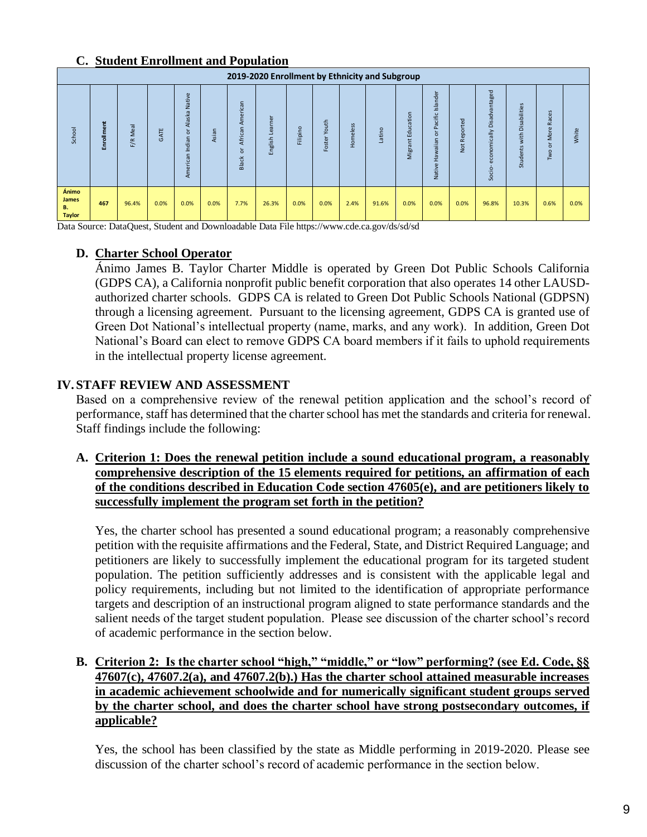### **C. Student Enrollment and Population**

|                                              | 2019-2020 Enrollment by Ethnicity and Subgroup |             |      |                                                  |       |                                          |                       |                    |                     |          |        |                                         |                                                                                                                                        |                                                    |                                                                                                                                       |                                                                          |                                                                           |       |
|----------------------------------------------|------------------------------------------------|-------------|------|--------------------------------------------------|-------|------------------------------------------|-----------------------|--------------------|---------------------|----------|--------|-----------------------------------------|----------------------------------------------------------------------------------------------------------------------------------------|----------------------------------------------------|---------------------------------------------------------------------------------------------------------------------------------------|--------------------------------------------------------------------------|---------------------------------------------------------------------------|-------|
| School                                       | Enrollment                                     | Meal<br>F/R | GATE | Native<br>Alaska<br>ŏ<br>Indian<br>ican<br>Ameri | Asian | American<br>African<br>১<br><b>Black</b> | arner<br>Ö<br>English | $\circ$<br>Filipin | outh<br>÷<br>Foster | Homeless | Latino | ducation<br>ŵ<br>Ë<br>$\sigma$<br>Migr: | 웅<br>$\sigma$<br>ळ<br>$\overline{C}$<br>生<br>$\mathbf{r}$<br>$\circ$<br>ति<br>$-$<br>--<br>$\sigma$<br>E.<br>$\mathbf{d}$<br>ativ<br>ż | ਠ<br>亟<br>∽<br>$\circ$<br>န္<br>$\tilde{r}$<br>Not | ntaged<br>ā<br>ㅎ<br><b>GS</b><br>$\cdot$<br>$\Omega$<br>ally<br><u>ب</u><br>ε<br>$\circ$<br>$\Omega$<br>ō<br>$\overline{a}$<br>Socio- | $\sim$<br>abilitie<br>$\overline{a}$<br>ä<br>운<br>$\mathfrak{a}$<br>Stud | හි<br>Ō<br>$\bar{\sigma}$<br>œ<br>இ<br>$\Omega$<br>≂<br>ŏ<br>$\circ$<br>≧ | White |
| Ánimo<br><b>James</b><br>в.<br><b>Taylor</b> | 467                                            | 96.4%       | 0.0% | 0.0%                                             | 0.0%  | 7.7%                                     | 26.3%                 | 0.0%               | 0.0%                | 2.4%     | 91.6%  | 0.0%                                    | 0.0%                                                                                                                                   | 0.0%                                               | 96.8%                                                                                                                                 | 10.3%                                                                    | 0.6%                                                                      | 0.0%  |

Data Source: DataQuest, Student and Downloadable Data File https://www.cde.ca.gov/ds/sd/sd

### **D. Charter School Operator**

Ánimo James B. Taylor Charter Middle is operated by Green Dot Public Schools California (GDPS CA), a California nonprofit public benefit corporation that also operates 14 other LAUSDauthorized charter schools. GDPS CA is related to Green Dot Public Schools National (GDPSN) through a licensing agreement. Pursuant to the licensing agreement, GDPS CA is granted use of Green Dot National's intellectual property (name, marks, and any work). In addition, Green Dot National's Board can elect to remove GDPS CA board members if it fails to uphold requirements in the intellectual property license agreement.

### **IV. STAFF REVIEW AND ASSESSMENT**

Based on a comprehensive review of the renewal petition application and the school's record of performance, staff has determined that the charter school has met the standards and criteria for renewal. Staff findings include the following:

### **A. Criterion 1: Does the renewal petition include a sound educational program, a reasonably comprehensive description of the 15 elements required for petitions, an affirmation of each of the conditions described in Education Code section 47605(e), and are petitioners likely to successfully implement the program set forth in the petition?**

Yes, the charter school has presented a sound educational program; a reasonably comprehensive petition with the requisite affirmations and the Federal, State, and District Required Language; and petitioners are likely to successfully implement the educational program for its targeted student population. The petition sufficiently addresses and is consistent with the applicable legal and policy requirements, including but not limited to the identification of appropriate performance targets and description of an instructional program aligned to state performance standards and the salient needs of the target student population. Please see discussion of the charter school's record of academic performance in the section below.

### **B. Criterion 2: Is the charter school "high," "middle," or "low" performing? (see Ed. Code, §§ 47607(c), 47607.2(a), and 47607.2(b).) Has the charter school attained measurable increases in academic achievement schoolwide and for numerically significant student groups served by the charter school, and does the charter school have strong postsecondary outcomes, if applicable?**

Yes, the school has been classified by the state as Middle performing in 2019-2020. Please see discussion of the charter school's record of academic performance in the section below.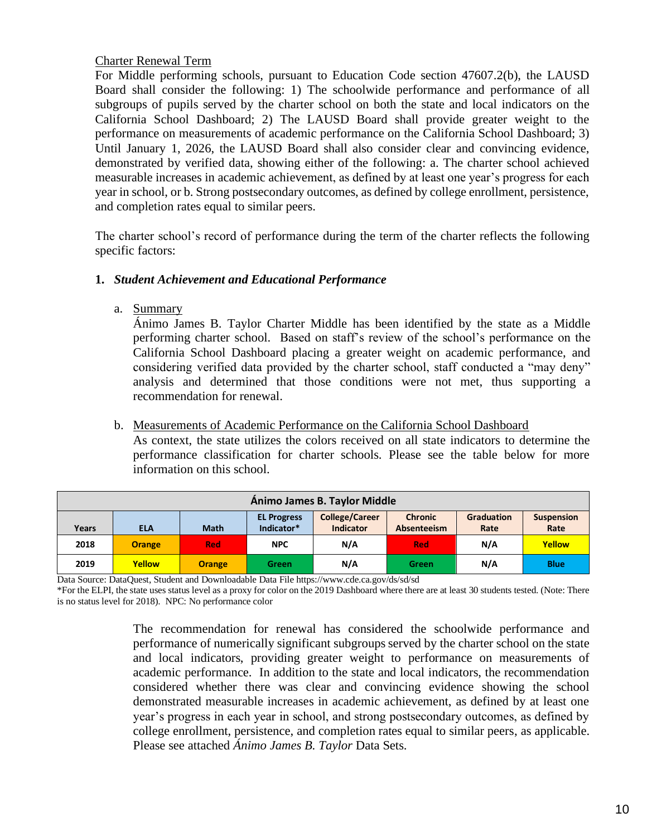### Charter Renewal Term

For Middle performing schools, pursuant to Education Code section 47607.2(b), the LAUSD Board shall consider the following: 1) The schoolwide performance and performance of all subgroups of pupils served by the charter school on both the state and local indicators on the California School Dashboard; 2) The LAUSD Board shall provide greater weight to the performance on measurements of academic performance on the California School Dashboard; 3) Until January 1, 2026, the LAUSD Board shall also consider clear and convincing evidence, demonstrated by verified data, showing either of the following: a. The charter school achieved measurable increases in academic achievement, as defined by at least one year's progress for each year in school, or b. Strong postsecondary outcomes, as defined by college enrollment, persistence, and completion rates equal to similar peers.

The charter school's record of performance during the term of the charter reflects the following specific factors:

### **1.** *Student Achievement and Educational Performance*

a. Summary

Ánimo James B. Taylor Charter Middle has been identified by the state as a Middle performing charter school. Based on staff's review of the school's performance on the California School Dashboard placing a greater weight on academic performance, and considering verified data provided by the charter school, staff conducted a "may deny" analysis and determined that those conditions were not met, thus supporting a recommendation for renewal.

### b. Measurements of Academic Performance on the California School Dashboard

As context, the state utilizes the colors received on all state indicators to determine the performance classification for charter schools. Please see the table below for more information on this school.

|                                                                                                                                                                                                                | Ánimo James B. Taylor Middle |               |            |     |            |     |             |  |  |  |  |  |  |
|----------------------------------------------------------------------------------------------------------------------------------------------------------------------------------------------------------------|------------------------------|---------------|------------|-----|------------|-----|-------------|--|--|--|--|--|--|
| <b>College/Career</b><br><b>Graduation</b><br><b>Chronic</b><br><b>Suspension</b><br><b>EL Progress</b><br>Indicator*<br><b>Indicator</b><br><b>Math</b><br><b>Absenteeism</b><br>Rate<br>Rate<br>Years<br>ELA |                              |               |            |     |            |     |             |  |  |  |  |  |  |
| 2018                                                                                                                                                                                                           | <b>Orange</b>                | <b>Red</b>    | <b>NPC</b> | N/A | <b>Red</b> | N/A | Yellow      |  |  |  |  |  |  |
| 2019                                                                                                                                                                                                           | <b>Yellow</b>                | <b>Orange</b> | Green      | N/A | Green      | N/A | <b>Blue</b> |  |  |  |  |  |  |

Data Source: DataQuest, Student and Downloadable Data File https://www.cde.ca.gov/ds/sd/sd

\*For the ELPI, the state uses status level as a proxy for color on the 2019 Dashboard where there are at least 30 students tested. (Note: There is no status level for 2018). NPC: No performance color

> The recommendation for renewal has considered the schoolwide performance and performance of numerically significant subgroups served by the charter school on the state and local indicators, providing greater weight to performance on measurements of academic performance. In addition to the state and local indicators, the recommendation considered whether there was clear and convincing evidence showing the school demonstrated measurable increases in academic achievement, as defined by at least one year's progress in each year in school, and strong postsecondary outcomes, as defined by college enrollment, persistence, and completion rates equal to similar peers, as applicable. Please see attached *Ánimo James B. Taylor* Data Sets.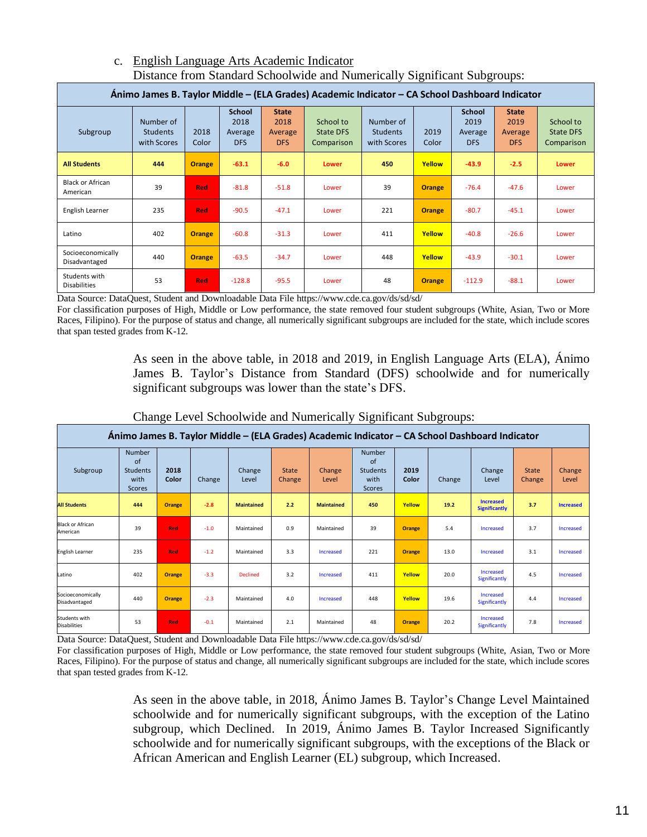### c. English Language Arts Academic Indicator Distance from Standard Schoolwide and Numerically Significant Subgroups:

| Ánimo James B. Taylor Middle - (ELA Grades) Academic Indicator - CA School Dashboard Indicator |                                             |               |                                                |                                               |                                             |                                             |               |                                                |                                               |                                             |  |  |  |
|------------------------------------------------------------------------------------------------|---------------------------------------------|---------------|------------------------------------------------|-----------------------------------------------|---------------------------------------------|---------------------------------------------|---------------|------------------------------------------------|-----------------------------------------------|---------------------------------------------|--|--|--|
| Subgroup                                                                                       | Number of<br><b>Students</b><br>with Scores | 2018<br>Color | <b>School</b><br>2018<br>Average<br><b>DFS</b> | <b>State</b><br>2018<br>Average<br><b>DFS</b> | School to<br><b>State DFS</b><br>Comparison | Number of<br><b>Students</b><br>with Scores | 2019<br>Color | <b>School</b><br>2019<br>Average<br><b>DFS</b> | <b>State</b><br>2019<br>Average<br><b>DFS</b> | School to<br><b>State DFS</b><br>Comparison |  |  |  |
| <b>All Students</b>                                                                            | 444                                         | <b>Orange</b> | $-63.1$                                        | $-6.0$                                        | Lower                                       | 450                                         | Yellow        | $-43.9$                                        | $-2.5$                                        | <b>Lower</b>                                |  |  |  |
| <b>Black or African</b><br>American                                                            | 39                                          | <b>Red</b>    | $-81.8$                                        | $-51.8$                                       | Lower                                       | 39                                          | <b>Orange</b> | $-76.4$                                        | $-47.6$                                       | Lower                                       |  |  |  |
| English Learner                                                                                | 235                                         | <b>Red</b>    | $-90.5$                                        | $-47.1$                                       | Lower                                       | 221                                         | <b>Orange</b> | $-80.7$                                        | $-45.1$                                       | Lower                                       |  |  |  |
| Latino                                                                                         | 402                                         | <b>Orange</b> | $-60.8$                                        | $-31.3$                                       | Lower                                       | 411                                         | Yellow        | $-40.8$                                        | $-26.6$                                       | Lower                                       |  |  |  |
| Socioeconomically<br>Disadvantaged                                                             | 440                                         | <b>Orange</b> | $-63.5$                                        | $-34.7$                                       | Lower                                       | 448                                         | Yellow        | $-43.9$                                        | $-30.1$                                       | Lower                                       |  |  |  |
| Students with<br><b>Disabilities</b>                                                           | 53                                          | <b>Red</b>    | $-128.8$                                       | $-95.5$                                       | Lower                                       | 48                                          | <b>Orange</b> | $-112.9$                                       | $-88.1$                                       | Lower                                       |  |  |  |

Data Source: DataQuest, Student and Downloadable Data File https://www.cde.ca.gov/ds/sd/sd/

For classification purposes of High, Middle or Low performance, the state removed four student subgroups (White, Asian, Two or More Races, Filipino). For the purpose of status and change, all numerically significant subgroups are included for the state, which include scores that span tested grades from K-12.

> As seen in the above table, in 2018 and 2019, in English Language Arts (ELA), Ánimo James B. Taylor's Distance from Standard (DFS) schoolwide and for numerically significant subgroups was lower than the state's DFS.

| Ánimo James B. Taylor Middle - (ELA Grades) Academic Indicator - CA School Dashboard Indicator |                                            |               |        |                   |                        |                   |                                                   |               |        |                                          |                        |                  |  |
|------------------------------------------------------------------------------------------------|--------------------------------------------|---------------|--------|-------------------|------------------------|-------------------|---------------------------------------------------|---------------|--------|------------------------------------------|------------------------|------------------|--|
| Subgroup                                                                                       | Number<br>of<br>Students<br>with<br>Scores | 2018<br>Color | Change | Change<br>Level   | <b>State</b><br>Change | Change<br>Level   | Number<br>of<br>Students<br>with<br><b>Scores</b> | 2019<br>Color | Change | Change<br>Level                          | <b>State</b><br>Change | Change<br>Level  |  |
| <b>All Students</b>                                                                            | 444                                        | Orange        | $-2.8$ | <b>Maintained</b> | 2.2                    | <b>Maintained</b> | 450                                               | Yellow        | 19.2   | <b>Increased</b><br><b>Significantly</b> | 3.7                    | <b>Increased</b> |  |
| <b>Black or African</b><br>American                                                            | 39                                         | Red           | $-1.0$ | Maintained        | 0.9                    | Maintained        | 39                                                | <b>Orange</b> | 5.4    | Increased                                | 3.7                    | Increased        |  |
| English Learner                                                                                | 235                                        | Red           | $-1.2$ | Maintained        | 3.3                    | Increased         | 221                                               | <b>Orange</b> | 13.0   | Increased                                | 3.1                    | Increased        |  |
| Latino                                                                                         | 402                                        | Orange        | $-3.3$ | <b>Declined</b>   | 3.2                    | Increased         | 411                                               | Yellow        | 20.0   | Increased<br>Significantly               | 4.5                    | Increased        |  |
| Socioeconomically<br>Disadvantaged                                                             | 440                                        | Orange        | $-2.3$ | Maintained        | 4.0                    | Increased         | 448                                               | Yellow        | 19.6   | Increased<br>Significantly               | 4.4                    | Increased        |  |
| Students with<br><b>Disabilities</b>                                                           | 53                                         | Red           | $-0.1$ | Maintained        | 2.1                    | Maintained        | 48                                                | <b>Orange</b> | 20.2   | Increased<br>Significantly               | 7.8                    | Increased        |  |

Change Level Schoolwide and Numerically Significant Subgroups:

Data Source: DataQuest, Student and Downloadable Data File https://www.cde.ca.gov/ds/sd/sd/

For classification purposes of High, Middle or Low performance, the state removed four student subgroups (White, Asian, Two or More Races, Filipino). For the purpose of status and change, all numerically significant subgroups are included for the state, which include scores that span tested grades from K-12.

> As seen in the above table, in 2018, Ánimo James B. Taylor's Change Level Maintained schoolwide and for numerically significant subgroups, with the exception of the Latino subgroup, which Declined. In 2019, Ánimo James B. Taylor Increased Significantly schoolwide and for numerically significant subgroups, with the exceptions of the Black or African American and English Learner (EL) subgroup, which Increased.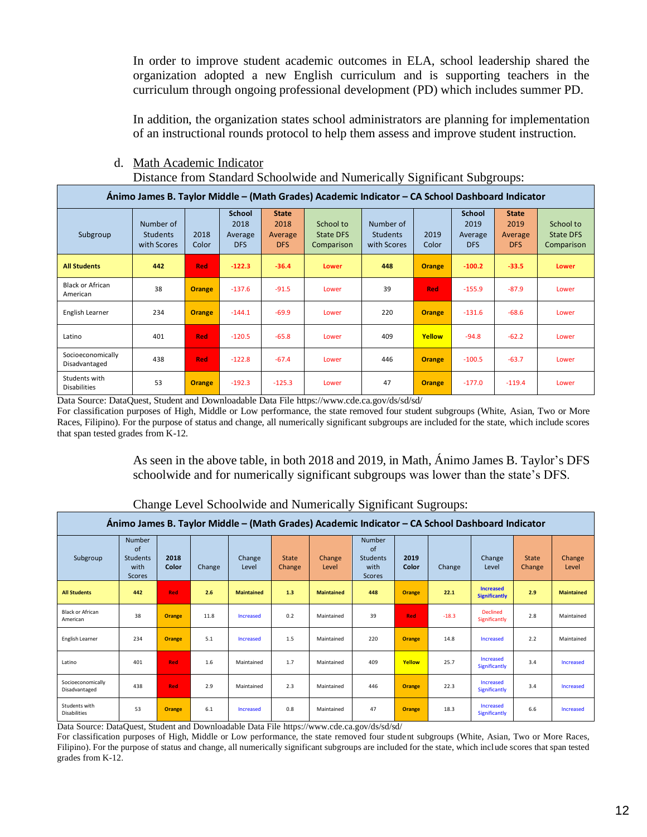In order to improve student academic outcomes in ELA, school leadership shared the organization adopted a new English curriculum and is supporting teachers in the curriculum through ongoing professional development (PD) which includes summer PD.

In addition, the organization states school administrators are planning for implementation of an instructional rounds protocol to help them assess and improve student instruction.

#### d. Math Academic Indicator

Distance from Standard Schoolwide and Numerically Significant Subgroups:

| Ánimo James B. Taylor Middle – (Math Grades) Academic Indicator – CA School Dashboard Indicator |                                             |               |                                                |                                               |                                             |                                             |               |                                                |                                               |                                             |  |  |  |
|-------------------------------------------------------------------------------------------------|---------------------------------------------|---------------|------------------------------------------------|-----------------------------------------------|---------------------------------------------|---------------------------------------------|---------------|------------------------------------------------|-----------------------------------------------|---------------------------------------------|--|--|--|
| Subgroup                                                                                        | Number of<br><b>Students</b><br>with Scores | 2018<br>Color | <b>School</b><br>2018<br>Average<br><b>DFS</b> | <b>State</b><br>2018<br>Average<br><b>DFS</b> | School to<br><b>State DFS</b><br>Comparison | Number of<br><b>Students</b><br>with Scores | 2019<br>Color | <b>School</b><br>2019<br>Average<br><b>DFS</b> | <b>State</b><br>2019<br>Average<br><b>DFS</b> | School to<br><b>State DFS</b><br>Comparison |  |  |  |
| <b>All Students</b>                                                                             | 442                                         | <b>Red</b>    | $-122.3$                                       | $-36.4$                                       | Lower                                       | 448                                         | <b>Orange</b> | $-100.2$                                       | $-33.5$                                       | Lower                                       |  |  |  |
| <b>Black or African</b><br>American                                                             | 38                                          | <b>Orange</b> | $-137.6$                                       | $-91.5$                                       | Lower                                       | 39                                          | <b>Red</b>    | $-155.9$                                       | $-87.9$                                       | Lower                                       |  |  |  |
| English Learner                                                                                 | 234                                         | <b>Orange</b> | $-144.1$                                       | $-69.9$                                       | Lower                                       | 220                                         | <b>Orange</b> | $-131.6$                                       | $-68.6$                                       | Lower                                       |  |  |  |
| Latino                                                                                          | 401                                         | <b>Red</b>    | $-120.5$                                       | $-65.8$                                       | Lower                                       | 409                                         | Yellow        | $-94.8$                                        | $-62.2$                                       | Lower                                       |  |  |  |
| Socioeconomically<br>Disadvantaged                                                              | 438                                         | <b>Red</b>    | $-122.8$                                       | $-67.4$                                       | Lower                                       | 446                                         | <b>Orange</b> | $-100.5$                                       | $-63.7$                                       | Lower                                       |  |  |  |
| Students with<br><b>Disabilities</b>                                                            | 53                                          | <b>Orange</b> | $-192.3$                                       | $-125.3$                                      | Lower                                       | 47                                          | <b>Orange</b> | $-177.0$                                       | $-119.4$                                      | Lower                                       |  |  |  |

Data Source: DataQuest, Student and Downloadable Data File https://www.cde.ca.gov/ds/sd/sd/

For classification purposes of High, Middle or Low performance, the state removed four student subgroups (White, Asian, Two or More Races, Filipino). For the purpose of status and change, all numerically significant subgroups are included for the state, which include scores that span tested grades from K-12.

> As seen in the above table, in both 2018 and 2019, in Math, Ánimo James B. Taylor's DFS schoolwide and for numerically significant subgroups was lower than the state's DFS.

| Animo James B. Taylor Middle – (Math Grades) Academic Indicator – CA School Dashboard Indicator |                                            |               |        |                   |                        |                        |                                                   |               |         |                                          |                               |                   |  |
|-------------------------------------------------------------------------------------------------|--------------------------------------------|---------------|--------|-------------------|------------------------|------------------------|---------------------------------------------------|---------------|---------|------------------------------------------|-------------------------------|-------------------|--|
| Subgroup                                                                                        | Number<br>of<br>Students<br>with<br>Scores | 2018<br>Color | Change | Change<br>Level   | <b>State</b><br>Change | <b>Change</b><br>Level | <b>Number</b><br>of<br>Students<br>with<br>Scores | 2019<br>Color | Change  | Change<br>Level                          | <b>State</b><br><b>Change</b> | Change<br>Level   |  |
| <b>All Students</b>                                                                             | 442                                        | Red           | 2.6    | <b>Maintained</b> | 1.3                    | <b>Maintained</b>      | 448                                               | <b>Orange</b> | 22.1    | <b>Increased</b><br><b>Significantly</b> | 2.9                           | <b>Maintained</b> |  |
| <b>Black or African</b><br>American                                                             | 38                                         | Orange        | 11.8   | Increased         | 0.2                    | Maintained             | 39                                                | Red           | $-18.3$ | <b>Declined</b><br>Significantly         | 2.8                           | Maintained        |  |
| English Learner                                                                                 | 234                                        | <b>Orange</b> | 5.1    | Increased         | 1.5                    | Maintained             | 220                                               | <b>Orange</b> | 14.8    | Increased                                | 2.2                           | Maintained        |  |
| Latino                                                                                          | 401                                        | Red           | 1.6    | Maintained        | 1.7                    | Maintained             | 409                                               | Yellow        | 25.7    | Increased<br>Significantly               | 3.4                           | Increased         |  |
| Socioeconomically<br>Disadvantaged                                                              | 438                                        | Red           | 2.9    | Maintained        | 2.3                    | Maintained             | 446                                               | <b>Orange</b> | 22.3    | Increased<br>Significantly               | 3.4                           | Increased         |  |
| Students with<br><b>Disabilities</b>                                                            | 53                                         | <b>Orange</b> | 6.1    | Increased         | 0.8                    | Maintained             | 47                                                | <b>Orange</b> | 18.3    | Increased<br>Significantly               | 6.6                           | Increased         |  |

Change Level Schoolwide and Numerically Significant Sugroups:

Data Source: DataQuest, Student and Downloadable Data File https://www.cde.ca.gov/ds/sd/sd/

For classification purposes of High, Middle or Low performance, the state removed four student subgroups (White, Asian, Two or More Races, Filipino). For the purpose of status and change, all numerically significant subgroups are included for the state, which include scores that span tested grades from K-12.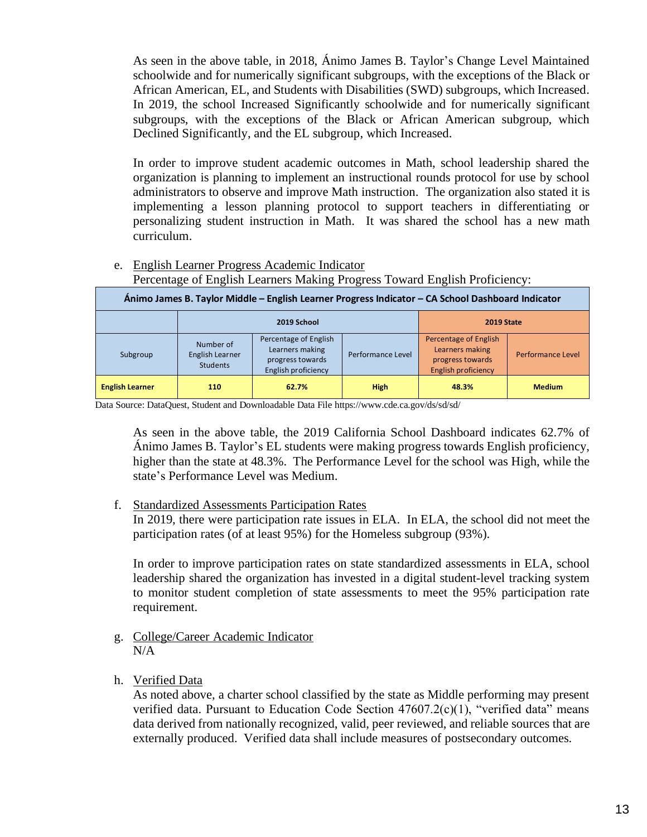As seen in the above table, in 2018, Ánimo James B. Taylor's Change Level Maintained schoolwide and for numerically significant subgroups, with the exceptions of the Black or African American, EL, and Students with Disabilities (SWD) subgroups, which Increased. In 2019, the school Increased Significantly schoolwide and for numerically significant subgroups, with the exceptions of the Black or African American subgroup, which Declined Significantly, and the EL subgroup, which Increased.

In order to improve student academic outcomes in Math, school leadership shared the organization is planning to implement an instructional rounds protocol for use by school administrators to observe and improve Math instruction. The organization also stated it is implementing a lesson planning protocol to support teachers in differentiating or personalizing student instruction in Math. It was shared the school has a new math curriculum.

e. English Learner Progress Academic Indicator Percentage of English Learners Making Progress Toward English Proficiency:

| Ánimo James B. Taylor Middle – English Learner Progress Indicator – CA School Dashboard Indicator |                                                 |                                                                                     |                          |                                                                                            |                   |  |  |  |  |  |  |  |
|---------------------------------------------------------------------------------------------------|-------------------------------------------------|-------------------------------------------------------------------------------------|--------------------------|--------------------------------------------------------------------------------------------|-------------------|--|--|--|--|--|--|--|
| 2019 School<br>2019 State                                                                         |                                                 |                                                                                     |                          |                                                                                            |                   |  |  |  |  |  |  |  |
| Subgroup                                                                                          | Number of<br>English Learner<br><b>Students</b> | Percentage of English<br>Learners making<br>progress towards<br>English proficiency | <b>Performance Level</b> | Percentage of English<br>Learners making<br>progress towards<br><b>English proficiency</b> | Performance Level |  |  |  |  |  |  |  |
| <b>English Learner</b>                                                                            | 110                                             | 62.7%                                                                               | <b>High</b>              | 48.3%                                                                                      | <b>Medium</b>     |  |  |  |  |  |  |  |

Data Source: DataQuest, Student and Downloadable Data File https://www.cde.ca.gov/ds/sd/sd/

As seen in the above table, the 2019 California School Dashboard indicates 62.7% of Ánimo James B. Taylor's EL students were making progress towards English proficiency, higher than the state at 48.3%. The Performance Level for the school was High, while the state's Performance Level was Medium.

### f. Standardized Assessments Participation Rates

In 2019, there were participation rate issues in ELA. In ELA, the school did not meet the participation rates (of at least 95%) for the Homeless subgroup (93%).

In order to improve participation rates on state standardized assessments in ELA, school leadership shared the organization has invested in a digital student-level tracking system to monitor student completion of state assessments to meet the 95% participation rate requirement.

- g. College/Career Academic Indicator N/A
- h. Verified Data

As noted above, a charter school classified by the state as Middle performing may present verified data. Pursuant to Education Code Section 47607.2(c)(1), "verified data" means data derived from nationally recognized, valid, peer reviewed, and reliable sources that are externally produced. Verified data shall include measures of postsecondary outcomes.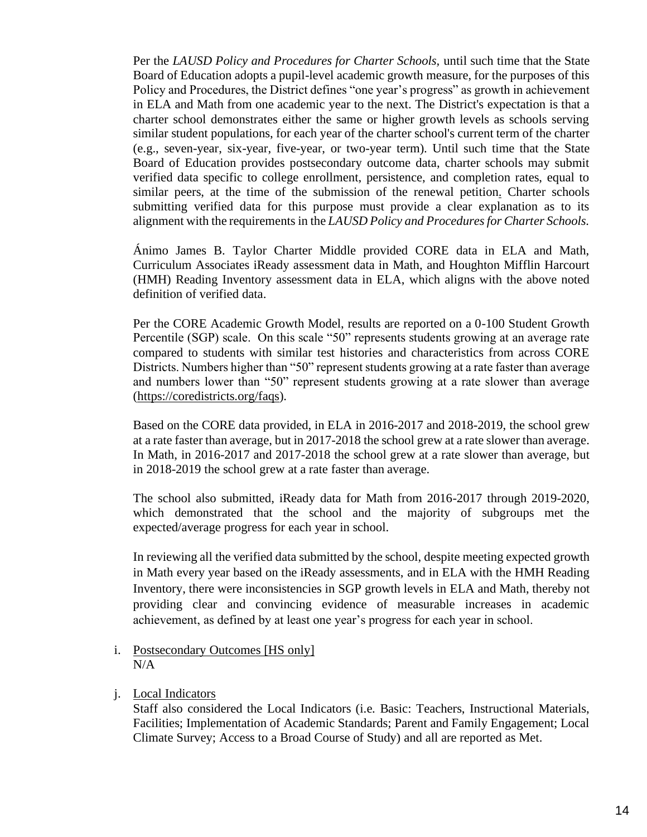Per the *LAUSD Policy and Procedures for Charter Schools,* until such time that the State Board of Education adopts a pupil-level academic growth measure, for the purposes of this Policy and Procedures, the District defines "one year's progress" as growth in achievement in ELA and Math from one academic year to the next. The District's expectation is that a charter school demonstrates either the same or higher growth levels as schools serving similar student populations, for each year of the charter school's current term of the charter (e.g., seven-year, six-year, five-year, or two-year term). Until such time that the State Board of Education provides postsecondary outcome data, charter schools may submit verified data specific to college enrollment, persistence, and completion rates, equal to similar peers, at the time of the submission of the renewal petition. Charter schools submitting verified data for this purpose must provide a clear explanation as to its alignment with the requirements in the *LAUSD Policy and Procedures for Charter Schools.*

Ánimo James B. Taylor Charter Middle provided CORE data in ELA and Math, Curriculum Associates iReady assessment data in Math, and Houghton Mifflin Harcourt (HMH) Reading Inventory assessment data in ELA, which aligns with the above noted definition of verified data.

Per the CORE Academic Growth Model, results are reported on a 0-100 Student Growth Percentile (SGP) scale. On this scale "50" represents students growing at an average rate compared to students with similar test histories and characteristics from across CORE Districts. Numbers higher than "50" represent students growing at a rate faster than average and numbers lower than "50" represent students growing at a rate slower than average (https://coredistricts.org/faqs).

Based on the CORE data provided, in ELA in 2016-2017 and 2018-2019, the school grew at a rate faster than average, but in 2017-2018 the school grew at a rate slower than average. In Math, in 2016-2017 and 2017-2018 the school grew at a rate slower than average, but in 2018-2019 the school grew at a rate faster than average.

The school also submitted, iReady data for Math from 2016-2017 through 2019-2020, which demonstrated that the school and the majority of subgroups met the expected/average progress for each year in school.

In reviewing all the verified data submitted by the school, despite meeting expected growth in Math every year based on the iReady assessments, and in ELA with the HMH Reading Inventory, there were inconsistencies in SGP growth levels in ELA and Math, thereby not providing clear and convincing evidence of measurable increases in academic achievement, as defined by at least one year's progress for each year in school.

### i. Postsecondary Outcomes [HS only] N/A

### j. Local Indicators

Staff also considered the Local Indicators (i.e. Basic: Teachers, Instructional Materials, Facilities; Implementation of Academic Standards; Parent and Family Engagement; Local Climate Survey; Access to a Broad Course of Study) and all are reported as Met.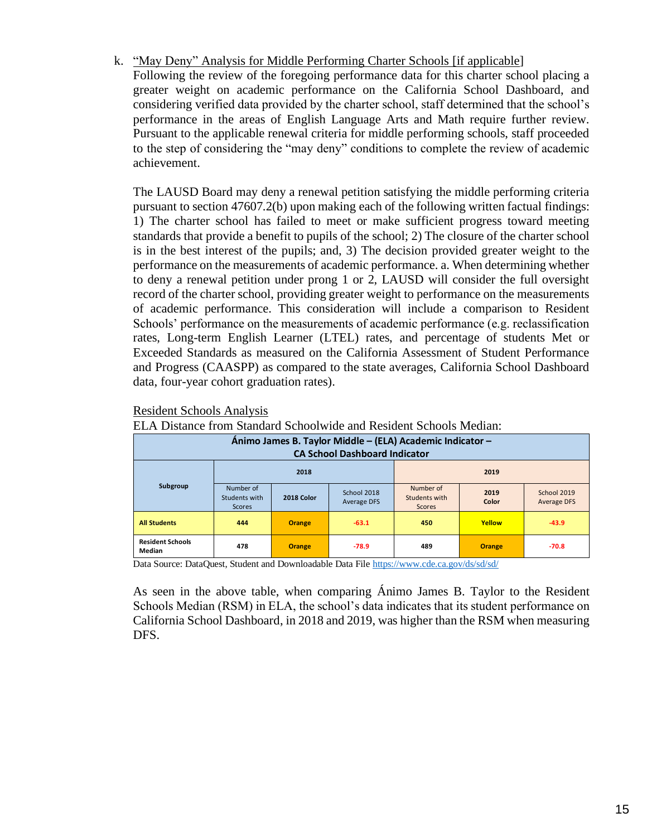### k. "May Deny" Analysis for Middle Performing Charter Schools [if applicable]

Following the review of the foregoing performance data for this charter school placing a greater weight on academic performance on the California School Dashboard, and considering verified data provided by the charter school, staff determined that the school's performance in the areas of English Language Arts and Math require further review. Pursuant to the applicable renewal criteria for middle performing schools, staff proceeded to the step of considering the "may deny" conditions to complete the review of academic achievement.

The LAUSD Board may deny a renewal petition satisfying the middle performing criteria pursuant to section 47607.2(b) upon making each of the following written factual findings: 1) The charter school has failed to meet or make sufficient progress toward meeting standards that provide a benefit to pupils of the school; 2) The closure of the charter school is in the best interest of the pupils; and, 3) The decision provided greater weight to the performance on the measurements of academic performance. a. When determining whether to deny a renewal petition under prong 1 or 2, LAUSD will consider the full oversight record of the charter school, providing greater weight to performance on the measurements of academic performance. This consideration will include a comparison to Resident Schools' performance on the measurements of academic performance (e.g. reclassification rates, Long-term English Learner (LTEL) rates, and percentage of students Met or Exceeded Standards as measured on the California Assessment of Student Performance and Progress (CAASPP) as compared to the state averages, California School Dashboard data, four-year cohort graduation rates).

|                                                                                                   | ЕЕЛ І БІЗКІНСС ПОПІ ВКІНСІГСІ ВСПОВІВІСЬ АНС КОЗГАСНІ ВСПОВІЗ ІВІСІНІЯ. |               |                                   |                                      |                   |                                   |  |  |  |  |
|---------------------------------------------------------------------------------------------------|-------------------------------------------------------------------------|---------------|-----------------------------------|--------------------------------------|-------------------|-----------------------------------|--|--|--|--|
| Ánimo James B. Taylor Middle - (ELA) Academic Indicator -<br><b>CA School Dashboard Indicator</b> |                                                                         |               |                                   |                                      |                   |                                   |  |  |  |  |
| 2018<br>2019                                                                                      |                                                                         |               |                                   |                                      |                   |                                   |  |  |  |  |
| Subgroup                                                                                          | Number of<br>Students with<br><b>Scores</b>                             | 2018 Color    | School 2018<br><b>Average DFS</b> | Number of<br>Students with<br>Scores | 2019<br>Color     | School 2019<br><b>Average DFS</b> |  |  |  |  |
| <b>All Students</b>                                                                               | 444                                                                     | <b>Orange</b> | $-63.1$                           | 450                                  | Yellow<br>$-43.9$ |                                   |  |  |  |  |
| <b>Resident Schools</b><br>Median                                                                 | $-70.8$<br>478<br>$-78.9$<br>489<br><b>Orange</b><br>Orange             |               |                                   |                                      |                   |                                   |  |  |  |  |

#### Resident Schools Analysis

ELA Distance from Standard Schoolwide and Resident Schools Median:

Data Source: DataQuest, Student and Downloadable Data Fil[e https://www.cde.ca.gov/ds/sd/sd/](https://www.cde.ca.gov/ds/sd/sd/)

As seen in the above table, when comparing Ánimo James B. Taylor to the Resident Schools Median (RSM) in ELA, the school's data indicates that its student performance on California School Dashboard, in 2018 and 2019, was higher than the RSM when measuring DFS.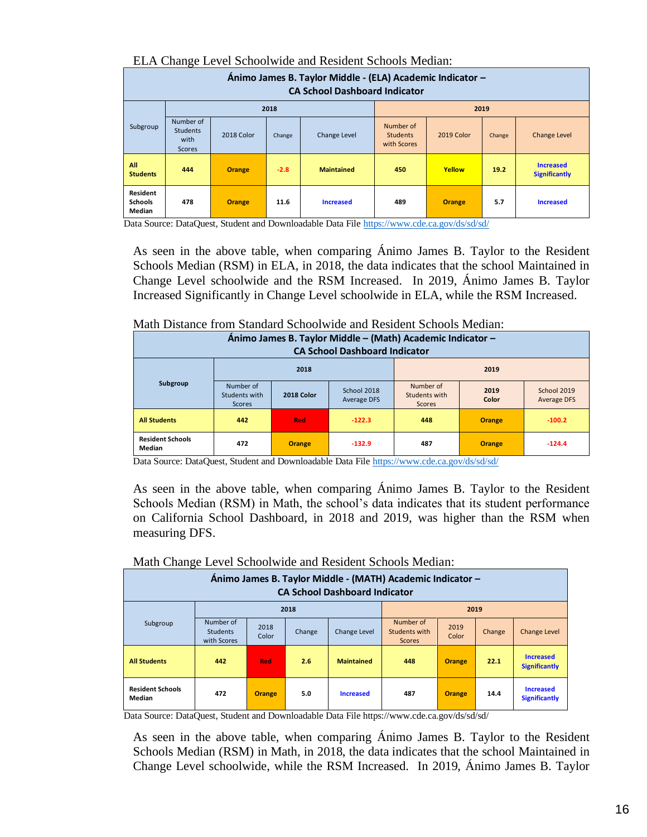|                                      | LLA Change Level Schoolwrue and resident Schools Median.                                          |               |        |                   |                                             |               |        |                                          |  |  |  |
|--------------------------------------|---------------------------------------------------------------------------------------------------|---------------|--------|-------------------|---------------------------------------------|---------------|--------|------------------------------------------|--|--|--|
|                                      | Ánimo James B. Taylor Middle - (ELA) Academic Indicator -<br><b>CA School Dashboard Indicator</b> |               |        |                   |                                             |               |        |                                          |  |  |  |
|                                      | 2018<br>2019                                                                                      |               |        |                   |                                             |               |        |                                          |  |  |  |
| Subgroup                             | Number of<br><b>Students</b><br>with<br><b>Scores</b>                                             | 2018 Color    | Change | Change Level      | Number of<br><b>Students</b><br>with Scores | 2019 Color    | Change | <b>Change Level</b>                      |  |  |  |
| All<br><b>Students</b>               | 444                                                                                               | <b>Orange</b> | $-2.8$ | <b>Maintained</b> | 450                                         | Yellow        | 19.2   | <b>Increased</b><br><b>Significantly</b> |  |  |  |
| Resident<br><b>Schools</b><br>Median | 478                                                                                               | <b>Orange</b> | 11.6   | <b>Increased</b>  | 489                                         | <b>Orange</b> | 5.7    | <b>Increased</b>                         |  |  |  |

### ELA Change Level Schoolwide and Resident Schools Median:

Data Source: DataQuest, Student and Downloadable Data Fil[e https://www.cde.ca.gov/ds/sd/sd/](https://www.cde.ca.gov/ds/sd/sd/)

As seen in the above table, when comparing Ánimo James B. Taylor to the Resident Schools Median (RSM) in ELA, in 2018, the data indicates that the school Maintained in Change Level schoolwide and the RSM Increased. In 2019, Ánimo James B. Taylor Increased Significantly in Change Level schoolwide in ELA, while the RSM Increased.

Math Distance from Standard Schoolwide and Resident Schools Median:

| Ánimo James B. Taylor Middle - (Math) Academic Indicator -<br><b>CA School Dashboard Indicator</b> |                                      |                                                 |          |                                      |               |                                   |  |  |  |
|----------------------------------------------------------------------------------------------------|--------------------------------------|-------------------------------------------------|----------|--------------------------------------|---------------|-----------------------------------|--|--|--|
|                                                                                                    |                                      | 2018                                            |          |                                      | 2019          |                                   |  |  |  |
| Subgroup                                                                                           | Number of<br>Students with<br>Scores | School 2018<br>2018 Color<br><b>Average DFS</b> |          | Number of<br>Students with<br>Scores | 2019<br>Color | School 2019<br><b>Average DFS</b> |  |  |  |
| <b>All Students</b>                                                                                | 442                                  | <b>Red</b>                                      | $-122.3$ | 448                                  | Orange        | $-100.2$                          |  |  |  |
| <b>Resident Schools</b><br>Median                                                                  | 472                                  | <b>Orange</b>                                   | $-132.9$ | 487                                  | Orange        | $-124.4$                          |  |  |  |

Data Source: DataQuest, Student and Downloadable Data Fil[e https://www.cde.ca.gov/ds/sd/sd/](https://www.cde.ca.gov/ds/sd/sd/)

As seen in the above table, when comparing Ánimo James B. Taylor to the Resident Schools Median (RSM) in Math, the school's data indicates that its student performance on California School Dashboard, in 2018 and 2019, was higher than the RSM when measuring DFS.

| -0-                                                                                                |                                      |               |        |                     |                                             |               |        |                                          |  |  |  |
|----------------------------------------------------------------------------------------------------|--------------------------------------|---------------|--------|---------------------|---------------------------------------------|---------------|--------|------------------------------------------|--|--|--|
| Ánimo James B. Taylor Middle - (MATH) Academic Indicator -<br><b>CA School Dashboard Indicator</b> |                                      |               |        |                     |                                             |               |        |                                          |  |  |  |
|                                                                                                    |                                      |               | 2018   |                     |                                             | 2019          |        |                                          |  |  |  |
| Subgroup                                                                                           | Number of<br>Students<br>with Scores | 2018<br>Color | Change | <b>Change Level</b> | Number of<br>Students with<br><b>Scores</b> | 2019<br>Color | Change | <b>Change Level</b>                      |  |  |  |
| <b>All Students</b>                                                                                | 442                                  | <b>Red</b>    | 2.6    | <b>Maintained</b>   | 448                                         | <b>Orange</b> | 22.1   | <b>Increased</b><br><b>Significantly</b> |  |  |  |
| <b>Resident Schools</b><br>Median                                                                  | 472                                  | <b>Orange</b> | 5.0    | <b>Increased</b>    | 487                                         | <b>Orange</b> | 14.4   | <b>Increased</b><br><b>Significantly</b> |  |  |  |

Math Change Level Schoolwide and Resident Schools Median:

Data Source: DataQuest, Student and Downloadable Data File https://www.cde.ca.gov/ds/sd/sd/

As seen in the above table, when comparing Ánimo James B. Taylor to the Resident Schools Median (RSM) in Math, in 2018, the data indicates that the school Maintained in Change Level schoolwide, while the RSM Increased. In 2019, Ánimo James B. Taylor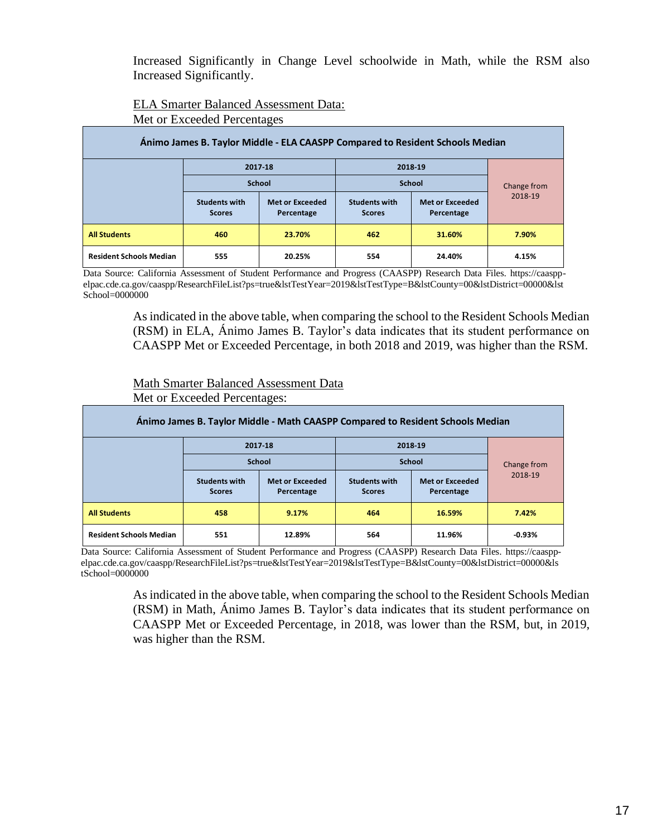Increased Significantly in Change Level schoolwide in Math, while the RSM also Increased Significantly.

### ELA Smarter Balanced Assessment Data:

| Ánimo James B. Taylor Middle - ELA CAASPP Compared to Resident Schools Median |                                       |                                      |                                       |                                      |             |  |  |  |  |  |
|-------------------------------------------------------------------------------|---------------------------------------|--------------------------------------|---------------------------------------|--------------------------------------|-------------|--|--|--|--|--|
| 2017-18<br>2018-19                                                            |                                       |                                      |                                       |                                      |             |  |  |  |  |  |
|                                                                               |                                       | <b>School</b>                        |                                       | <b>School</b>                        | Change from |  |  |  |  |  |
|                                                                               | <b>Students with</b><br><b>Scores</b> | <b>Met or Exceeded</b><br>Percentage | <b>Students with</b><br><b>Scores</b> | <b>Met or Exceeded</b><br>Percentage | 2018-19     |  |  |  |  |  |
| <b>All Students</b>                                                           | 460                                   | 23.70%                               | 462                                   | 31.60%                               | 7.90%       |  |  |  |  |  |
| <b>Resident Schools Median</b>                                                | 555                                   | 20.25%                               | 554                                   | 24.40%                               | 4.15%       |  |  |  |  |  |

Met or Exceeded Percentages

Data Source: California Assessment of Student Performance and Progress (CAASPP) Research Data Files. https://caasppelpac.cde.ca.gov/caaspp/ResearchFileList?ps=true&lstTestYear=2019&lstTestType=B&lstCounty=00&lstDistrict=00000&lst School=0000000

> As indicated in the above table, when comparing the school to the Resident Schools Median (RSM) in ELA, Ánimo James B. Taylor's data indicates that its student performance on CAASPP Met or Exceeded Percentage, in both 2018 and 2019, was higher than the RSM.

Math Smarter Balanced Assessment Data Met or Exceeded Percentages:

| Ánimo James B. Taylor Middle - Math CAASPP Compared to Resident Schools Median |                                       |                                      |                                       |                                      |             |  |  |  |  |  |
|--------------------------------------------------------------------------------|---------------------------------------|--------------------------------------|---------------------------------------|--------------------------------------|-------------|--|--|--|--|--|
|                                                                                |                                       | 2017-18                              |                                       | 2018-19                              |             |  |  |  |  |  |
|                                                                                |                                       | <b>School</b>                        |                                       | <b>School</b>                        | Change from |  |  |  |  |  |
|                                                                                | <b>Students with</b><br><b>Scores</b> | <b>Met or Exceeded</b><br>Percentage | <b>Students with</b><br><b>Scores</b> | <b>Met or Exceeded</b><br>Percentage | 2018-19     |  |  |  |  |  |
| <b>All Students</b>                                                            | 458                                   | 9.17%                                | 464                                   | 16.59%                               | 7.42%       |  |  |  |  |  |
| <b>Resident Schools Median</b>                                                 | 551                                   | 12.89%                               | 564                                   | 11.96%                               | $-0.93%$    |  |  |  |  |  |

Data Source: California Assessment of Student Performance and Progress (CAASPP) Research Data Files. https://caasppelpac.cde.ca.gov/caaspp/ResearchFileList?ps=true&lstTestYear=2019&lstTestType=B&lstCounty=00&lstDistrict=00000&ls tSchool=0000000

> As indicated in the above table, when comparing the school to the Resident Schools Median (RSM) in Math, Ánimo James B. Taylor's data indicates that its student performance on CAASPP Met or Exceeded Percentage, in 2018, was lower than the RSM, but, in 2019, was higher than the RSM.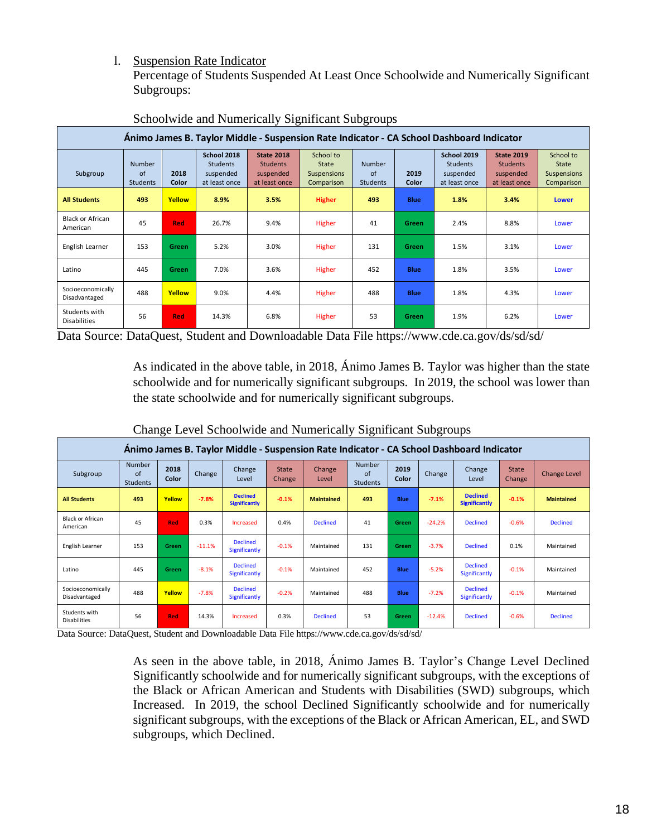l. Suspension Rate Indicator

Percentage of Students Suspended At Least Once Schoolwide and Numerically Significant Subgroups:

|                                      | Animo James B. Taylor Middle - Suspension Rate Indicator - CA School Dashboard Indicator |               |                                                              |                                                                    |                                                 |                                        |               |                                                              |                                                                    |                                                 |  |  |  |
|--------------------------------------|------------------------------------------------------------------------------------------|---------------|--------------------------------------------------------------|--------------------------------------------------------------------|-------------------------------------------------|----------------------------------------|---------------|--------------------------------------------------------------|--------------------------------------------------------------------|-------------------------------------------------|--|--|--|
| Subgroup                             | <b>Number</b><br>of<br><b>Students</b>                                                   | 2018<br>Color | School 2018<br><b>Students</b><br>suspended<br>at least once | <b>State 2018</b><br><b>Students</b><br>suspended<br>at least once | School to<br>State<br>Suspensions<br>Comparison | <b>Number</b><br>of<br><b>Students</b> | 2019<br>Color | School 2019<br><b>Students</b><br>suspended<br>at least once | <b>State 2019</b><br><b>Students</b><br>suspended<br>at least once | School to<br>State<br>Suspensions<br>Comparison |  |  |  |
| <b>All Students</b>                  | 493                                                                                      | Yellow        | 8.9%                                                         | 3.5%                                                               | <b>Higher</b>                                   | 493                                    | <b>Blue</b>   | 1.8%                                                         | 3.4%                                                               | <b>Lower</b>                                    |  |  |  |
| <b>Black or African</b><br>American  | 45                                                                                       | <b>Red</b>    | 26.7%                                                        | 9.4%                                                               | Higher                                          | 41                                     | Green         | 2.4%                                                         | 8.8%                                                               | Lower                                           |  |  |  |
| English Learner                      | 153                                                                                      | Green         | 5.2%                                                         | 3.0%                                                               | Higher                                          | 131                                    | <b>Green</b>  | 1.5%                                                         | 3.1%                                                               | Lower                                           |  |  |  |
| Latino                               | 445                                                                                      | <b>Green</b>  | 7.0%                                                         | 3.6%                                                               | Higher                                          | 452                                    | <b>Blue</b>   | 1.8%                                                         | 3.5%                                                               | Lower                                           |  |  |  |
| Socioeconomically<br>Disadvantaged   | 488                                                                                      | Yellow        | 9.0%                                                         | 4.4%                                                               | Higher                                          | 488                                    | <b>Blue</b>   | 1.8%                                                         | 4.3%                                                               | Lower                                           |  |  |  |
| Students with<br><b>Disabilities</b> | 56                                                                                       | <b>Red</b>    | 14.3%                                                        | 6.8%                                                               | Higher                                          | 53                                     | Green         | 1.9%                                                         | 6.2%                                                               | Lower                                           |  |  |  |

#### Schoolwide and Numerically Significant Subgroups

Data Source: DataQuest, Student and Downloadable Data File https://www.cde.ca.gov/ds/sd/sd/

As indicated in the above table, in 2018, Ánimo James B. Taylor was higher than the state schoolwide and for numerically significant subgroups. In 2019, the school was lower than the state schoolwide and for numerically significant subgroups.

| Animo James B. Taylor Middle - Suspension Rate Indicator - CA School Dashboard Indicator |                                 |               |          |                                         |                        |                        |                                        |               |          |                                         |                               |                     |
|------------------------------------------------------------------------------------------|---------------------------------|---------------|----------|-----------------------------------------|------------------------|------------------------|----------------------------------------|---------------|----------|-----------------------------------------|-------------------------------|---------------------|
| Subgroup                                                                                 | Number<br>of<br><b>Students</b> | 2018<br>Color | Change   | Change<br>Level                         | <b>State</b><br>Change | <b>Change</b><br>Level | <b>Number</b><br>of<br><b>Students</b> | 2019<br>Color | Change   | Change<br>Level                         | <b>State</b><br><b>Change</b> | <b>Change Level</b> |
| <b>All Students</b>                                                                      | 493                             | Yellow        | $-7.8%$  | <b>Declined</b><br><b>Significantly</b> | $-0.1%$                | <b>Maintained</b>      | 493                                    | <b>Blue</b>   | $-7.1%$  | <b>Declined</b><br><b>Significantly</b> | $-0.1%$                       | <b>Maintained</b>   |
| <b>Black or African</b><br>American                                                      | 45                              | <b>Red</b>    | 0.3%     | Increased                               | 0.4%                   | <b>Declined</b>        | 41                                     | Green         | $-24.2%$ | <b>Declined</b>                         | $-0.6%$                       | <b>Declined</b>     |
| English Learner                                                                          | 153                             | <b>Green</b>  | $-11.1%$ | <b>Declined</b><br>Significantly        | $-0.1%$                | Maintained             | 131                                    | Green         | $-3.7%$  | <b>Declined</b>                         | 0.1%                          | Maintained          |
| Latino                                                                                   | 445                             | Green         | $-8.1%$  | <b>Declined</b><br>Significantly        | $-0.1%$                | Maintained             | 452                                    | <b>Blue</b>   | $-5.2%$  | <b>Declined</b><br>Significantly        | $-0.1%$                       | Maintained          |
| Socioeconomically<br>Disadvantaged                                                       | 488                             | Yellow        | $-7.8%$  | <b>Declined</b><br>Significantly        | $-0.2%$                | Maintained             | 488                                    | <b>Blue</b>   | $-7.2%$  | <b>Declined</b><br>Significantly        | $-0.1%$                       | Maintained          |
| Students with<br><b>Disabilities</b>                                                     | 56                              | Red           | 14.3%    | Increased                               | 0.3%                   | <b>Declined</b>        | 53                                     | Green         | $-12.4%$ | <b>Declined</b>                         | $-0.6%$                       | <b>Declined</b>     |

Change Level Schoolwide and Numerically Significant Subgroups

Data Source: DataQuest, Student and Downloadable Data File https://www.cde.ca.gov/ds/sd/sd/

As seen in the above table, in 2018, Ánimo James B. Taylor's Change Level Declined Significantly schoolwide and for numerically significant subgroups, with the exceptions of the Black or African American and Students with Disabilities (SWD) subgroups, which Increased. In 2019, the school Declined Significantly schoolwide and for numerically significant subgroups, with the exceptions of the Black or African American, EL, and SWD subgroups, which Declined.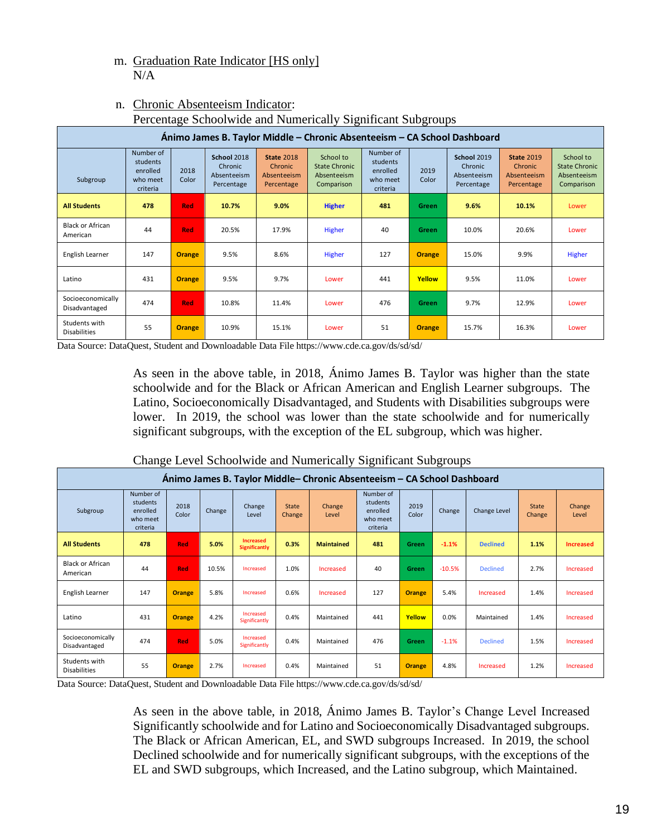### m. Graduation Rate Indicator [HS only] N/A

| ▱<br>$\sqrt{2}$<br>⊂                                                     |                                                           |               |                                                     |                                                           |                                                                |                                                           |               |                                                            |                                                           |                                                                |  |
|--------------------------------------------------------------------------|-----------------------------------------------------------|---------------|-----------------------------------------------------|-----------------------------------------------------------|----------------------------------------------------------------|-----------------------------------------------------------|---------------|------------------------------------------------------------|-----------------------------------------------------------|----------------------------------------------------------------|--|
| Ánimo James B. Taylor Middle – Chronic Absenteeism – CA School Dashboard |                                                           |               |                                                     |                                                           |                                                                |                                                           |               |                                                            |                                                           |                                                                |  |
| Subgroup                                                                 | Number of<br>students<br>enrolled<br>who meet<br>criteria | 2018<br>Color | School 2018<br>Chronic<br>Absenteeism<br>Percentage | <b>State 2018</b><br>Chronic<br>Absenteeism<br>Percentage | School to<br><b>State Chronic</b><br>Absenteeism<br>Comparison | Number of<br>students<br>enrolled<br>who meet<br>criteria | 2019<br>Color | <b>School 2019</b><br>Chronic<br>Absenteeism<br>Percentage | <b>State 2019</b><br>Chronic<br>Absenteeism<br>Percentage | School to<br><b>State Chronic</b><br>Absenteeism<br>Comparison |  |
| <b>All Students</b>                                                      | 478                                                       | <b>Red</b>    | 10.7%                                               | 9.0%                                                      | <b>Higher</b>                                                  | 481                                                       | Green         | 9.6%                                                       | 10.1%                                                     | Lower                                                          |  |
| <b>Black or African</b><br>American                                      | 44                                                        | <b>Red</b>    | 20.5%                                               | 17.9%                                                     | Higher                                                         | 40                                                        | Green         | 10.0%                                                      | 20.6%                                                     | Lower                                                          |  |
| English Learner                                                          | 147                                                       | <b>Orange</b> | 9.5%                                                | 8.6%                                                      | Higher                                                         | 127                                                       | <b>Orange</b> | 15.0%                                                      | 9.9%                                                      | Higher                                                         |  |
| Latino                                                                   | 431                                                       | <b>Orange</b> | 9.5%                                                | 9.7%                                                      | Lower                                                          | 441                                                       | Yellow        | 9.5%                                                       | 11.0%                                                     | Lower                                                          |  |
| Socioeconomically<br>Disadvantaged                                       | 474                                                       | <b>Red</b>    | 10.8%                                               | 11.4%                                                     | Lower                                                          | 476                                                       | Green         | 9.7%                                                       | 12.9%                                                     | Lower                                                          |  |
| Students with<br><b>Disabilities</b>                                     | 55                                                        | <b>Orange</b> | 10.9%                                               | 15.1%                                                     | Lower                                                          | 51                                                        | <b>Orange</b> | 15.7%                                                      | 16.3%                                                     | Lower                                                          |  |

### n. Chronic Absenteeism Indicator:

Percentage Schoolwide and Numerically Significant Subgroups

Data Source: DataQuest, Student and Downloadable Data File https://www.cde.ca.gov/ds/sd/sd/

As seen in the above table, in 2018, Ánimo James B. Taylor was higher than the state schoolwide and for the Black or African American and English Learner subgroups. The Latino, Socioeconomically Disadvantaged, and Students with Disabilities subgroups were lower. In 2019, the school was lower than the state schoolwide and for numerically significant subgroups, with the exception of the EL subgroup, which was higher.

| Animo James B. Taylor Middle- Chronic Absenteeism - CA School Dashboard |                                                           |               |        |                                          |                        |                   |                                                           |               |          |                 |                        |                  |
|-------------------------------------------------------------------------|-----------------------------------------------------------|---------------|--------|------------------------------------------|------------------------|-------------------|-----------------------------------------------------------|---------------|----------|-----------------|------------------------|------------------|
| Subgroup                                                                | Number of<br>students<br>enrolled<br>who meet<br>criteria | 2018<br>Color | Change | Change<br>Level                          | <b>State</b><br>Change | Change<br>Level   | Number of<br>students<br>enrolled<br>who meet<br>criteria | 2019<br>Color | Change   | Change Level    | <b>State</b><br>Change | Change<br>Level  |
| <b>All Students</b>                                                     | 478                                                       | Red           | 5.0%   | <b>Increased</b><br><b>Significantly</b> | 0.3%                   | <b>Maintained</b> | 481                                                       | Green         | $-1.1%$  | <b>Declined</b> | 1.1%                   | <b>Increased</b> |
| <b>Black or African</b><br>American                                     | 44                                                        | Red           | 10.5%  | Increased                                | 1.0%                   | Increased         | 40                                                        | Green         | $-10.5%$ | <b>Declined</b> | 2.7%                   | Increased        |
| English Learner                                                         | 147                                                       | <b>Orange</b> | 5.8%   | Increased                                | 0.6%                   | Increased         | 127                                                       | <b>Orange</b> | 5.4%     | Increased       | 1.4%                   | Increased        |
| Latino                                                                  | 431                                                       | <b>Orange</b> | 4.2%   | Increased<br>Significantly               | 0.4%                   | Maintained        | 441                                                       | Yellow        | 0.0%     | Maintained      | 1.4%                   | Increased        |
| Socioeconomically<br>Disadvantaged                                      | 474                                                       | Red           | 5.0%   | Increased<br>Significantly               | 0.4%                   | Maintained        | 476                                                       | Green         | $-1.1%$  | <b>Declined</b> | 1.5%                   | Increased        |
| Students with<br><b>Disabilities</b>                                    | 55                                                        | <b>Orange</b> | 2.7%   | Increased                                | 0.4%                   | Maintained        | 51                                                        | <b>Orange</b> | 4.8%     | Increased       | 1.2%                   | Increased        |

Change Level Schoolwide and Numerically Significant Subgroups

Data Source: DataQuest, Student and Downloadable Data File https://www.cde.ca.gov/ds/sd/sd/

As seen in the above table, in 2018, Ánimo James B. Taylor's Change Level Increased Significantly schoolwide and for Latino and Socioeconomically Disadvantaged subgroups. The Black or African American, EL, and SWD subgroups Increased. In 2019, the school Declined schoolwide and for numerically significant subgroups, with the exceptions of the EL and SWD subgroups, which Increased, and the Latino subgroup, which Maintained.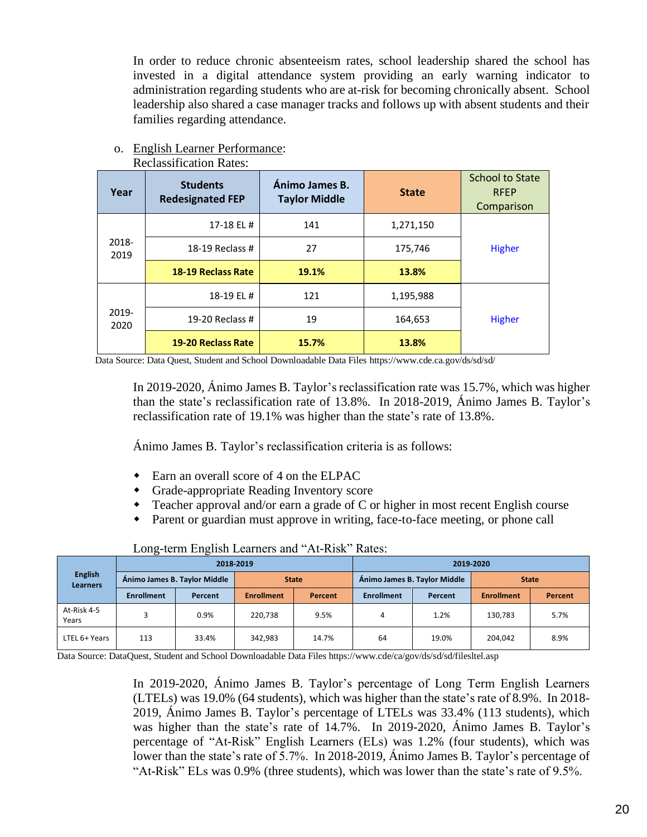In order to reduce chronic absenteeism rates, school leadership shared the school has invested in a digital attendance system providing an early warning indicator to administration regarding students who are at-risk for becoming chronically absent. School leadership also shared a case manager tracks and follows up with absent students and their families regarding attendance.

| Year          | <b>Students</b><br><b>Redesignated FEP</b> | Ánimo James B.<br><b>Taylor Middle</b> | <b>State</b> |        |  |
|---------------|--------------------------------------------|----------------------------------------|--------------|--------|--|
|               | 17-18 EL #                                 | 141                                    | 1,271,150    |        |  |
| 2018-<br>2019 | 18-19 Reclass #                            | 27                                     | 175,746      | Higher |  |
|               | <b>18-19 Reclass Rate</b>                  | 19.1%                                  | 13.8%        |        |  |
|               | 18-19 EL #                                 | 121                                    | 1,195,988    |        |  |
| 2019-<br>2020 | 19-20 Reclass $#$                          | 19                                     | 164,653      | Higher |  |
|               | <b>19-20 Reclass Rate</b>                  | 15.7%                                  | 13.8%        |        |  |

#### o. English Learner Performance: Reclassification Rates:

Data Source: Data Quest, Student and School Downloadable Data Files https://www.cde.ca.gov/ds/sd/sd/

In 2019-2020, Ánimo James B. Taylor's reclassification rate was 15.7%, which was higher than the state's reclassification rate of 13.8%. In 2018-2019, Ánimo James B. Taylor's reclassification rate of 19.1% was higher than the state's rate of 13.8%.

Ánimo James B. Taylor's reclassification criteria is as follows:

- Earn an overall score of 4 on the ELPAC
- Grade-appropriate Reading Inventory score
- Teacher approval and/or earn a grade of C or higher in most recent English course
- Parent or guardian must approve in writing, face-to-face meeting, or phone call

| <b>English</b><br><b>Learners</b> |                   |                              | 2018-2019         |              |                   |                              | 2019-2020         |         |
|-----------------------------------|-------------------|------------------------------|-------------------|--------------|-------------------|------------------------------|-------------------|---------|
|                                   |                   | Ánimo James B. Taylor Middle |                   | <b>State</b> |                   | Ánimo James B. Taylor Middle | <b>State</b>      |         |
|                                   | <b>Enrollment</b> | Percent                      | <b>Enrollment</b> | Percent      | <b>Enrollment</b> | Percent                      | <b>Enrollment</b> | Percent |
| At-Risk 4-5<br>Years              | 3                 | 0.9%                         | 220,738           | 9.5%         | 4                 | 1.2%                         | 130.783           | 5.7%    |
| LTEL 6+ Years                     | 113               | 33.4%                        | 342.983           | 14.7%        | 64                | 19.0%                        | 204.042           | 8.9%    |

#### Long-term English Learners and "At-Risk" Rates:

Data Source: DataQuest, Student and School Downloadable Data Files https://www.cde/ca/gov/ds/sd/sd/filesltel.asp

In 2019-2020, Ánimo James B. Taylor's percentage of Long Term English Learners (LTELs) was 19.0% (64 students), which was higher than the state's rate of 8.9%. In 2018- 2019, Ánimo James B. Taylor's percentage of LTELs was 33.4% (113 students), which was higher than the state's rate of 14.7%. In 2019-2020, Ánimo James B. Taylor's percentage of "At-Risk" English Learners (ELs) was 1.2% (four students), which was lower than the state's rate of 5.7%. In 2018-2019, Ánimo James B. Taylor's percentage of "At-Risk" ELs was 0.9% (three students), which was lower than the state's rate of 9.5%.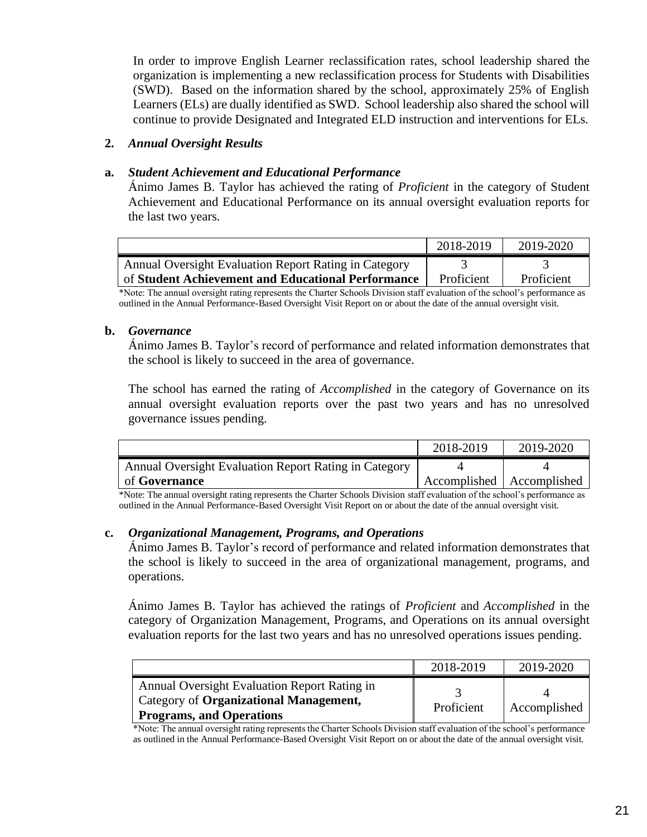In order to improve English Learner reclassification rates, school leadership shared the organization is implementing a new reclassification process for Students with Disabilities (SWD). Based on the information shared by the school, approximately 25% of English Learners (ELs) are dually identified as SWD. School leadership also shared the school will continue to provide Designated and Integrated ELD instruction and interventions for ELs.

### **2.** *Annual Oversight Results*

### **a.** *Student Achievement and Educational Performance*

Ánimo James B. Taylor has achieved the rating of *Proficient* in the category of Student Achievement and Educational Performance on its annual oversight evaluation reports for the last two years.

|                                                       | 2018-2019  | 2019-2020  |
|-------------------------------------------------------|------------|------------|
| Annual Oversight Evaluation Report Rating in Category |            |            |
| of Student Achievement and Educational Performance    | Proficient | Proficient |

\*Note: The annual oversight rating represents the Charter Schools Division staff evaluation of the school's performance as outlined in the Annual Performance-Based Oversight Visit Report on or about the date of the annual oversight visit.

### **b.** *Governance*

Ánimo James B. Taylor's record of performance and related information demonstrates that the school is likely to succeed in the area of governance.

The school has earned the rating of *Accomplished* in the category of Governance on its annual oversight evaluation reports over the past two years and has no unresolved governance issues pending.

|                                                       | 2018-2019                   | 2019-2020 |
|-------------------------------------------------------|-----------------------------|-----------|
| Annual Oversight Evaluation Report Rating in Category |                             |           |
| of <b>Governance</b>                                  | Accomplished   Accomplished |           |

\*Note: The annual oversight rating represents the Charter Schools Division staff evaluation of the school's performance as outlined in the Annual Performance-Based Oversight Visit Report on or about the date of the annual oversight visit.

### **c.** *Organizational Management, Programs, and Operations*

Ánimo James B. Taylor's record of performance and related information demonstrates that the school is likely to succeed in the area of organizational management, programs, and operations.

Ánimo James B. Taylor has achieved the ratings of *Proficient* and *Accomplished* in the category of Organization Management, Programs, and Operations on its annual oversight evaluation reports for the last two years and has no unresolved operations issues pending.

|                                                                                                                           | 2018-2019  | 2019-2020    |
|---------------------------------------------------------------------------------------------------------------------------|------------|--------------|
| Annual Oversight Evaluation Report Rating in<br>Category of Organizational Management,<br><b>Programs, and Operations</b> | Proficient | Accomplished |

\*Note: The annual oversight rating represents the Charter Schools Division staff evaluation of the school's performance as outlined in the Annual Performance-Based Oversight Visit Report on or about the date of the annual oversight visit.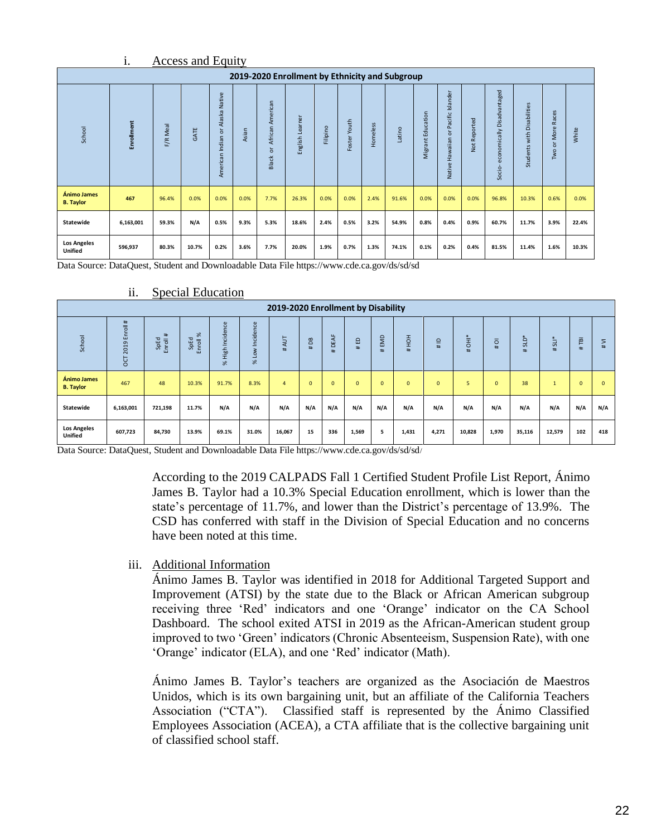|                                      | 1.         | <b>Access and Equity</b> |       |                                                               |       |                                                |                                                |          |              |          |        |                          |                                                            |                     |                                      |                            |                         |       |
|--------------------------------------|------------|--------------------------|-------|---------------------------------------------------------------|-------|------------------------------------------------|------------------------------------------------|----------|--------------|----------|--------|--------------------------|------------------------------------------------------------|---------------------|--------------------------------------|----------------------------|-------------------------|-------|
|                                      |            |                          |       |                                                               |       |                                                | 2019-2020 Enrollment by Ethnicity and Subgroup |          |              |          |        |                          |                                                            |                     |                                      |                            |                         |       |
| School                               | Enrollment | F/R Meal                 | GATE  | Native<br>Alaska<br>$\overline{\sigma}$<br>Indian<br>American | Asian | American<br>African<br>$\overline{5}$<br>Black | Learner<br>English I                           | Filipino | Foster Youth | Homeless | Latino | cation<br>Edu<br>Migrant | Pacific Islander<br>$\overline{\sigma}$<br>Native Hawaiian | <b>Vot Reported</b> | economically Disadvantaged<br>Socio- | Students with Disabilities | Races<br>or More<br>Two | White |
| Ánimo James<br><b>B.</b> Taylor      | 467        | 96.4%                    | 0.0%  | 0.0%                                                          | 0.0%  | 7.7%                                           | 26.3%                                          | 0.0%     | 0.0%         | 2.4%     | 91.6%  | 0.0%                     | 0.0%                                                       | 0.0%                | 96.8%                                | 10.3%                      | 0.6%                    | 0.0%  |
| Statewide                            | 6,163,001  | 59.3%                    | N/A   | 0.5%                                                          | 9.3%  | 5.3%                                           | 18.6%                                          | 2.4%     | 0.5%         | 3.2%     | 54.9%  | 0.8%                     | 0.4%                                                       | 0.9%                | 60.7%                                | 11.7%                      | 3.9%                    | 22.4% |
| <b>Los Angeles</b><br><b>Unified</b> | 596,937    | 80.3%                    | 10.7% | 0.2%                                                          | 3.6%  | 7.7%                                           | 20.0%                                          | 1.9%     | 0.7%         | 1.3%     | 74.1%  | 0.1%                     | 0.2%                                                       | 0.4%                | 81.5%                                | 11.4%                      | 1.6%                    | 10.3% |

Data Source: DataQuest, Student and Downloadable Data File https://www.cde.ca.gov/ds/sd/sd

|                                      |                            |                       |                  |                            |                 | 2019-2020 Enrollment by Disability |              |              |              |              |              |               |        |                         |                        |              |                     |                     |
|--------------------------------------|----------------------------|-----------------------|------------------|----------------------------|-----------------|------------------------------------|--------------|--------------|--------------|--------------|--------------|---------------|--------|-------------------------|------------------------|--------------|---------------------|---------------------|
| School                               | #<br>Enroll:<br>2019<br>ōΩ | #<br>SpEd<br>Enroll # | Enroll %<br>SpEd | High Incidence<br>$\aleph$ | % Low Incidence | AUT<br>#                           | #DB          | DEAF<br>#    | #ED          | EMD<br>#     | HOH<br>#     | $\frac{1}{4}$ | "吉     | $\overline{\circ}$<br># | SLD <sup>3</sup><br>±. | su*<br>÷     | $\overline{p}$<br># | $\overline{z}$<br># |
| Ánimo James<br><b>B.</b> Taylor      | 467                        | 48                    | 10.3%            | 91.7%                      | 8.3%            | $\overline{4}$                     | $\mathbf{0}$ | $\mathbf{0}$ | $\mathbf{0}$ | $\mathbf{0}$ | $\mathbf{0}$ | $\mathbf{0}$  | 5      | $\mathbf{0}$            | 38                     | $\mathbf{1}$ | $\mathbf{0}$        | $\mathbf{0}$        |
| Statewide                            | 6,163,001                  | 721,198               | 11.7%            | N/A                        | N/A             | N/A                                | N/A          | N/A          | N/A          | N/A          | N/A          | N/A           | N/A    | N/A                     | N/A                    | N/A          | N/A                 | N/A                 |
| <b>Los Angeles</b><br><b>Unified</b> | 607,723                    | 84,730                | 13.9%            | 69.1%                      | 31.0%           | 16,067                             | 15           | 336          | 1,569        | 5            | 1,431        | 4,271         | 10,828 | 1,970                   | 35,116                 | 12,579       | 102                 | 418                 |

#### ii. Special Education

Data Source: DataQuest, Student and Downloadable Data File https://www.cde.ca.gov/ds/sd/sd/

According to the 2019 CALPADS Fall 1 Certified Student Profile List Report, Ánimo James B. Taylor had a 10.3% Special Education enrollment, which is lower than the state's percentage of 11.7%, and lower than the District's percentage of 13.9%. The CSD has conferred with staff in the Division of Special Education and no concerns have been noted at this time.

#### iii. Additional Information

Ánimo James B. Taylor was identified in 2018 for Additional Targeted Support and Improvement (ATSI) by the state due to the Black or African American subgroup receiving three 'Red' indicators and one 'Orange' indicator on the CA School Dashboard. The school exited ATSI in 2019 as the African-American student group improved to two 'Green' indicators (Chronic Absenteeism, Suspension Rate), with one 'Orange' indicator (ELA), and one 'Red' indicator (Math).

Ánimo James B. Taylor's teachers are organized as the Asociación de Maestros Unidos, which is its own bargaining unit, but an affiliate of the California Teachers Association ("CTA"). Classified staff is represented by the Ánimo Classified Employees Association (ACEA), a CTA affiliate that is the collective bargaining unit of classified school staff.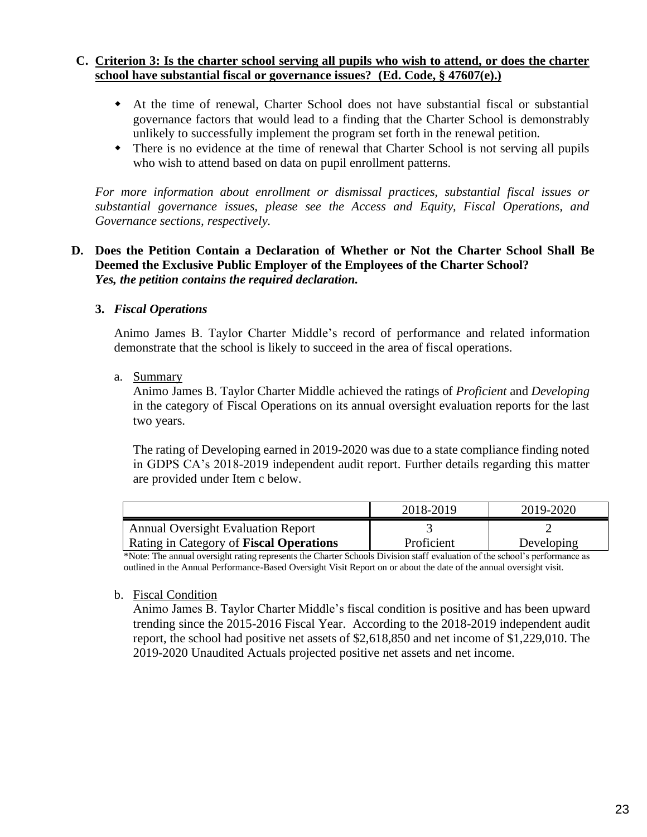### **C. Criterion 3: Is the charter school serving all pupils who wish to attend, or does the charter school have substantial fiscal or governance issues? (Ed. Code, § 47607(e).)**

- At the time of renewal, Charter School does not have substantial fiscal or substantial governance factors that would lead to a finding that the Charter School is demonstrably unlikely to successfully implement the program set forth in the renewal petition.
- There is no evidence at the time of renewal that Charter School is not serving all pupils who wish to attend based on data on pupil enrollment patterns.

*For more information about enrollment or dismissal practices, substantial fiscal issues or substantial governance issues, please see the Access and Equity, Fiscal Operations, and Governance sections, respectively.* 

### **D. Does the Petition Contain a Declaration of Whether or Not the Charter School Shall Be Deemed the Exclusive Public Employer of the Employees of the Charter School?**  *Yes, the petition contains the required declaration.*

### **3.** *Fiscal Operations*

Animo James B. Taylor Charter Middle's record of performance and related information demonstrate that the school is likely to succeed in the area of fiscal operations.

a. Summary

Animo James B. Taylor Charter Middle achieved the ratings of *Proficient* and *Developing*  in the category of Fiscal Operations on its annual oversight evaluation reports for the last two years.

The rating of Developing earned in 2019-2020 was due to a state compliance finding noted in GDPS CA's 2018-2019 independent audit report. Further details regarding this matter are provided under Item c below.

|                                           | 2018-2019  | 2019-2020  |
|-------------------------------------------|------------|------------|
| <b>Annual Oversight Evaluation Report</b> |            |            |
| Rating in Category of Fiscal Operations   | Proficient | Developing |

\*Note: The annual oversight rating represents the Charter Schools Division staff evaluation of the school's performance as outlined in the Annual Performance-Based Oversight Visit Report on or about the date of the annual oversight visit.

### b. Fiscal Condition

Animo James B. Taylor Charter Middle's fiscal condition is positive and has been upward trending since the 2015-2016 Fiscal Year. According to the 2018-2019 independent audit report, the school had positive net assets of \$2,618,850 and net income of \$1,229,010. The 2019-2020 Unaudited Actuals projected positive net assets and net income.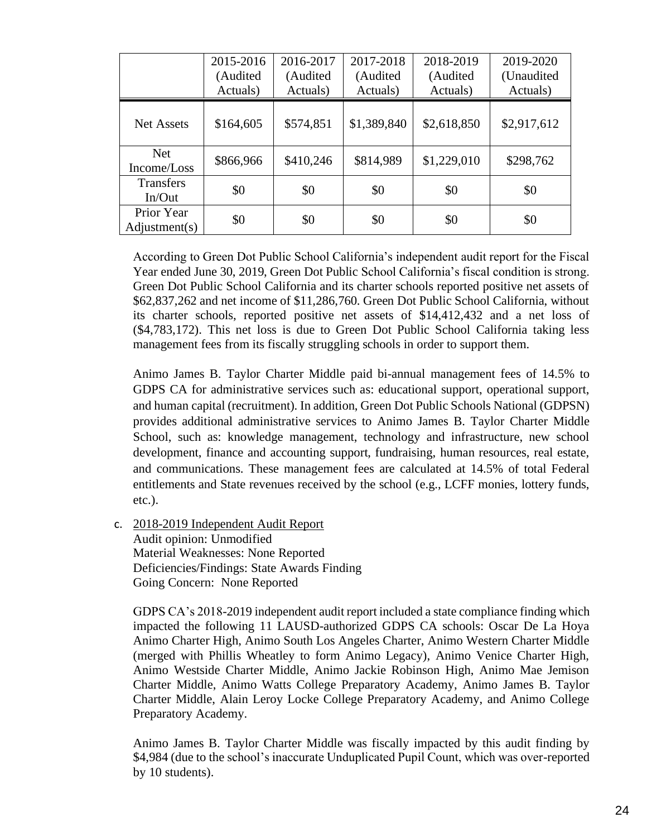|                             | 2015-2016<br>(Audited<br>Actuals) | 2016-2017<br>(Audited<br>Actuals) | 2017-2018<br>(Audited<br>Actuals) | 2018-2019<br>(Audited<br>Actuals) | 2019-2020<br>(Unaudited)<br>Actuals) |
|-----------------------------|-----------------------------------|-----------------------------------|-----------------------------------|-----------------------------------|--------------------------------------|
|                             |                                   |                                   |                                   |                                   |                                      |
| <b>Net Assets</b>           | \$164,605                         | \$574,851                         | \$1,389,840                       | \$2,618,850                       | \$2,917,612                          |
| <b>Net</b><br>Income/Loss   | \$866,966                         | \$410,246                         | \$814,989                         | \$1,229,010                       | \$298,762                            |
| <b>Transfers</b><br>In/Out  | \$0                               | \$0                               | \$0                               | \$0                               | \$0                                  |
| Prior Year<br>Adjustment(s) | \$0                               | \$0                               | \$0                               | \$0                               | \$0                                  |

According to Green Dot Public School California's independent audit report for the Fiscal Year ended June 30, 2019, Green Dot Public School California's fiscal condition is strong. Green Dot Public School California and its charter schools reported positive net assets of \$62,837,262 and net income of \$11,286,760. Green Dot Public School California, without its charter schools, reported positive net assets of \$14,412,432 and a net loss of (\$4,783,172). This net loss is due to Green Dot Public School California taking less management fees from its fiscally struggling schools in order to support them.

Animo James B. Taylor Charter Middle paid bi-annual management fees of 14.5% to GDPS CA for administrative services such as: educational support, operational support, and human capital (recruitment). In addition, Green Dot Public Schools National (GDPSN) provides additional administrative services to Animo James B. Taylor Charter Middle School, such as: knowledge management, technology and infrastructure, new school development, finance and accounting support, fundraising, human resources, real estate, and communications. These management fees are calculated at 14.5% of total Federal entitlements and State revenues received by the school (e.g., LCFF monies, lottery funds, etc.).

c. 2018-2019 Independent Audit Report

Audit opinion: Unmodified Material Weaknesses: None Reported Deficiencies/Findings: State Awards Finding Going Concern: None Reported

GDPS CA's 2018-2019 independent audit report included a state compliance finding which impacted the following 11 LAUSD-authorized GDPS CA schools: Oscar De La Hoya Animo Charter High, Animo South Los Angeles Charter, Animo Western Charter Middle (merged with Phillis Wheatley to form Animo Legacy), Animo Venice Charter High, Animo Westside Charter Middle, Animo Jackie Robinson High, Animo Mae Jemison Charter Middle, Animo Watts College Preparatory Academy, Animo James B. Taylor Charter Middle, Alain Leroy Locke College Preparatory Academy, and Animo College Preparatory Academy.

Animo James B. Taylor Charter Middle was fiscally impacted by this audit finding by \$4,984 (due to the school's inaccurate Unduplicated Pupil Count, which was over-reported by 10 students).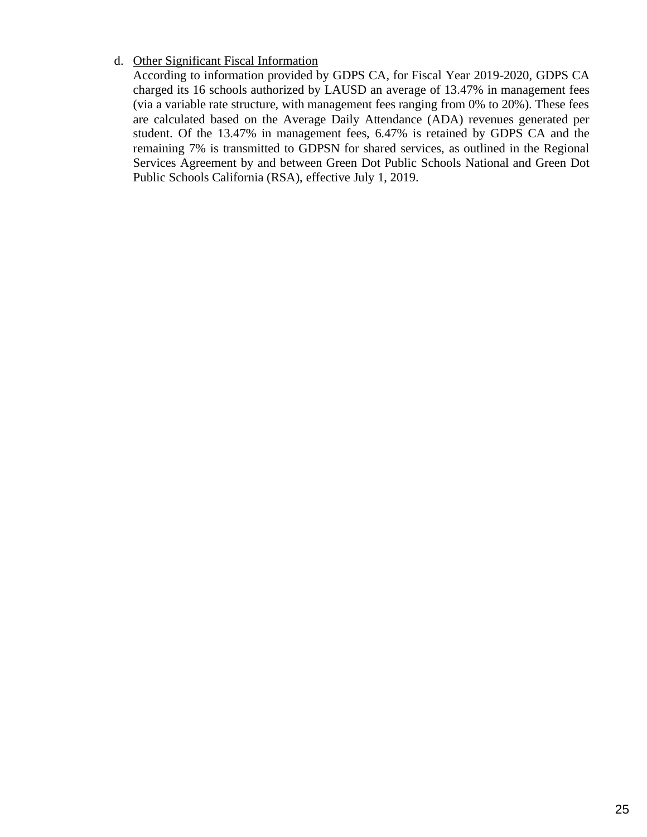### d. Other Significant Fiscal Information

According to information provided by GDPS CA, for Fiscal Year 2019-2020, GDPS CA charged its 16 schools authorized by LAUSD an average of 13.47% in management fees (via a variable rate structure, with management fees ranging from 0% to 20%). These fees are calculated based on the Average Daily Attendance (ADA) revenues generated per student. Of the 13.47% in management fees, 6.47% is retained by GDPS CA and the remaining 7% is transmitted to GDPSN for shared services, as outlined in the Regional Services Agreement by and between Green Dot Public Schools National and Green Dot Public Schools California (RSA), effective July 1, 2019.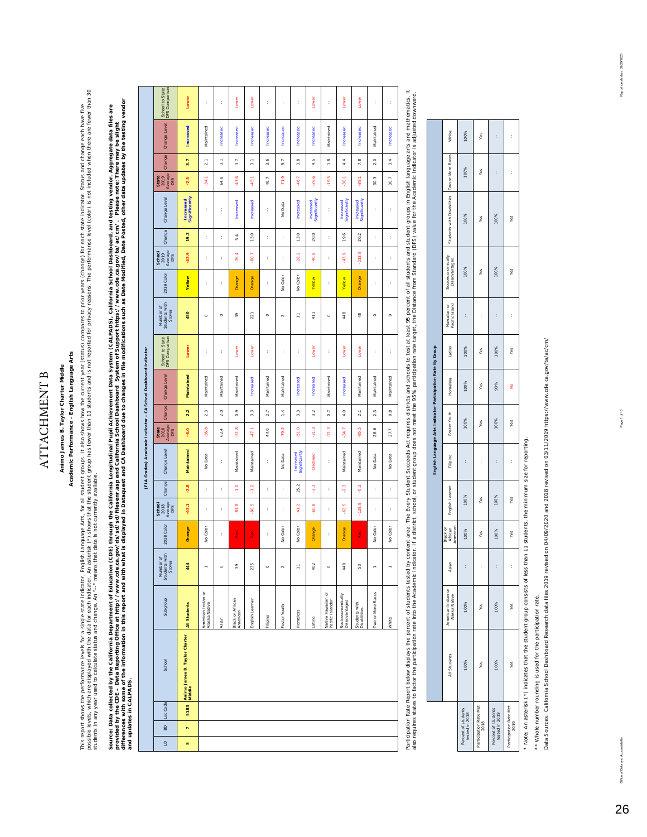### **ATTACHMENT B** ATTACHMENT B

### Animo James B. Taylor Charter Middle **Animo James B. Taylor Charter Middle**

### Academic Performance - English Language Arts **Academic Performance - English Language Arts**

This report shows the performance levels for a single state indicator. English, for all student groups. It also shows how the current year (status) compares to prior years (change) for each state indicator. Status and chan possible levels, which are dayalayed with the data for each indicator. An asterisk (\*) shows that the student group has fewer than 11 students and is not reported for privacy reasons. The performance level (color) is not i This report shows the performance levels for a single state indicator, English Language Arts, for all student groups. It also shows thow the current year (status) compares to prior years (change) for each state indicator. students in any year used to calculate status and change. An "--" means that data is not currently available.

Source: Data collected by the California Department of Education (CDE) through the Californial Publicational optace the System (CALPADS), California School Dashboard, and testing vendor. Aggregate data files are<br>provided b differences with some of the information in this report and with what is displayed in Dataquest and CA Dashboard due to changes in file modifical as Date Modified, Date Posted, other data updates by the testing vendor Source: Data collected by the California Department of Education (CDE) through the California Longin Mindial Pupil Achievement Data System (CALPADS), California School Dashboard, and testing vendor. Aggregate data files ar *provided by the CDE – Data Reporting Office at http://www.cde.ca.gov/ds/sd/sd/filesenr.asp and California School Dashboard System of Support https://www.cde.ca.gov/ta/ac/cm/. Please note: There may be slight and updates in CALPADS.* 

|                                                                 | School to State<br>DFS Comparison    | Lower                                   | t                                   | t          | Lower                        | Lower           | t          | t             | t                          | Lower                      | t                                      | Lower                              | Lower                         | t                 | t          |
|-----------------------------------------------------------------|--------------------------------------|-----------------------------------------|-------------------------------------|------------|------------------------------|-----------------|------------|---------------|----------------------------|----------------------------|----------------------------------------|------------------------------------|-------------------------------|-------------------|------------|
|                                                                 | Change Level                         | Increased                               | Maintained                          | Increased  | Increased                    | Increased       | Increased  | Increased     | Increased                  | Increased                  | Maintained                             | Increased                          | Increased                     | Maintained        | Increased  |
|                                                                 | Change                               | 3.7                                     | 2.1                                 | $3.1$      | 3.7                          | $\frac{1}{3}$   | 3.6        | 5.7           | 3.8                        | 4.5                        | $\frac{8}{1}$                          | 4.4                                | 7.8                           | 2.0               | 3.4        |
|                                                                 | Average<br>State<br>2019             | $-2.5$                                  | $-34.1$                             | 64.8       | $-47.6$                      | $-45.1$         | 46.7       | $-71.9$       | $-46.7$                    | $-26.6$                    | $-19.5$                                | $-30.1$                            | $-88.1$                       | 30.3              | 30.7       |
|                                                                 | Change Level                         | Increased<br>Significantly              | ł                                   | t          | Increased                    | Increased       | ţ.         | No Data       | Increased                  | Increased<br>Significantly | ţ.                                     | Increased<br>Significantly         | Increased<br>Significantly    | ţ                 | ţ          |
|                                                                 | Change                               | 19.2                                    | t                                   | ł.         | 5.4                          | 13.0            | ţ.         | t             | 13.0                       | 20.0                       | ţ.                                     | 19.6                               | 20.2                          | ţ.                | t          |
|                                                                 | Average<br>DFS<br>School<br>2019     | $-43.9$                                 | t                                   | t          | $-76.4$                      | $-80.7$         | ţ.         | t             | $-28.2$                    | $-40.8$                    | t                                      | $-43.9$                            | $-112.9$                      | ł                 | ţ          |
|                                                                 | 2019 Color                           | <b>Yellow</b>                           | t                                   | t          | Orange                       | Orange          | ţ.         | No Color      | No Color                   | Yellow                     | t                                      | Yellow                             | Orange                        | t                 | t          |
|                                                                 | Number of<br>Students with<br>Scores | 450                                     | $\circ$                             | $\circ$    | 39                           | 221             | $\circ$    | $\sim$        | Ξ                          | $\frac{1}{4}$              | $\circ$                                | 448                                | 48                            | $\circ$           | $\circ$    |
|                                                                 | School to State<br>DFS Comparison    | Lower                                   | ţ                                   | t          | Lower                        | Lower           | t          | t             | t                          | Lower                      | t                                      | Lower                              | Lower                         | t                 | t          |
|                                                                 | Change Level                         | Maintained                              | Maintained                          | Maintained | Maintained                   | Increased       | Maintained | Maintained    | Increased                  | Increased                  | Maintained                             | Increased                          | Maintained                    | Maintained        | Maintained |
|                                                                 | Change                               | 2.2                                     | 2.3                                 | $^{2.0}$   | $\ddot{\phantom{0}}$         | $\frac{3}{3}$   | 2.7        | $\frac{4}{1}$ | $3.\overline{3}$           | $3.\overline{2}$           | $\overline{0}$ .7                      | 4.0                                | 2.1                           | 2.3               | $^{0.8}$   |
|                                                                 | State<br>2018<br>Average<br>DFS      | $-6.0$                                  | $-36.8$                             | 62.4       | $-51.8$                      | -47.1           | 44.0       | $-79.2$       | $-51.0$                    | $-31.3$                    | $-21.3$                                | $-34.7$                            | $-95.5$                       | 28.6              | 27.7       |
| (ELA Grades) Academic Indicator - CA School Dashboard Indicator | Change Level                         | Maintained                              | No Data                             | ł,         | Maintained                   | Maintained      | ł,         | No Data       | Increased<br>Significantly | Declined                   | t                                      | Maintained                         | Maintained                    | No Data           | No Data    |
|                                                                 | Change                               | $-2.8$                                  | t                                   | t          | S.L                          | $\frac{2}{3}$   | ţ.         | t             | 25.2                       | $\frac{33}{2}$             | t                                      | $-2.3$                             | 5                             | ł                 | ţ          |
|                                                                 | Average<br>DFS<br>School<br>2018     | $-63.1$                                 | t                                   | t          | -81.8                        | $-90.5$         | t          | f.            | $-41.2$                    | $-60.8$                    | t                                      | $-63.5$                            | $-128.8$                      | t                 | t          |
|                                                                 | 2018 Color                           | Orange                                  | No Color                            | ł.         | Red                          | Red             | t          | No Color      | No Color                   | Orange                     | t                                      | Orange                             | Red                           | No Color          | No Color   |
|                                                                 | Number of<br>Students with<br>Scores | 444                                     | $\overline{a}$                      | $\circ$    | $\frac{8}{3}$                | 235             | $\circ$    | $\sim$        | Ξ                          | 402                        | $\circ$                                | 440                                | 53                            | ÷                 | T          |
|                                                                 | Subgroup                             | All Students                            | American Indian or<br>Alaska Native | Asian      | Black or African<br>American | English Learner | Filipino   | Foster Youth  | Homeless                   | Latino                     | Native Havaiian or<br>Pacific Islander | Socioeconomically<br>Disadvantaged | Students with<br>Disabilities | Two or More Races | White      |
|                                                                 | School                               | Animo James B. Taylor Charter<br>Middle |                                     |            |                              |                 |            |               |                            |                            |                                        |                                    |                               |                   |            |
|                                                                 | Loc Code                             | 5183                                    |                                     |            |                              |                 |            |               |                            |                            |                                        |                                    |                               |                   |            |
|                                                                 | $\mathsf{B}$                         | H                                       |                                     |            |                              |                 |            |               |                            |                            |                                        |                                    |                               |                   |            |
|                                                                 | $\mathsf{S}$                         | <sub>S</sub>                            |                                     |            |                              |                 |            |               |                            |                            |                                        |                                    |                               |                   |            |

Participation Rate Report below displays the percent of students tested by content area. The Every Student Succeeds Act requires districts and schools to test at least 95 percent of all students and student groups in Engli Participation Rate Report below displays the percent of sudents rested by contents the Every Students rea. The Every Students and schools to test and substant and students and groupling and mathematics. It also requires to factor the participation rate into the Academic Indication the Academic Indicator, or student group does not meet the 95% participation rate target, the Distance from Standard (DFS) value for the Academic

L

|                                       |                                                                                                                     |                                     |       |                                 |                 |          | English Language Arts Indicator Participation Rate By Group |          |        |                                |                                    |                                              |      |       |
|---------------------------------------|---------------------------------------------------------------------------------------------------------------------|-------------------------------------|-------|---------------------------------|-----------------|----------|-------------------------------------------------------------|----------|--------|--------------------------------|------------------------------------|----------------------------------------------|------|-------|
|                                       | All Students                                                                                                        | American Indian or<br>Alaska Native | Aslan | American<br>Black or<br>African | English Learner | Filipino | Foster Youth                                                | Homeless | Latino | Havailan or<br>Pacific I sland | Socioeconomically<br>Disadvantaged | Students with Disabilities Two or More Races |      | White |
| Percent of students<br>tested in 2018 | 100%                                                                                                                | 100%                                | ĵ     | 100%                            | 100%            | ł        | 100%                                                        | 100%     | 100%   | ł                              | 100%                               | 100%                                         | 100% | 100%  |
| Participation Rate Met<br>2018        | Yes                                                                                                                 | Yes                                 | ĵ     | Yes                             | Yes             | ì        | Yes                                                         | Yes      | Yes    | $\ddot{ }$                     | Yes                                | Yes                                          | Yes  | Yes   |
| Percent of students<br>tested in 2019 | 100%                                                                                                                | 100%                                | ł     | 100%                            | 100%            | ł        | 100%                                                        | 93%      | 100%   | ł                              | 100%                               | 100%                                         | ì    | ì     |
| Participation Rate Met<br>2019        | Yes                                                                                                                 | Yes                                 | ì     | Yes                             | Yes             | ì        | Yes                                                         | ş        | Yes    | ì                              | Yes                                | Yes                                          | ì    | ì     |
|                                       | 1、2000年,2010年,1000年至1000年,1000年,1000年至1000年,1000年,1000年,1000年至1000年,1000年,1000年至1000年至1000年,1000年至10 年,1000年至1000年, |                                     |       |                                 |                 |          |                                                             |          |        |                                |                                    |                                              |      |       |

reporting. \* Note: An asterisk (\*) indicates that the student group consists of less than 11 students, the minimum size for reporting.  $\overline{2}$  $\frac{1}{2}$ Note: An asterisk (\*) indicates that the student group consists \*\* Whole number rounding is used for the participation rate.

Data Sources: California School Dashboard Research data files 2019 revised on 04/09/2020 and 2018 revised on 03/11/2019 https://www.cde.ca.gov/ta/ac/cm/ Data Sources: California School Dashboard Research data files 2019 revised on 04/09/2020 and 2018 revised on 03/11/2019 https://www.cde.ca.gov/ta/ac/cm/ \*\* Whole number rounding is used for the participation rate.

Office of Data and Accountability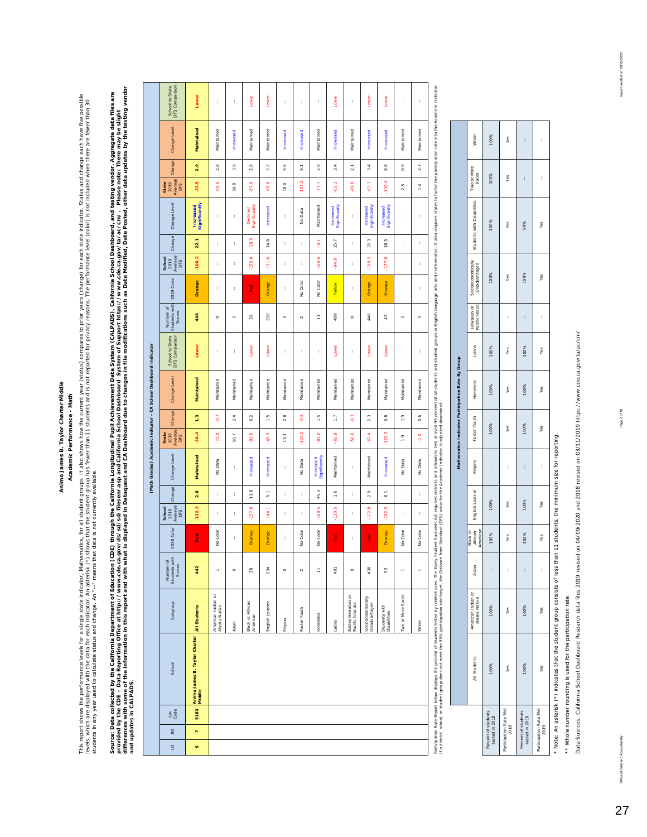### Academic Performance - Math **Academic Performance - Math**

This report shows the performance levels for a single scate induction, Mathematical interpret in the current year (status) compares to prior years (change) for each state indicator. Status and change each have five possibl This report shows the performance levels for a single state indicator, Mathematics, for all student groups. It also shows how the current year (status) compares to prior years (change) for each ediator. Status and change e evels, which are displayed with the data for each indicator. An asterist A nast that the student group has fewer than 11 students and is not reported for privacy reasons. The performance level (color) is not included when students in any year used to calculate status and change. An "--" means that data is not currently available.

Source: Data collected by the California Department of Education (CDE) through the Galifornia Longitudinal Pupil Achievement Data System (CALPADS), California School Dashboard, and testing vendor. Aggregate data files are<br> differences with some of the information in this report and with what is displayed in Dataquest and CA Dashboard due to changes in file modifications such as Date Modified, Date Posted, other data updates by the testing ve Source: Data collected by the California Department of Education of Education (CDE) through the Californial Nupil Achievem to Data System (CALPADS), California School Dashboard, and testing vendor. Aggregate data files are *provided by the CDE – Data Reporting Office at http://www.cde.ca.gov/ds/sd/sd/filesenr.asp and California School Dashboard System of Support https://www.cde.ca.gov/ta/ac/cm/. Please note: There may be slight and updates in CALPADS.* 

| School to State<br>DFS Comparison<br>Lower<br>Lower<br>Lower<br>Lower<br>Lower<br>Lower<br>t<br>t<br>ţ.<br>t<br>ţ.<br>t<br>t<br>ţ.<br>Change Level<br>Maintained<br>Maintained<br>Maintained<br>Maintained<br>Maintained<br>Maintained<br>Maintained<br>Maintained<br>Increased<br>Increased<br>Increased<br>Increased<br>Increased<br>Increased<br>Change<br>2.9<br>2.8<br>5.6<br>6.6<br>3.9<br>2.8<br>2.2<br>2.9<br>$0.\overline{9}$<br>3.4<br>3.4<br>2.7<br>5.1<br>$\frac{1}{2}$<br>Average<br>$-107.2$<br>$-119.4$<br>$-33.5$<br>$\frac{1}{2019}$<br>$-69.6$<br>-87.9<br>-68.6<br>$-77.7$<br>$-62.2$<br>$-49.8$<br>$-63.7$<br>59.8<br>18.0<br>2.5<br>$1.4\,$<br>Significantly<br>Change Level<br>Significantly<br>Significantly<br>Significantly<br>Significantly<br><b>Increased</b><br>Maintained<br>Increased<br>Increased<br>Increased<br>Increased<br>Declined<br>No Data<br>t<br>t<br>t<br>ţ.<br>t<br>t<br>Change<br>$-18.3$<br>14.8<br>18.3<br>25.7<br>22.3<br>22.1<br>Ş<br>t<br>t<br>ţ.<br>ł<br>t<br>t<br>t<br>Average<br>$-100.2$<br>155.9<br>$-131.6$<br>$-1000.5$<br>$-177.0$<br>School<br>$2019$<br>$-100.6$<br>œ<br>t<br>t<br>t<br>t<br>ţ.<br>t<br>t<br>$\frac{3}{4}$<br>2019 Color<br>Orange<br>No Color<br>No Color<br>Orange<br>Orange<br>Yellow<br>Orange<br>Red<br>t<br>t<br>ł,<br>t<br>t<br>ł<br>Students with<br>Number of<br>Scores<br>448<br>446<br>409<br>220<br>$_{39}^{\circ}$<br>Ξ<br>$\overline{4}$<br>$\circ$<br>$\circ$<br>$\circ$<br>$\circ$<br>$\circ$<br>$\sim$<br>$\circ$<br>School to State<br>DFS Comparison<br>Lower<br>Lower<br>Lower<br>Lower<br>Lower<br>Lower<br>t<br>t<br>t<br>t<br>ţ.<br>ţ.<br>t<br>ţ.<br>Change Level<br>Maintained<br>Maintained<br>Maintained<br>Maintained<br>Maintained<br>Maintained<br>Maintained<br>Maintained<br>Maintained<br>Maintained<br>Maintained<br>Maintained<br>Maintained<br>Maintained<br>Change<br>$\frac{5}{9}$<br>5<br>1.3<br>$\frac{5}{1}$<br>$\overline{2.8}$<br>$\frac{5}{1}$<br>$\frac{7}{2}$<br>Ş<br>2.3<br>0.8<br>1.9<br>0.6<br>2.4<br>0.2<br>Average<br>$-114.0$<br>$-125.3$<br>$-36.4$<br>-81.0<br>$-73.0$<br>ιή<br>-69.9<br>$-65.8$<br>$-52.0$<br>$-67.4$<br>$\frac{state}{2018}$<br>56.7<br>13.1<br>-1.0<br>DFS<br>$\frac{9}{1}$<br>ξ.<br>Change Level<br>Maintained<br>Significantly<br>Maintained<br>Maintained<br>Increased<br>Increased<br>Increased<br>Increased<br>Data<br>No Data<br>Data<br>No Data<br>ţ.<br>t<br>ţ.<br>ş<br>ş<br>Change<br>11.8<br>45.3<br>2.6<br>1.6<br>2.9<br>6.1<br>t<br>5.1<br>ţ.<br>t<br>t<br>ţ.<br>ţ.<br>t<br>Average<br>$-122.3$<br>$-137.6$<br>$-1000.5$<br>$-120.5$<br>$-192.3$<br>$-122.8$<br>$-144.1$<br>School<br>2018<br>t<br>ţ.<br>ţ.<br>t<br>t<br>t<br>t<br>2018 Color<br>No Color<br>No Color<br>No Color<br>No Color<br>No Color<br>Orange<br>Orange<br>Orange<br><b>Red</b><br>Red<br>Red<br>ţ.<br>t<br>t<br>Students with<br>Number of<br>Scores<br>442<br>438<br>234<br>$\mathfrak{g}_2^0$<br>$\overline{5}$<br>$\mathbb{S}^3$<br>$\circ$<br>$\circ$<br>$\sim$<br>Ξ<br>$\circ$<br>÷<br>÷<br>٣<br>American Indian or<br>Alaska Native<br>Two or More Races<br>Native Hawailan or<br>Pacific Islander<br>Socioeconomically<br>Disadvantaged<br>Black or African<br>American<br>Subgroup<br>English Learner<br>Students with<br>Disabilities<br>All Students<br>Foster Youth<br>Homeless<br>Filipino<br>Latino<br>Asian<br>White<br>Animo James B. Taylor Charter<br>Middle<br>School |             |  |  |  |  | (Math Grades) Academic Indicator - CA School Dashboard Indicator |  |  |  |  |  |
|--------------------------------------------------------------------------------------------------------------------------------------------------------------------------------------------------------------------------------------------------------------------------------------------------------------------------------------------------------------------------------------------------------------------------------------------------------------------------------------------------------------------------------------------------------------------------------------------------------------------------------------------------------------------------------------------------------------------------------------------------------------------------------------------------------------------------------------------------------------------------------------------------------------------------------------------------------------------------------------------------------------------------------------------------------------------------------------------------------------------------------------------------------------------------------------------------------------------------------------------------------------------------------------------------------------------------------------------------------------------------------------------------------------------------------------------------------------------------------------------------------------------------------------------------------------------------------------------------------------------------------------------------------------------------------------------------------------------------------------------------------------------------------------------------------------------------------------------------------------------------------------------------------------------------------------------------------------------------------------------------------------------------------------------------------------------------------------------------------------------------------------------------------------------------------------------------------------------------------------------------------------------------------------------------------------------------------------------------------------------------------------------------------------------------------------------------------------------------------------------------------------------------------------------------------------------------------------------------------------------------------------------------------------------------------------------------------------------------------------------------------------------------------------------------------------------------------------------------------------------------------------------------------------------------------------------------------------------------------------------------------------------------------------------------------------------------------------------------------------------------------------------------------------------------------------------------------------------------------------------------------------------------------------------------------------------------------------------------------------------------------------------------------------------------------|-------------|--|--|--|--|------------------------------------------------------------------|--|--|--|--|--|
|                                                                                                                                                                                                                                                                                                                                                                                                                                                                                                                                                                                                                                                                                                                                                                                                                                                                                                                                                                                                                                                                                                                                                                                                                                                                                                                                                                                                                                                                                                                                                                                                                                                                                                                                                                                                                                                                                                                                                                                                                                                                                                                                                                                                                                                                                                                                                                                                                                                                                                                                                                                                                                                                                                                                                                                                                                                                                                                                                                                                                                                                                                                                                                                                                                                                                                                                                                                                                                | Loc<br>Code |  |  |  |  |                                                                  |  |  |  |  |  |
|                                                                                                                                                                                                                                                                                                                                                                                                                                                                                                                                                                                                                                                                                                                                                                                                                                                                                                                                                                                                                                                                                                                                                                                                                                                                                                                                                                                                                                                                                                                                                                                                                                                                                                                                                                                                                                                                                                                                                                                                                                                                                                                                                                                                                                                                                                                                                                                                                                                                                                                                                                                                                                                                                                                                                                                                                                                                                                                                                                                                                                                                                                                                                                                                                                                                                                                                                                                                                                | 5183        |  |  |  |  |                                                                  |  |  |  |  |  |
|                                                                                                                                                                                                                                                                                                                                                                                                                                                                                                                                                                                                                                                                                                                                                                                                                                                                                                                                                                                                                                                                                                                                                                                                                                                                                                                                                                                                                                                                                                                                                                                                                                                                                                                                                                                                                                                                                                                                                                                                                                                                                                                                                                                                                                                                                                                                                                                                                                                                                                                                                                                                                                                                                                                                                                                                                                                                                                                                                                                                                                                                                                                                                                                                                                                                                                                                                                                                                                |             |  |  |  |  |                                                                  |  |  |  |  |  |
|                                                                                                                                                                                                                                                                                                                                                                                                                                                                                                                                                                                                                                                                                                                                                                                                                                                                                                                                                                                                                                                                                                                                                                                                                                                                                                                                                                                                                                                                                                                                                                                                                                                                                                                                                                                                                                                                                                                                                                                                                                                                                                                                                                                                                                                                                                                                                                                                                                                                                                                                                                                                                                                                                                                                                                                                                                                                                                                                                                                                                                                                                                                                                                                                                                                                                                                                                                                                                                |             |  |  |  |  |                                                                  |  |  |  |  |  |
|                                                                                                                                                                                                                                                                                                                                                                                                                                                                                                                                                                                                                                                                                                                                                                                                                                                                                                                                                                                                                                                                                                                                                                                                                                                                                                                                                                                                                                                                                                                                                                                                                                                                                                                                                                                                                                                                                                                                                                                                                                                                                                                                                                                                                                                                                                                                                                                                                                                                                                                                                                                                                                                                                                                                                                                                                                                                                                                                                                                                                                                                                                                                                                                                                                                                                                                                                                                                                                |             |  |  |  |  |                                                                  |  |  |  |  |  |
|                                                                                                                                                                                                                                                                                                                                                                                                                                                                                                                                                                                                                                                                                                                                                                                                                                                                                                                                                                                                                                                                                                                                                                                                                                                                                                                                                                                                                                                                                                                                                                                                                                                                                                                                                                                                                                                                                                                                                                                                                                                                                                                                                                                                                                                                                                                                                                                                                                                                                                                                                                                                                                                                                                                                                                                                                                                                                                                                                                                                                                                                                                                                                                                                                                                                                                                                                                                                                                |             |  |  |  |  |                                                                  |  |  |  |  |  |
|                                                                                                                                                                                                                                                                                                                                                                                                                                                                                                                                                                                                                                                                                                                                                                                                                                                                                                                                                                                                                                                                                                                                                                                                                                                                                                                                                                                                                                                                                                                                                                                                                                                                                                                                                                                                                                                                                                                                                                                                                                                                                                                                                                                                                                                                                                                                                                                                                                                                                                                                                                                                                                                                                                                                                                                                                                                                                                                                                                                                                                                                                                                                                                                                                                                                                                                                                                                                                                |             |  |  |  |  |                                                                  |  |  |  |  |  |
|                                                                                                                                                                                                                                                                                                                                                                                                                                                                                                                                                                                                                                                                                                                                                                                                                                                                                                                                                                                                                                                                                                                                                                                                                                                                                                                                                                                                                                                                                                                                                                                                                                                                                                                                                                                                                                                                                                                                                                                                                                                                                                                                                                                                                                                                                                                                                                                                                                                                                                                                                                                                                                                                                                                                                                                                                                                                                                                                                                                                                                                                                                                                                                                                                                                                                                                                                                                                                                |             |  |  |  |  |                                                                  |  |  |  |  |  |
|                                                                                                                                                                                                                                                                                                                                                                                                                                                                                                                                                                                                                                                                                                                                                                                                                                                                                                                                                                                                                                                                                                                                                                                                                                                                                                                                                                                                                                                                                                                                                                                                                                                                                                                                                                                                                                                                                                                                                                                                                                                                                                                                                                                                                                                                                                                                                                                                                                                                                                                                                                                                                                                                                                                                                                                                                                                                                                                                                                                                                                                                                                                                                                                                                                                                                                                                                                                                                                |             |  |  |  |  |                                                                  |  |  |  |  |  |
|                                                                                                                                                                                                                                                                                                                                                                                                                                                                                                                                                                                                                                                                                                                                                                                                                                                                                                                                                                                                                                                                                                                                                                                                                                                                                                                                                                                                                                                                                                                                                                                                                                                                                                                                                                                                                                                                                                                                                                                                                                                                                                                                                                                                                                                                                                                                                                                                                                                                                                                                                                                                                                                                                                                                                                                                                                                                                                                                                                                                                                                                                                                                                                                                                                                                                                                                                                                                                                |             |  |  |  |  |                                                                  |  |  |  |  |  |
|                                                                                                                                                                                                                                                                                                                                                                                                                                                                                                                                                                                                                                                                                                                                                                                                                                                                                                                                                                                                                                                                                                                                                                                                                                                                                                                                                                                                                                                                                                                                                                                                                                                                                                                                                                                                                                                                                                                                                                                                                                                                                                                                                                                                                                                                                                                                                                                                                                                                                                                                                                                                                                                                                                                                                                                                                                                                                                                                                                                                                                                                                                                                                                                                                                                                                                                                                                                                                                |             |  |  |  |  |                                                                  |  |  |  |  |  |
|                                                                                                                                                                                                                                                                                                                                                                                                                                                                                                                                                                                                                                                                                                                                                                                                                                                                                                                                                                                                                                                                                                                                                                                                                                                                                                                                                                                                                                                                                                                                                                                                                                                                                                                                                                                                                                                                                                                                                                                                                                                                                                                                                                                                                                                                                                                                                                                                                                                                                                                                                                                                                                                                                                                                                                                                                                                                                                                                                                                                                                                                                                                                                                                                                                                                                                                                                                                                                                |             |  |  |  |  |                                                                  |  |  |  |  |  |
|                                                                                                                                                                                                                                                                                                                                                                                                                                                                                                                                                                                                                                                                                                                                                                                                                                                                                                                                                                                                                                                                                                                                                                                                                                                                                                                                                                                                                                                                                                                                                                                                                                                                                                                                                                                                                                                                                                                                                                                                                                                                                                                                                                                                                                                                                                                                                                                                                                                                                                                                                                                                                                                                                                                                                                                                                                                                                                                                                                                                                                                                                                                                                                                                                                                                                                                                                                                                                                |             |  |  |  |  |                                                                  |  |  |  |  |  |
|                                                                                                                                                                                                                                                                                                                                                                                                                                                                                                                                                                                                                                                                                                                                                                                                                                                                                                                                                                                                                                                                                                                                                                                                                                                                                                                                                                                                                                                                                                                                                                                                                                                                                                                                                                                                                                                                                                                                                                                                                                                                                                                                                                                                                                                                                                                                                                                                                                                                                                                                                                                                                                                                                                                                                                                                                                                                                                                                                                                                                                                                                                                                                                                                                                                                                                                                                                                                                                |             |  |  |  |  |                                                                  |  |  |  |  |  |
|                                                                                                                                                                                                                                                                                                                                                                                                                                                                                                                                                                                                                                                                                                                                                                                                                                                                                                                                                                                                                                                                                                                                                                                                                                                                                                                                                                                                                                                                                                                                                                                                                                                                                                                                                                                                                                                                                                                                                                                                                                                                                                                                                                                                                                                                                                                                                                                                                                                                                                                                                                                                                                                                                                                                                                                                                                                                                                                                                                                                                                                                                                                                                                                                                                                                                                                                                                                                                                |             |  |  |  |  |                                                                  |  |  |  |  |  |

Partic particle of students rested by content area. The Every Student area schools of call equives and schools to test at least 95 percent of all and student growth in a fact the participation rate into the Akademic Indica nauag udent groups ga Particpation Rate Report below displays the percent of students tested by content area. The Every Student Successives Art requires districts and schools to test at least 95 percent if a digusted control. If a distribution If a district, school, or student group does not meet the 95% participation rate target, the Distance from Standard (DFS) value for the Academic Indicator is adjusted downward.

|                                       |              |                                          |       |                                 |                 |          | Mathematics Indicator Participation Rate By Group |          |        |                               |                                    |                            |                      |       |
|---------------------------------------|--------------|------------------------------------------|-------|---------------------------------|-----------------|----------|---------------------------------------------------|----------|--------|-------------------------------|------------------------------------|----------------------------|----------------------|-------|
|                                       | All Students | an or<br>Alaska Native<br>American India | Aslan | African<br>American<br>Black or | English Learner | Filipino | Foster Youth                                      | Homeless | Latino | Hawailan or<br>Pacific Island | Socioeconomically<br>Disadvantaged | Students with Disabilities | Two or More<br>Races | White |
| Percent of students<br>tested in 2018 | 100%         | 100%                                     | ł     | 100%                            | 100%            | ł        | 100%                                              | 100%     | 100%   | ł                             | 100%                               | 100%                       | 100%                 | 100%  |
| Participation Rate Met<br>2018        | Yes          | Yes                                      | ì     | Yes                             | Yes             | Í        | Yes                                               | Yes      | Yes    | ł                             | Yes                                | Yes                        | Yes                  | Yes   |
| Percent of students<br>tested in 2019 | 100%         | 100%                                     | ł     | 100%                            | 100%            | ł        | 100%                                              | 100%     | 100%   | ł                             | 100%                               | 98%                        | ł                    | ł     |
| Participation Rate Met<br>2019        | Yes          | Yes                                      | ł     | Yes                             | Yes             | ì        | Yes                                               | Yes      | Yes    | ł                             | Yes                                | Yes                        | ì                    | ì     |

**The Contract** 

٦

 $\overline{\phantom{0}}$ 

a di seri

\* Note: An asterisk (\*) indicates that the student group consists of less than 11 students, the minimum size for reporting. \* Note: An asterisk (\*) indicates that the student group consists of less than 11 students, the minimum size for reporting.

\*\* Whole number rounding is used for the participation rate. \*\* Whole number rounding is used for the participation rate.

Data Sources: California School Dashboard Research data files 2019 revised on 04/09/2020 and 2018 revised on 03/11/2019 https://www.cde.ca.gov/ta/ac/cm/ Data Sources: California School Dashboard Research data files 2019 revised on 04/09/2020 and 2018 revised on 03/11/2019 https://www.cde.ca.gov/ta/ac/cm/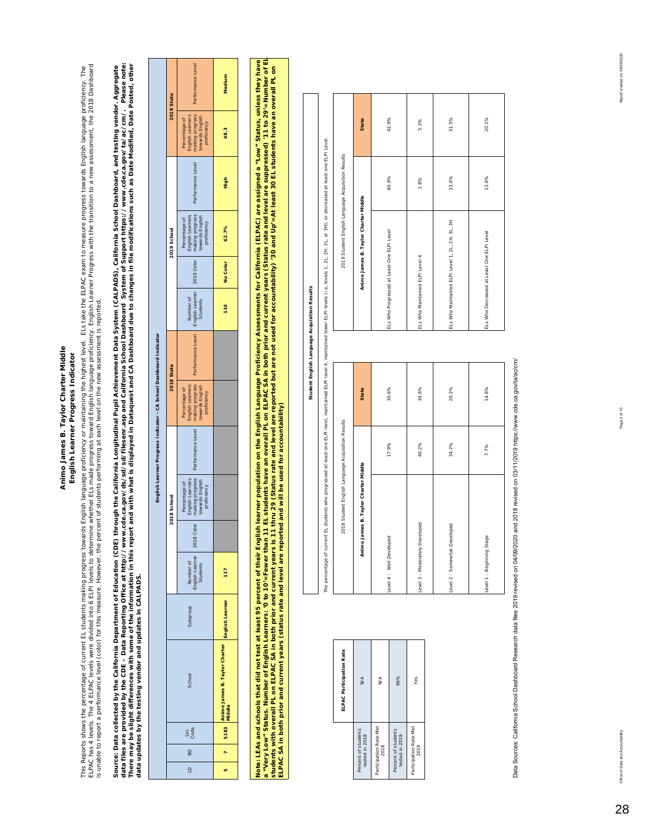### Animo James B. Taylor Charter Middle **Animo James B. Taylor Charter Middle** English Learner Progress Indicator **English Learner Progress Indicator**

This Reports shows the percentage of current EL students making progress towards English language proficiency inclusively. The highest level. ELs take the ELPAC exam to measure progress towards English language proficency. ELPAC has 4 ELPAC levels were divided into 6 ELPI levels to determine whether ELs made progress to anguage proficiency. English Learner Progress with the transition to a new assessment, the 2018 Dashdoard This Reports shows the percentage of currents making progress towards English language proficiency or maintaining the highest level. ELs take the ELPAC exam to measure progress towards English language proficiency. The is unable to report a performance level (color) for this measure. However, the percent of students performing at each level on the new assessment is reported.

Source: Data collected by the California Department of Education (CDE) through the California Longitudinal Pupil Achievement Data System (CALPADS), California School Dashboard, and testing vendor. Aggregate<br>data files are *data files are provided by the CDE – Data Reporting Office at http://www.cde.ca.gov/ds/sd/sd/filesenr.asp and California School Dashboard System of Support https://www.cde.ca.gov/ta/ac/cm/. Please note: There may be slight differences with some of the information in this report and with what is displayed in Dataquest and CA Dashboard due to changes in file modifications such as Date Modified, Date Posted, other Source: Data collected by the California Department of Education (CDE) through the California Longitudinal Pupil Achievement Data System (CALPADS), California School Dashboard, and testing vendor. Aggregate data updates by the testing vendor and updates in CALPADS.*  data updates by the testing vendor and updates in CALPADS.

|                                                                    | 2019 State  | Performance Level                                                                                                                 | Medium                                                    |
|--------------------------------------------------------------------|-------------|-----------------------------------------------------------------------------------------------------------------------------------|-----------------------------------------------------------|
|                                                                    |             | making progress<br>Percentage of<br>English Learners<br>cowards English<br>proficiency                                            | 48.3                                                      |
|                                                                    |             | Performance Level                                                                                                                 | figh                                                      |
|                                                                    | 2019 School | English Learner   2019 Color   making progress<br>Students<br>inglish Learners<br>towards English<br>proficiency<br>Percentage of | 62.7%                                                     |
|                                                                    |             |                                                                                                                                   | No Color                                                  |
|                                                                    |             | Number of                                                                                                                         | 110                                                       |
|                                                                    | 2018 State  | Performance Level                                                                                                                 |                                                           |
|                                                                    |             | making progress<br>English Learners<br>towards English<br>Percentage of<br>proficiency                                            |                                                           |
| English Learner Progress Indicator - CA School Dashboard Indicator |             | making progress   Performance Level                                                                                               |                                                           |
|                                                                    | 2018 School | English Learners<br>towards English<br>Percentage of<br>proficiency                                                               |                                                           |
|                                                                    |             | 2018 Color                                                                                                                        |                                                           |
|                                                                    |             | Number of<br>English Learner<br>Students                                                                                          | 117                                                       |
|                                                                    |             | dno.forn                                                                                                                          | English Learner                                           |
|                                                                    |             | School                                                                                                                            | Animo James B. Taylor Charter    <sub>En-</sub><br>Middle |
|                                                                    |             | Loc<br>Code                                                                                                                       |                                                           |
|                                                                    |             | 60                                                                                                                                |                                                           |
|                                                                    |             | $\overline{a}$                                                                                                                    |                                                           |

**a "Very Low" Status. Number of English Learners: '0 to 10'=Fewer than 11 EL students have an overall PL on ELPAC SA in both prior and current years (Status rate and level are suppressed) '11 to 29'=Number of EL**  Note: LEAs and schools that did not test at least 95 percent of their English learner population on the English Language Proficiency Assessments for California (ELPAC) are assigned a "Low" Status, unless they have<br>a "Very **Note: LEAs and schools that did not test at least 95 percent of their English learner population on the English Language Proficiency Assessments for California (ELPAC) are assigned a "Low" Status, unless they have students with overall PL on ELPAC SA in both prior and current years is 11 thru 29 (Status rate and level are reported but are not used for accountability) '30 and Up'=At least 30 EL students have an overall PL on ELPAC SA in both prior and current years (status rate and level are reported and will be used for accountability)**  ELPAC SA in both prior and current years (status rate and level are reported and will be used for accountability)

| ELPAC Participation Rate | ≤<br>≥              | ⋚                      | 96%                 | Yes                    |
|--------------------------|---------------------|------------------------|---------------------|------------------------|
|                          | Percent of students | Participation Rate Met | Percent of students | Participation Rate Met |
|                          | tested in 2018      | 2018                   | tested in 2019      | 2019                   |

| 'n            |
|---------------|
|               |
|               |
|               |
|               |
|               |
|               |
|               |
| j             |
| Ī             |
| j<br>č        |
|               |
|               |
|               |
|               |
| į             |
|               |
|               |
| p             |
|               |
|               |
|               |
|               |
| ā             |
| İ             |
| ī             |
|               |
|               |
|               |
|               |
|               |
|               |
|               |
| ō             |
|               |
|               |
| ₹             |
|               |
|               |
|               |
|               |
|               |
|               |
|               |
|               |
|               |
|               |
|               |
| J<br>ī        |
| g             |
| į<br>g<br>The |

**Student English Language Acquisition Results**

Student English Language Acquisition Results

|                                      | 2018 Student English Language Acquisition Results |       | 2019 Student English Language Acquisition Results |       |              |
|--------------------------------------|---------------------------------------------------|-------|---------------------------------------------------|-------|--------------|
| Animo James B. Taylor Charter Middle |                                                   | State | Animo James B. Taylor Charter Middle              |       | <b>State</b> |
|                                      | 17.9%                                             | 30.6% | ELs Who Progressed at Least One ELPI Level        | 60.9% | 42.9%        |
|                                      | 40.2%                                             | 34.6% | ELS Who Maintained ELPI Level 4                   | 1.8%  | 5.3%         |
|                                      | 34.2%                                             | 20.2% | ELS Who Maintained ELPI Level 1, 2L, 2H, 3L, 3H   | 23.6% | 31.5%        |
|                                      | 7.7%                                              | 14.6% | ELs Who Decreased at Least One ELPI Level         | 13.6% | 20.1%        |

42.9%

State

5.3%

31.5%

20.1%

Level.

Data Sources: California School Dashboard Research data files 2019 revised on 04/09/2020 and 2018 revised on 03/11/2019 https://www.cde.ca.gov/ta/ac/cm/ Data Sources: California School Dashboard Research data files 2019 revised on 04/09/2020 and 2018 revised on 03/11/2019 https://www.cde.ca.gov/ta/ac/cm/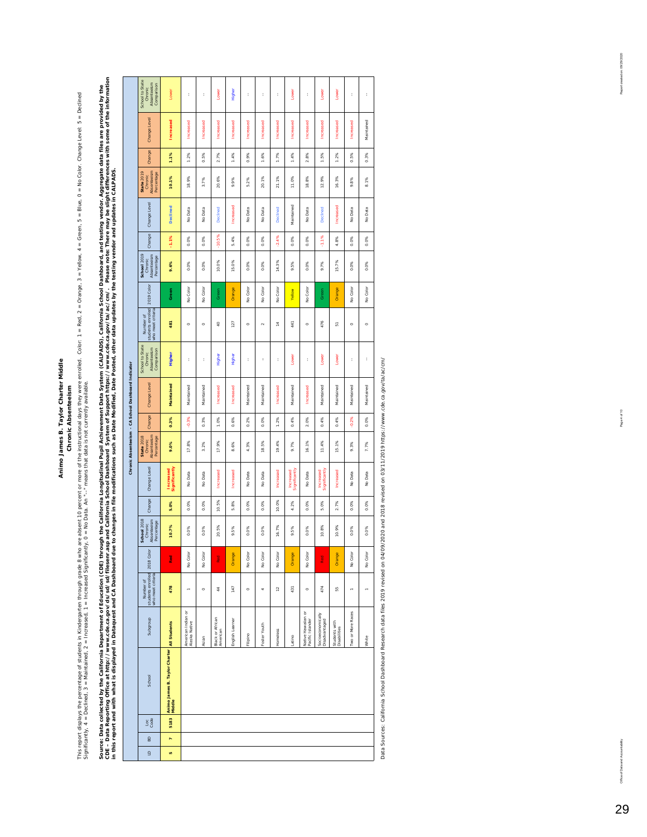### Animo James B. Taylor Charter Middle<br>Chronic Absenteeism **Animo James B. Taylor Charter Middle**

## **Chronic Absenteeism**

This report displays the percentage of sudents in Kindergarten through grade & who was on the instructional days they were enrolled. Color: 1 = Red, 2 = Orange, 3 = Yellow, 4 = Green, 5 = Blue, 0 = No Color. Change Level: This report displays the parten in Kindergarten in Kindergarten in the absent 10 percent or more of the instructional days they were enrolled. Color: 1 = Red, 3 = Yellow, 4 = Green, 5 = Blue, 0 = No Color. Change Level: 5 Significantly, 4 = Declined, 3 = Maintained, 2 = Increased, 1 = Increased Significantly, 0 = No Data. An "--" means that data is not currently available.

Source: Data collected by the California Department of Education (CDE) through the California Longitudinal Pupil Achievement Data System (CALPADS), California School Dashboard, and testing vendor. Aggregate data files are CDE- Data Reporting Office at http://www.cde.ca.gov/ds/sd/silessenr.asp and California School Dashboard System of Support https://www.cde.ca.gov/ta/ac/cm/. Please note: There may be slight differences with some of the info Source: Data collected by the California Department of Education (CDE) through the California Longitudinal Pupil Achievement Data System (CALPADS), California School Dashboard, and testing vendor. Aggregate data files are *in this report and with what is displayed in Dataquest and CA Dashboard due to changes in file modifications such as Date Modified, Date Posted, other data updates by the testing vendor and updates in CALPADS.* 

|                                                     | School to State<br>Absenteeism<br>Comparison<br>Chronic    | Lower                                   | t                                   | t          | Lower                        | Higher           | t          | t            | t                | Lower                      | t                                      | Lower                              | Lower                         | t                 | t              |
|-----------------------------------------------------|------------------------------------------------------------|-----------------------------------------|-------------------------------------|------------|------------------------------|------------------|------------|--------------|------------------|----------------------------|----------------------------------------|------------------------------------|-------------------------------|-------------------|----------------|
|                                                     | Change Level                                               | Increased                               | increased                           | Increased  | Increased                    | <b>Increased</b> | Increased  | Increased    | <b>Increased</b> | Increased                  | increased                              | <b>Increased</b>                   | <b>Increased</b>              | Increased         | Maintained     |
|                                                     | Change                                                     | 1.1%                                    | $1.2\%$                             | 0.5%       | 2.7%                         | 1.4%             | 0.9%       | 1.6%         | 1.7%             | 1.4%                       | 2.8%                                   | 1.5%                               | 1.2%                          | 0.5%              | 0.3%           |
|                                                     | Absenteeism<br><b>State 2019</b><br>Percentage<br>Chronic  | 10.1%                                   | 18.9%                               | 3.7%       | 20.6%                        | 9.9%             | 5.2%       | 20.1%        | 21.1%            | 11.0%                      | .8%<br>gi                              | 12.9%                              | 16.3%                         | 9.8%              | 8.1%           |
|                                                     | Change Level                                               | <b>Declined</b>                         | No Data                             | No Data    | Declined                     | Increased        | No Data    | No Data      | Declined         | Maintained                 | No Data                                | Declined                           | Increased                     | No Data           | No Data        |
|                                                     | Change                                                     | $-1.1%$                                 | $0.0\%$                             | $0.0\%$    | $-10.5%$                     | 5.4%             | 0.0%       | 0.0%         | $-2.4%$          | 0.0%                       | 0.0%                                   | $-1.1%$                            | 4.8%                          | 0.0%              | 0.0%           |
|                                                     | Absenteeism<br>School 2019<br>Percentage<br>Chronic        | 9.6%                                    | 0.0%                                | 0.0%       | 10.0%                        | 15.0%            | 0.0%       | 0.0%         | 14.3%            | 9.5%                       | 0.0%                                   | 9.7%                               | 15.7%                         | 0.0%              | 0.0%           |
|                                                     | 2019 Color                                                 | Green                                   | No Color                            | No Color   | Green                        | Orange           | No Color   | No Color     | No Color         | Yellow                     | No Color                               | Green                              | Orange                        | No Color          | No Color       |
|                                                     | students enrolled<br>who meet criteria<br>Number of        | 481                                     | $\circ$                             | $\circ$    | $\frac{0}{4}$                | 127              | $\circ$    | $\sim$       | Ż,               | 441                        | $\circ$                                | 476                                | 51                            | $\circ$           | $\circ$        |
|                                                     | School to State<br>Absenteeism<br>Comparison<br>Chronic    | Higher                                  | t                                   | ţ          | Higher                       | Higher           | t          | t            | t                | Lower                      | t                                      | Lower                              | Lower                         | t                 | ł              |
| Chronic Absenteeism - CA School Dashboard Indicator | Change Level                                               | Maintained                              | Maintained                          | Maintained | Increased                    | <b>Increased</b> | Vaintained | Maintained   | Increased        | Maintained                 | Increased                              | Vaintained                         | Maintained                    | Maintained        | Maintained     |
|                                                     | Change                                                     | 0.3%                                    | $-0.3%$                             | 0.3%       | 1.0%                         | 0.6%             | 0.2%       | 0.0%         | 1.2%             | 0.4%                       | 2.0%                                   | 0.4%                               | 0.4%                          | $-0.2%$           | 0.0%           |
|                                                     | Absenteeism<br>State 2018<br>Percentage<br>Chronic         | 9.0%                                    | 17.8%                               | 3.2%       | 17.9%                        | 8.6%             | 4.3%       | 18.5%        | 19.4%            | 9.7%                       | 16.1%                                  | 11.4%                              | 15.1%                         | 9.3%              | 7.7%           |
|                                                     | Change Level                                               | Significantly<br>Increased              | No Data                             | No Data    | Increased                    | increased        | No Data    | No Data      | Increased        | Increased<br>Significantly | No Data                                | Significantly<br>Increased         | Increased                     | No Data           | No Data        |
|                                                     | Change                                                     | 5.0%                                    | 0.0%                                | $0.0\%$    | 10.5%                        | 5.8%             | 0.0%       | 0.0%         | 10.0%            | 4.2%                       | 0.0%                                   | 5.0%                               | 2.7%                          | 0.0%              | 0.0%           |
|                                                     | <b>School</b> 2018<br>Absenteeism<br>Percentage<br>Chronic | 10.7%                                   | 0.0%                                | 0.0%       | 5%<br>g                      | 9.5%             | 0.0%       | 0.0%         | 16.7%            | 9.5%                       | 0.0%                                   | 8%<br>ø                            | 10.9%                         | 0.0%              | 0.0%           |
|                                                     | 2018 Color                                                 | Red                                     | No Color                            | No Color   | Red <sub>1</sub>             | Orange           | No Color   | No Color     | No Color         | Orange                     | No Color                               | Red                                | Orange                        | No Color          | No Color       |
|                                                     | students enrolled<br>who meet criteria<br>Number of        | 478                                     | ÷                                   | $\circ$    | 2                            | 147              | $\circ$    | q            | $\mathbf{P}$     | 431                        | $\circ$                                | 474                                | SS <sub>1</sub>               | $\overline{a}$    | $\overline{a}$ |
|                                                     | Subgroup                                                   | All Students                            | American Indian or<br>Alaska Native | Asian      | Black or African<br>American | English Learner  | Filipino   | Foster Youth | Homeless         | Latino                     | Native Hawaiian or<br>Pacific Islander | Socioeconomically<br>Disadvantaged | Students with<br>Disabilities | Two or More Races | White          |
|                                                     | School                                                     | Animo James B. Taylor Charter<br>Middle |                                     |            |                              |                  |            |              |                  |                            |                                        |                                    |                               |                   |                |
|                                                     | $rac{8}{366}$                                              | 5183                                    |                                     |            |                              |                  |            |              |                  |                            |                                        |                                    |                               |                   |                |
|                                                     | BD                                                         | h                                       |                                     |            |                              |                  |            |              |                  |                            |                                        |                                    |                               |                   |                |
|                                                     | $\overline{a}$                                             | <sub>S</sub>                            |                                     |            |                              |                  |            |              |                  |                            |                                        |                                    |                               |                   |                |

Data Sources: California School Dashboard Research data files 2019 revised on 04/09/2020 and 2018 revised on 03/11/2019 https://www.cde.ca.gov/ta/ac/cm/ Data Sources: California School Dashboard Research data files 2019 revised on 04/09/2020 and 2018 revised on 03/11/2019 https://www.cde.ca.gov/ta/ac/cm/

Report created on: 09/29/2020

29

Office of Data and Accountability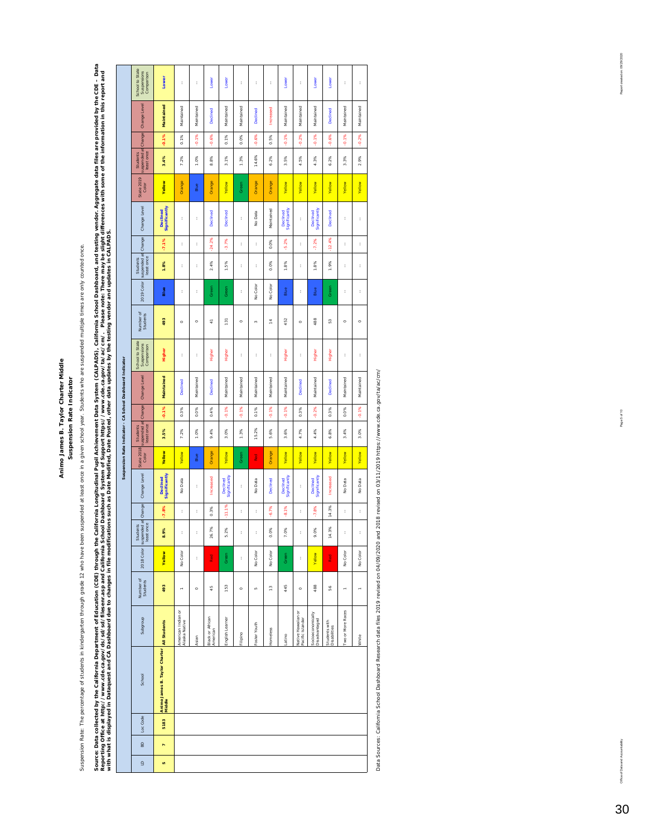### Animo James B. Taylor Charter Middle<br>Suspension Rate Indicator **Animo James B. Taylor Charter Middle Suspension Rate Indicator**

# Suspension Rate: The percentage of students in kindergarten through grade 12 who have been suspended at least once in a given school year. Students who are suspended multiple times are only counted once. Suspension Rate: The percentage of students in kindergarten through grade 12 who have been suspended at least once in a given school year. Students who are suspended multiple times are only counted once.

Source: Data collected by the California Department of Education (CDE) through the California Public Advisor total System (CALPADS), California School Dashboard, and testing vendor. Aggregate data files are provided by the Source: Data collected by the California Department of Edultoral CDE) through the California Longitudinal Pupil Achievement Data System (CALPADS), California School Dashboard, and testing vendor. Aggregate data files are p Reporting Office at http://www.cde.ca.gov/ds/sd/filesenr.assprand california School Dashboard System of Support https://www.cde.ca.gov/ta/ac/cm/. Please note: There may be slight differences with some of the information in

|                                                                                                                                                                                                |                                                           | School to State<br>Suspensions<br>Comparison  | Lower                                   | t                                   | t          | Lower                        | Lower                     | t          | t               | $\mathfrak{t}$       | Lower                     | t                                      | Lower                              | Lower                         | $\ddot{\phantom{a}}$     | t          |
|------------------------------------------------------------------------------------------------------------------------------------------------------------------------------------------------|-----------------------------------------------------------|-----------------------------------------------|-----------------------------------------|-------------------------------------|------------|------------------------------|---------------------------|------------|-----------------|----------------------|---------------------------|----------------------------------------|------------------------------------|-------------------------------|--------------------------|------------|
|                                                                                                                                                                                                |                                                           | Change Level                                  | Maintained                              | Maintained                          | Maintained | Declined                     | Maintained                | Maintained | <b>Declined</b> | Increased            | Maintained                | Maintained                             | Maintained                         | <b>Declined</b>               | Maintained               | Maintained |
|                                                                                                                                                                                                |                                                           | Change                                        | $-0.1%$                                 | 0.1%                                | $-0.1%$    | $-0.6%$                      | 0.1%                      | 0.0%       | $-0.6%$         | 0.5%                 | $-0.1%$                   | $-0.2%$                                | $-0.1%$                            | $-0.6%$                       | $-0.1%$                  | $-0.2%$    |
|                                                                                                                                                                                                |                                                           | suspended at<br>least once<br>Students        | 3.4%                                    | 7.2%                                | 1.0%       | 8.8%                         | 3.1%                      | 1.3%       | 14.6%           | 6.2%                 | 3.5%                      | 4.5%                                   | 4.3%                               | 6.2%                          | 3.3%                     | 2.9%       |
|                                                                                                                                                                                                |                                                           | State 2019<br>Color                           | <b>Yellow</b>                           | Orange                              | Blue       | Orange                       | Yellow                    | Green      | Orange          | Orange               | Yellow                    | Yellow                                 | Yellow                             | Yellow                        | Yellow                   | Yellow     |
|                                                                                                                                                                                                |                                                           | Change Level                                  | Significantly<br><b>Declined</b>        | t                                   | t          | Declined                     | Declined                  | t          | No Data         | Maintained           | Declined<br>Significantly | t                                      | Declined<br>Significantly          | Declined                      | $\ddot{\phantom{a}}$     | t          |
|                                                                                                                                                                                                |                                                           | Change                                        | $-7.1%$                                 | t                                   | t          | 2%<br>34,                    | $-3.7%$                   | t          | t               | 0.0%                 | $-5.2%$                   | t                                      | $-7.2%$                            | $-12.4%$                      | t                        | t          |
|                                                                                                                                                                                                |                                                           | suspended at<br>least once<br>Students        | 1.8%                                    | ł                                   | t          | 2.4%                         | 1.5%                      | t          | t               | 0.0%                 | 1.8%                      | t                                      | 1.8%                               | 1.9%                          | ť                        | t          |
|                                                                                                                                                                                                |                                                           | 2019 Color                                    | Blue                                    | t                                   | t          | Green                        | Green                     | ł          | No Color        | No Color             | Blue                      | t                                      | Blue                               | Green                         | t                        | t          |
|                                                                                                                                                                                                |                                                           | Number of<br>Students                         | 493                                     | $\circ$                             | $\circ$    | 4                            | 131                       | $\circ$    | $\sim$          | Ż,                   | 452                       | $\circ$                                | 488                                | 53                            | $\circ$                  | $\circ$    |
|                                                                                                                                                                                                |                                                           | School to State<br>Suspensions<br>Comparison  | Higher                                  | t                                   | t          | Higher                       | Higher                    | ł          | t               | $\ddot{\phantom{a}}$ | Higher                    | t                                      | Higher                             | Higher                        | t                        | t          |
|                                                                                                                                                                                                | Suspension Rate Indicator - CA School Dashboard Indicator | Change Level                                  | Maintained                              | Declined                            | Maintained | Declined                     | Maintained                | Maintained | Maintained      | Maintained           | Maintained                | Declined                               | Maintained                         | Declined                      | Maintained               | Maintained |
|                                                                                                                                                                                                |                                                           | Change                                        | $-0.1%$                                 | 0.3%                                | 0.0%       | 0.4%                         | $-0.1%$                   | $-0.1%$    | 0.1%            | $-0.1%$              | $-0.1%$                   | 0.3%                                   | $-0.2%$                            | 0.3%                          | 0.0%                     | $-0.1%$    |
|                                                                                                                                                                                                |                                                           | suspended at<br>least once<br>Students        | 3.5%                                    | 7.2%                                | 1.0%       | 9.4%                         | 3.0%                      | 1.3%       | 15.2%           | 5.6%                 | 3.6%                      | 4.7%                                   | 4.4%                               | 6.8%                          | 3.4%                     | 3.0%       |
|                                                                                                                                                                                                |                                                           | <b>State 2018</b><br>Color                    | <b>Yellow</b>                           | Yellow                              | Blue       | Orange                       | Yellow                    | Green      | <b>Red</b>      | Orange               | Yellow                    | Yellow                                 | Yellow                             | Yellow                        | Yellow                   | Yellow     |
|                                                                                                                                                                                                |                                                           | Change Level                                  | Declined<br>Significantly               | No Data                             | t          | Increased                    | Significantly<br>Declined | t          | No Data         | <b>Declined</b>      | Significantly<br>Declined | t                                      | Significantly<br><b>Declined</b>   | Increased                     | No Data                  | No Data    |
|                                                                                                                                                                                                |                                                           |                                               | $-7.8%$                                 | t                                   | t          | 0.3%                         | $-11.1%$                  | ł          | t               | $-6.7%$              | $-8.1%$                   | t                                      | $-7.8%$                            | 14.3%                         | ť                        | t          |
|                                                                                                                                                                                                |                                                           | Students<br>suspended at Change<br>least once | 8.9%                                    | ĵ                                   | ĵ          | 7%<br>$\frac{8}{2}$          | 2%<br>ιń                  | Í          | ĵ               | 0%<br>ø              | 0%<br>r.                  | ţ                                      | 0%<br>$\circ$                      | 3%<br>쯘                       | ţ                        | ţ          |
|                                                                                                                                                                                                |                                                           | 2018 Color                                    | <b>Yellow</b>                           | No Color                            | t          | Red                          | Green                     | t          | No Color        | No Color             | Green                     | t                                      | Yellow                             | Red <sub>1</sub>              | No Color                 | No Color   |
|                                                                                                                                                                                                |                                                           | Number of<br>Students                         | 493                                     | ÷                                   | $\circ$    | 45                           | 153                       | $\circ$    | un.             | $\frac{1}{2}$        | 445                       | $\circ$                                | 488                                | 56                            | $\overline{\phantom{0}}$ |            |
|                                                                                                                                                                                                |                                                           | Subgroup                                      | All Students                            | American Indian or<br>Alaska Native | Aslan      | Black or African<br>American | English Learner           | Filipino   | Foster Youth    | <b>Homeless</b>      | Latino                    | Native Hawailan or<br>Pacific Islander | Socioeconomically<br>Disadvantaged | Students with<br>Disabilities | Two or More Races        | White      |
| with what is displayed in Dataquest and CA Dashboard due to changes in file modifications such as Date Modified, Date Posted, other data updates by the testing vendor and updates in CALPADS. |                                                           | School                                        | Animo James B. Taylor Charter<br>Middle |                                     |            |                              |                           |            |                 |                      |                           |                                        |                                    |                               |                          |            |
|                                                                                                                                                                                                |                                                           | Loc Code                                      | 5183                                    |                                     |            |                              |                           |            |                 |                      |                           |                                        |                                    |                               |                          |            |
|                                                                                                                                                                                                |                                                           | BD                                            | H                                       |                                     |            |                              |                           |            |                 |                      |                           |                                        |                                    |                               |                          |            |
|                                                                                                                                                                                                |                                                           | $\mathrel{\mathop{\mathsf{g}}\nolimits}$      | <sub>S)</sub>                           |                                     |            |                              |                           |            |                 |                      |                           |                                        |                                    |                               |                          |            |

Data Sources: California School Dashboard Research data files 2019 revised on 04/09/2020 and 2018 revised on 03/11/2019 https://www.cde.ca.gov/ta/ac/cm/ Data Sources: California School Dashboard Research data files 2019 revised on 04/09/2020 and 2018 revised on 03/11/2019 https://www.cde.ca.gov/ta/ac/cm/

Report created on: 09/29/2020

Office of Data and Accountability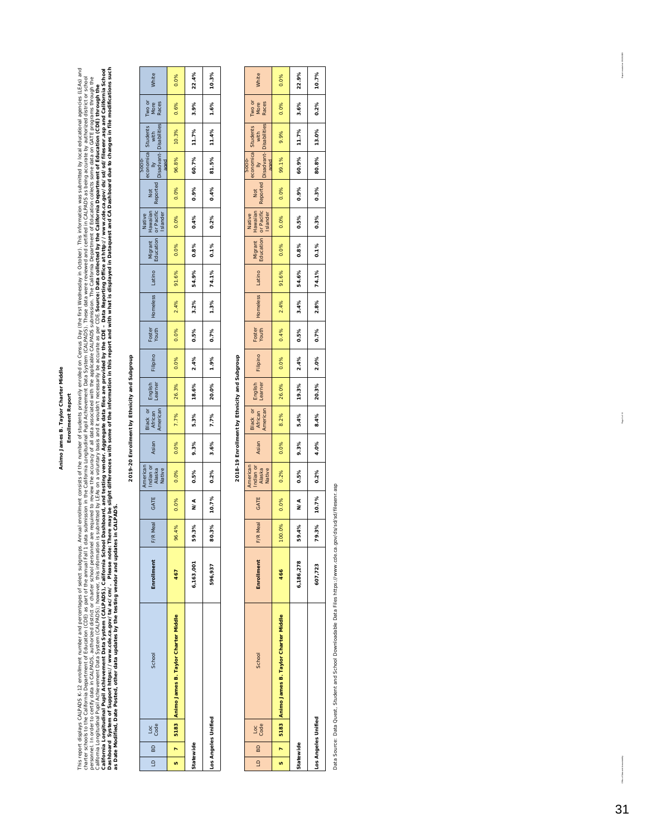### Enrollment Report **Enrollment Report**

This report displays CALPADS K-12 enrollment number and percentages of select subgroups. Annumber of subsets of the number of sudents principal of considios Day (the first Wednessaly in Crube). This information was submitt This report displays of and percentages of select subgroups. Annual enrollment consists of the number of students primarily enrolled on Census Day (ithe first Wednesday in formation was submitted by local educational agenc *Dashboard System of Support https://www.cde.ca.gov/ta/ac/cm/. Please note: There may be slight differences with some of the information in this report and with what is displayed in Dataquest and CA Dashboard due to changes in file modifications such*  California Longitudinal Public School Dashboard, and testing vendor. Aggregate data files are provided by the CDE – Data Reporting Office at http://www.cde.ca.gov/ds/sd/filesenr.asp and California School charter schools to the Californial GDE) as part of the annual fall 1 data submission in the California Longiudinal Pupil Achievem (CALPADS). These data were reviewed and certified in CALPADS as being accurate by authorized personnel. In order to certifict or charter school personnel are required to review the accuracy of all data associated with the applicable CALPADS submission. The California Department of Education collects some data on C *Source: Data collected by the California Department of Education (CDE) through the*  California Longitudinal Pupil Achievement Data System (CALPADS); however, this information is submitted by LEAs on a voluntary basis and it wouldn't necessarily be accurate as per CDE.5 *as Date Modified, Date Posted, other data updates by the testing vendor and updates in CALPADS.* 

### 2019-20 Enrollment by Ethnicity and Subgroup **2019-20 Enrollment by Ethnicity and Subgroup**

T

| $\Xi$<br>$\overline{a}$ | Loc<br>Code | School                                          | Enrollment | <b>Meal</b><br>F/R   | GATE  | American<br>Indian or<br>Alaska<br>Native | Asian | Black or<br>African<br>American | English<br>Learner | Filipino | Foster<br>Youth | <b>+omeless</b> | Latino | Migrant<br>Education | Native<br>Hawaiian<br>or Pacific<br>Islander | Not<br>Reported |       | Socio-<br>sconomica Students Two or<br>Disadvant- Disabilities Races<br>  Daed Totalities Races<br>  aged |      | White |
|-------------------------|-------------|-------------------------------------------------|------------|----------------------|-------|-------------------------------------------|-------|---------------------------------|--------------------|----------|-----------------|-----------------|--------|----------------------|----------------------------------------------|-----------------|-------|-----------------------------------------------------------------------------------------------------------|------|-------|
|                         |             | 7   5183   Animo James B. Taylor Charter Middle | 467        | $\frac{8}{6}$<br>96. | 0.0%  | 0.0%                                      | 0.0%  | 7.7%                            | 26.3%              | 0.0%     | 0.0%            | 2.4%            | 91.6%  | 0.0%                 | 0.0%                                         | 0.0%            | 96.8% | 10.3%                                                                                                     | 0.6% | 0.0%  |
| Statewide               |             |                                                 | 6,163,001  | 59.3%                | N/A   | 0.5%                                      | 9.3%  | 5.3%                            | 18.6%              | 2.4%     | 0.5%            | 3.2%            | 54.9%  | 0.8%                 | 0.4%                                         | 0.9%            | 60.7% | 11.7%                                                                                                     | 3.9% | 22.4% |
| Los Angeles Unified     |             |                                                 | 596,937    | 80.3%                | 10.7% | 0.2%                                      | 3.6%  | 7.7%                            | 20.0%              | 1.9%     | 0.7%            | 1.3%            | 74.1%  | 0.1%                 | 0.2%                                         | 0.4%            | 81.5% | 11.4%                                                                                                     | 1.6% | 10.3% |

### 2018-19 Enrollment by Ethnicity and Subgroup **2018-19 Enrollment by Ethnicity and Subgroup**

| $\frac{8}{2}$<br>$\overline{a}$ | Loc<br>Code | School                                        | Enrollment | Meal<br>F/R | GATE  | Indian or<br>Alaska<br>Native<br>American | Asian | Black or<br>African<br>American | English<br>Learner | Filipino | Foster<br>Youth | Homeless | Latino | Migrant Hawaiian<br>Education or Pacific<br>Education or Pacific |      | Not<br>Reported | disadvant-Disabilities<br>Socio-<br>aned | sconomica Students | Two or<br>More<br>Races | White |
|---------------------------------|-------------|-----------------------------------------------|------------|-------------|-------|-------------------------------------------|-------|---------------------------------|--------------------|----------|-----------------|----------|--------|------------------------------------------------------------------|------|-----------------|------------------------------------------|--------------------|-------------------------|-------|
| U)                              |             | 7   5183 Animo James B. Taylor Charter Middle | 466        | 100.0%      | 0.0%  | 0.2%                                      | 0.0%  | 8.2%                            | 26.0%              | 0.0%     | 0.4%            | 2.4%     | 91.6%  | 0.0%                                                             | 0.0% | 0.0%            | 99.1%                                    | 9.9%               | 0.0%                    | 0.0%  |
| Statewide                       |             |                                               | 6,186,278  | 59.4%       | N/A   | 0.5%                                      | 9.3%  | 5.4%                            | 19.3%              | 2.4%     | 0.5%            | 3.4%     | 54.6%  | 0.8%                                                             | 0.5% | 0.9%            | 60.9%                                    | 11.7%              | 3.6%                    | 22.9% |
| Los Angeles Unified             |             |                                               | 607,723    | 79.3%       | 10.7% | 0.2%                                      | 4.0%  | 8.4%                            | 20.3%              | 2.0%     | 0.7%            | 2.8%     | 74.1%  | 0.1%                                                             | 0.3% | 0.3%            | 80.8%                                    | 13.0%              | 0.2%                    | 10.7% |

Data Source: Data Quest, Student and School Downloadable Data Files https://www.cde.ca.gov/ds/sd/sd/filesenr.asp Data Source: Data Quest, Student and School Downloadable Data Files https://www.cde.ca.gov/ds/sd/sd/filesenr.asp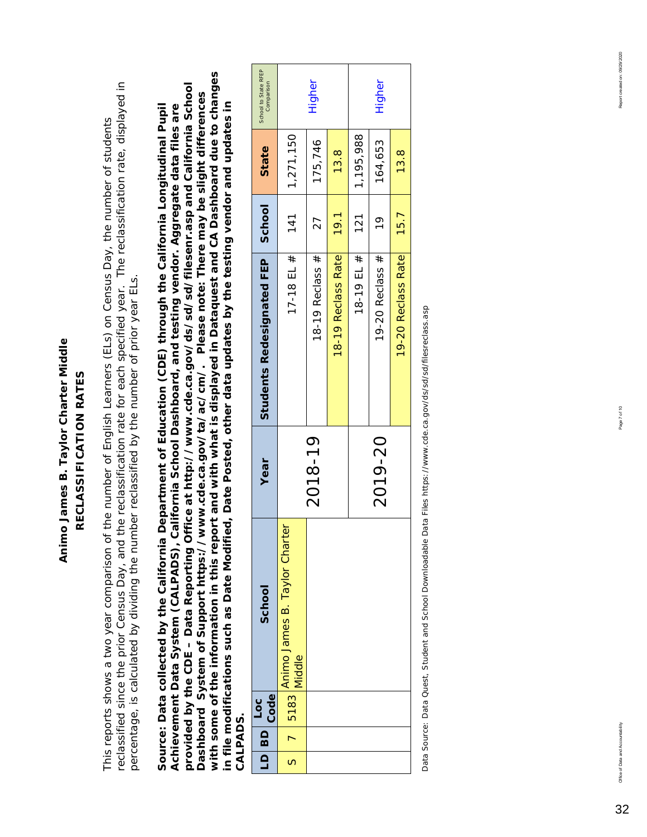### Animo James B. Taylor Charter Middle **Animo James B. Taylor Charter Middle** RECLASSIFICATION RATES **RECLASSIFICATION RATES**

reclassified since the prior Census Day, and the reclassification rate for each specified year. The reclassification rate, displayed in reclassified since the prior Census Day, and the reclassification rate for each specified year. The reclassification rate, displayed in This reports shows a two year comparison of the number of English Learners (ELs) on Census Day, the number of students This reports shows a two year comparison of the number of English Learners (ELs) on Census Day, the number of students percentage, is calculated by dividing the number reclassified by the number of prior year ELs. percentage, is calculated by dividing the number reclassified by the number of prior year ELs.

*with some of the information in this report and with what is displayed in Dataquest and CA Dashboard due to changes*  with some of the information in this report and with what is displayed in Dataquest and CA Dashboard due to changes *provided by the CDE – Data Reporting Office at http://www.cde.ca.gov/ds/sd/sd/filesenr.asp and California School*  provided by the CDE - Data Reporting Office at http://www.cde.ca.gov/ds/sd/sd/filesenr.asp and California School *Dashboard System of Support https://www.cde.ca.gov/ta/ac/cm/. Please note: There may be slight differences*  Dashboard System of Support https://www.cde.ca.gov/ta/ac/cm/. Please note: There may be slight differences *in file modifications such as Date Modified, Date Posted, other data updates by the testing vendor and updates in Source: Data collected by the California Department of Education (CDE) through the California Longitudinal Pupil*  in file modifications such as Date Modified, Date Posted, other data updates by the testing vendor and updates in *Achievement Data System (CALPADS), California School Dashboard, and testing vendor. Aggregate data files are*  Achievement Data System (CALPADS), California School Dashboard, and testing vendor. Aggregate data files are Source: Data collected by the California Department of Education (CDE) through the California Longitudinal Pupil *CALPADS.*  **CALPADS** 

| 08   Q | Code<br>$\overline{100}$ | School                                                                                                                                                             | Year    | Students Redesignated FEP | School        | State     | School to State RFEP<br>Comparison |
|--------|--------------------------|--------------------------------------------------------------------------------------------------------------------------------------------------------------------|---------|---------------------------|---------------|-----------|------------------------------------|
|        |                          | Animo James B. Taylor Charter<br>$\begin{array}{ c c } \hline \text{S} & \text{7} & \text{5183} \end{array} \begin{array}{ c c } \hline \text{widdle} \end{array}$ |         | 17-18 EL $#$              | 141<br>1      | 1,271,150 |                                    |
|        |                          |                                                                                                                                                                    | 2018-19 | 18-19 Reclass $#$         | 27            | 175,746   | Higher                             |
|        |                          |                                                                                                                                                                    |         | 18-19 Reclass Rate        | 19.1          | 13.8      |                                    |
|        |                          |                                                                                                                                                                    |         | 18-19 EL $#$              | 121           | 1,195,988 |                                    |
|        |                          |                                                                                                                                                                    | 2019-20 | 19-20 Reclass #           | $\frac{6}{1}$ | 164,653   | Higher                             |
|        |                          |                                                                                                                                                                    |         | 19-20 Reclass Rate        | 15.7          | 13.8      |                                    |

Data Source: Data Quest, Student and School Downloadable Data Files https://www.cde.ca.gov/ds/sd/filesreclass.asp Data Source: Data Quest, Student and School Downloadable Data Files https://www.cde.ca.gov/ds/sd/sd/filesreclass.asp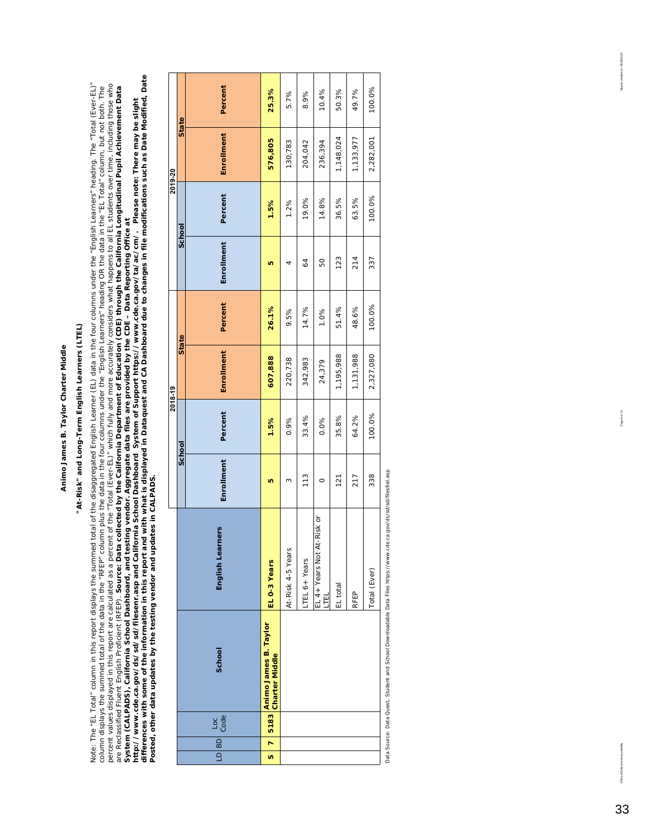## "At-Risk" and Long-Term English Learners (LTEL) **"At-Risk" and Long-Term English Learners (LTEL)**

System (CALPADS), California School Dashboard, and testing vendor. Aggregate data files are provided by the CDE – Data Reporting Office at Č<br>http://www.cde.ca.gov/ds/sd/sllesenr.asp and California School Dashboard System o *differences with some of the information in this report and with what is displayed in Dataquest and CA Dashboard due to changes in file modifications such as Date Modified, Date*  Note: The "EL Total" column in this report displays the summed total of the disaggregated English Learner (EL) data in the four columns under the "English Learners" heading. The "Total (Ever-EL)" Note: The "EL Total" column in this report displays the summed total of the disaggregated English Learner (EL) data in the four columns under the "English Learners" heading. The "Total (Ever-EL)"<br>column displays the summed percent values displayed in this report are calculated as a percent of the "Total (Ever-EL)" which fully and more accurately considers what happens to all EL students over time, including those who are Reclassified Fluent English Proficient (RFEP). *Source: Data collected by the California Department of Education (CDE) through the California Longitudinal Pupil Achievement Data*  column displays the summed total of the data in the "RFEP" column plus the data in the four columns under the "English Learners" heading OR the data in the "EL Total" column, but not both. The *http://www.cde.ca.gov/ds/sd/sd/filesenr.asp and California School Dashboard System of Support https://www.cde.ca.gov/ta/ac/cm/. Please note: There may be slight System (CALPADS), California School Dashboard, and testing vendor. Aggregate data files are provided by the CDE – Data Reporting Office at* 

*Posted, other data updates by the testing vendor and updates in CALPADS.* 

|         |        | Percent          | 25.3%                                              | 5.7%              | 8.9%         | 10.4%                           | 50.3%     | 49.7%     |
|---------|--------|------------------|----------------------------------------------------|-------------------|--------------|---------------------------------|-----------|-----------|
| 2019-20 | State  | Enrollment       | 576,805                                            | 130,783           | 204,042      | 236,394                         | 1,148,024 | 1,133,977 |
|         | School | Percent          | 1.5%                                               | 1.2%              | 19.0%        | 14.8%                           | 36.5%     | 63.5%     |
|         |        | Enrollment       | ю                                                  |                   | 64           | 50                              | 123       | 214       |
|         | State  | Percent          | 26.1%                                              | 9.5%              | 14.7%        | 1.0%                            | 51.4%     | 48.6%     |
| 2018-19 |        | Enrollment       | 607,888                                            | 220,738           | 342,983      | 24,379                          | 1,195,988 | 1,131,988 |
|         | School | Percent          | 1.5%                                               | 0.9%              | 33.4%        | 0.0%                            | 35.8%     | 64.2%     |
|         |        | Enrollment       | ю                                                  | 3                 | 113          | O                               | 121       | 217       |
|         |        | English Learners | EL 0-3 Years                                       | At-Risk 4-5 Years | TEL 6+ Years | EL 4+ Years Not At-Risk or<br>Ę | EL total  | RFEP      |
|         |        | School           | 7   5183   Animo James B. Taylor<br>Charter Middle |                   |              |                                 |           |           |
|         |        | Loc<br>Code      |                                                    |                   |              |                                 |           |           |
|         |        | LD BD            | $\overline{5}$                                     |                   |              |                                 |           |           |
|         |        |                  |                                                    |                   |              |                                 |           |           |

Data Source: Data Quest, Student and School Downloadable Data Files https://www.cde.ca.gov/ds/sd/sd/filestlel.asp Data Source: Data Quest, Student and School Downloadable Data Files https://www.cde.ca.gov/ds/sd/sd/filesltel.asp

Total (Ever) 338 100.0% 2,327,080 100.0% 337 100.0% 2,282,001 100.0%

2,327,080

100.0%

338

Total (Ever)

100.0%

100.0%

2,282,001

100.0%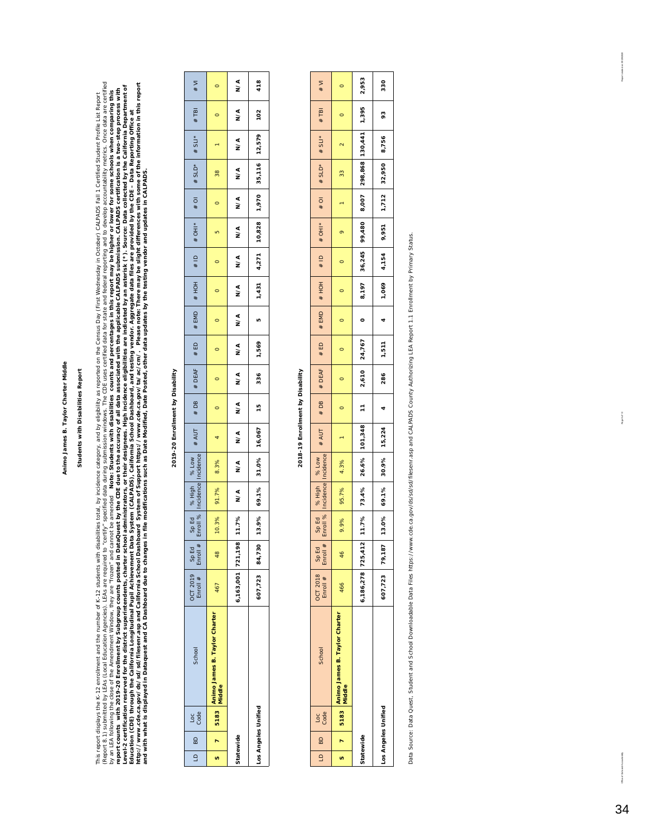### Students with Disabilities Report **Students with Disabilities Report**

This report displays the K-12 arrollment and the number of K-12 students with disabilities total, by incidence category, and by eighlifly as reported on the census Day (First Wednesday in October) CALPADS Fall 11 Certified Report 8.1) submitted by LEAs (Local Education Agencies). LEAs are required to "certify" specified data during submitssion windows. The CDE uses certified data for state and federal reporting and to develop accountability *http://www.cde.ca.gov/ds/sd/sd/filesenr.asp and California School Dashboard System of Support https://www.cde.ca.gov/ta/ac/cm/. Please note: There may be slight differences with some of the information in this report*  Level-2 certification reserved for the district superintents part of the school administrators, or their designees. High incidence eligibilities are indicated by an asterisk (\*). Source: Data collected by the California De report counts with 2019-20 Enrollment by subgrounts posted in DataQuest by the CDE due to the accuracy of all data associated with the applicable CALPADS submission. CALPADS certification is a two-step process with by an LEA following the of the Amendment Window, they are "frozen" and cannot be amended Note: Students with disabilities counts and percentages in this report may be higher or lower for some schools when comparing this This report displays the K-12 enrollment and the number of K-12 students with disabilities total, by incidence category, and by eligibility as reported on the Census Day (First Wednesday in October) CALPADS Fall 1 Certifie *Education (CDE) through the California Longitudinal Pupil Achievement Data System (CALPADS), California School Dashboard, and testing vendor. Aggregate data files are provided by the CDE – Data Reporting Office at and with what is displayed in Dataquest and CA Dashboard due to changes in file modifications such as Date Modified, Date Posted, other data updates by the testing vendor and updates in CALPADS.* 

### 2019-20 Enrollment by Disability **2019-20 Enrollment by Disability**

| $\overline{a}$ | $\overline{a}$ | <b>S</b> de         | School                                  | $OCT 2019$ SpEd<br>Enroll # Enroll # |        |                 |      |                           |         | $\begin{array}{ c c c c c } \hline \text{Sp Ed} & \text{% High} & \text{% Low} & \# \text{ AUT} & \# \text{ DB} & \# \text{ DEAF} & \# \text{ ED} \\ \hline \text{Ernoll % } & \text{Incidence } \text{Incidence} & \end{array}$ |                          |                          |                                                   | #EMD   #HOH   #ID   #OH  * OH   #OH  #SLD   #SLI * |         |    |               | $#$ TBI | $W^*$   |  |
|----------------|----------------|---------------------|-----------------------------------------|--------------------------------------|--------|-----------------|------|---------------------------|---------|----------------------------------------------------------------------------------------------------------------------------------------------------------------------------------------------------------------------------------|--------------------------|--------------------------|---------------------------------------------------|----------------------------------------------------|---------|----|---------------|---------|---------|--|
| U)             | ,              |                     | Animo James B. Taylor Charter<br>Middle | 467                                  | 48     | $10.3%$   91.7% | 8.3% | $\overline{a}$            | $\circ$ | $\overline{\phantom{0}}$                                                                                                                                                                                                         | $\overline{\phantom{0}}$ | $\overline{\phantom{0}}$ | $\begin{array}{c} \bullet \\ \bullet \end{array}$ | <u>in</u>                                          | $\circ$ | 38 |               | $\circ$ | $\circ$ |  |
|                | statewide      |                     |                                         | 6,163,001 721,198                    |        |                 |      | 11.7% N/A N/A N/A N/A N/A |         | N/A N/A N/A N/A N/A N/A                                                                                                                                                                                                          |                          |                          |                                                   | $\frac{1}{2}$                                      |         |    | $N/A$ N/A N/A | N/A     | N/A     |  |
|                |                | Los Angeles Unified |                                         | 607,723                              | 84,730 |                 |      | 13.9% 69.1% 31.0% 16,067  | 15      | 336 1,569                                                                                                                                                                                                                        | <u>i</u> o               |                          |                                                   | $1,431$ $4,271$ $10,828$ $1,970$ $35,116$ $12,579$ |         |    |               | 102     | 418     |  |

### 2018-19 Enrollment by Disability **2018-19 Enrollment by Disability**

| $\overline{a}$ | 60        | Loc<br>Code         | School                                         | OCT 2018          | $\frac{1}{2}$ Sp Ed<br>Enroll $\#$ | Sp Ed<br>Enroll % | $\frac{96 \text{ High}}{\text{Incidence}}$ Incidence |              | $#$ AUT                        | #DB     | # DEAF       | $\#$ ED $\#$ EMD $\ $ |                | # HOH             | $\begin{array}{c c c c c} \hline \text{H} & \text{H} & \text{H} & \text{H} & \text{H} \\ \hline \text{H} & \text{H} & \text{H} & \text{H} & \text{H} & \text{H} \\ \hline \end{array}$ | $\frac{1}{\sqrt{1+\frac{1}{2}}}$ | $\#$ SLD* $\parallel$ $\#$ SLI* |                                                 | $#$ TBI | $\overline{N}$ |
|----------------|-----------|---------------------|------------------------------------------------|-------------------|------------------------------------|-------------------|------------------------------------------------------|--------------|--------------------------------|---------|--------------|-----------------------|----------------|-------------------|----------------------------------------------------------------------------------------------------------------------------------------------------------------------------------------|----------------------------------|---------------------------------|-------------------------------------------------|---------|----------------|
|                | ŕ         |                     | I 5183 Milmo James B. Taylor Charter<br>Middle | 466               | 46                                 | 9.9%              | $-1$ 95.7%                                           | 4.3%         |                                | $\circ$ | c            | $\circ$               | $\circ$        | $\circ$           | $\circ$                                                                                                                                                                                |                                  | 33                              |                                                 |         | $\circ$        |
|                | Statewide |                     |                                                | 6,186,278 725,412 |                                    |                   |                                                      |              | $11.7%$ 73.4% 26.6% 101,348 11 |         | 2,610 24,767 |                       | $\overline{a}$ |                   |                                                                                                                                                                                        |                                  |                                 | 8,197 36,245 99,480 8,007 298,868 130,441 1,395 |         | 2,953          |
|                |           | .os Angeles Unified |                                                | 607,723 79,187    |                                    |                   | 13.0% 69.1%                                          | 30.9% 15,224 |                                | 4       |              | 286 1,511             | $\overline{a}$ | 1,069 4,154 9,951 |                                                                                                                                                                                        |                                  | $1,712$ 32,950 8,756            |                                                 | 93      | 330            |

Data Source: Data Quest, Student and School Downloadable Data Files https://www.cde.ca.gov/ds/sd/filesenr.asp and CALPADS County Authorizing LEA Report 1.1 Enrollment by Primary Status. Data Source: Data Quest, Student and School Downloadable Data Files https://www.cde.ca.gov/ds/sd/sd/sd/senr.asp and CALPADS County Authorizing LEA Report 1.1 Enrollment by Primary Status.

Page 9 of 10

Report oreated on: 0 9/29/2020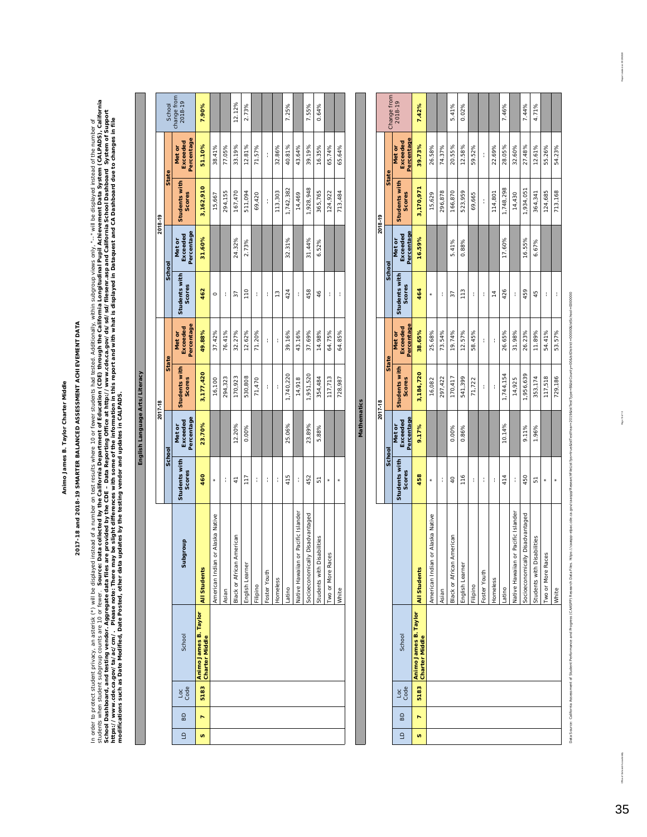## 2017-18 and 2018-19 SMARTER BALANCED ASSESSMENT ACHIEVEMENT DATA **2017-18 and 2018-19 SMARTER BALANCED ASSESSMENT ACHIEVEMENT DATA**

In order to protect student privacy, an asterisk (\*) will be displayed instead of a number on test results where 10 or fewer students had tested. Additionally, within subgroup views only,"--" will be displayed instead of t student sudent subgroup counts are 10 or fewer. Source: Data collected by the California Department of Education (CDE) through the California Longitudinal Pupil Achievement Data System (CALPADS), California *School Dashboard, and testing vendor. Aggregate data files are provided by the CDE – Data Reporting Office at http://www.cde.ca.gov/ds/sd/sd/filesenr.asp and California School Dashboard System of Support https://www.cde.ca.gov/ta/ac/cm/. Please note: There may be slight differences with some of the information in this report and with what is displayed in Dataquest and CA Dashboard due to changes in file*  In order to protect student privacy, an asterisk (\*) will be displayed instead of a number on test results where 10 or fewer students had tested. Additionally, within subgroup views only, "--" will be displayed instead of *modifications such as Date Modified, Date Posted, other data updates by the testing vendor and updates in CALPADS.* 

L

|              |    |              |                                                |                                         |                         | English Language Arts/Literacy   |                                |                                  |                         |                                  |                                |                                  |                        |
|--------------|----|--------------|------------------------------------------------|-----------------------------------------|-------------------------|----------------------------------|--------------------------------|----------------------------------|-------------------------|----------------------------------|--------------------------------|----------------------------------|------------------------|
|              |    |              |                                                |                                         |                         |                                  |                                |                                  |                         |                                  |                                |                                  |                        |
|              |    |              |                                                |                                         |                         |                                  | 2017-18                        |                                  |                         |                                  | 2018-19                        |                                  |                        |
|              |    |              |                                                |                                         | School                  |                                  |                                | State                            | School                  |                                  |                                | State                            | School                 |
| $\triangleq$ | BD | Loge<br>Code | School                                         | <b>Subgroup</b>                         | Students with<br>Scores | Percentage<br>Exceeded<br>Met or | Students with<br><b>Scores</b> | Percentage<br>Exceeded<br>Met or | Students with<br>Scores | Percentage<br>Exceeded<br>Met or | Students with<br><b>Scores</b> | Percentage<br>Exceeded<br>Met or | change from<br>2018-19 |
| U)           | N  | 5183         | Animo James B. Taylor<br><b>Charter Middle</b> | <b>All Students</b>                     | 460                     | 23.70%                           | 3,177,420                      | 49.88%                           | 462                     | 31.60%                           | 3,162,910                      | 51.10%                           | 7.90%                  |
|              |    |              |                                                | ian or Alaska Native<br>American Indi   | $\star$                 |                                  | 16,100                         | 37.42%                           | $\circ$                 |                                  | 15,667                         | 38.41%                           |                        |
|              |    |              |                                                | Asian                                   | ł                       |                                  | 294,323                        | 76.41%                           | ł                       |                                  | 294,155                        | 77.05%                           |                        |
|              |    |              |                                                | Black or African American               | $\overline{4}$          | 12.20%                           | 170,923                        | 32.27%                           | 57                      | 24.32%                           | 167,470                        | 33.19%                           | 12.12%                 |
|              |    |              |                                                | English Learner                         | 117                     | 0.00%                            | 530,808                        | 12.62%                           | 110                     | 2.73%                            | 511,094                        | 12.81%                           | 2.73%                  |
|              |    |              |                                                | Filipino                                | ł                       |                                  | 71,470                         | 71.20%                           | ł                       |                                  | 69,420                         | 71.57%                           |                        |
|              |    |              |                                                | Foster Youth                            | ł                       |                                  | ł                              | ţ                                | ł                       |                                  | ł                              | ł                                |                        |
|              |    |              |                                                | Homeless                                | ł                       |                                  | ł                              | ł                                | $\frac{3}{2}$           |                                  | 113,303                        | 32.86%                           |                        |
|              |    |              |                                                | atino                                   | 415                     | 25.06%                           | 1,740,220                      | 39.16%                           | 424                     | 32.31%                           | 1,742,382                      | 40.81%                           | 7.25%                  |
|              |    |              |                                                | ian or Pacific Islander<br>Native Hawai | ł                       |                                  | 14,918                         | 43.16%                           | ł                       |                                  | 14,469                         | 43.64%                           |                        |
|              |    |              |                                                | ically Disadvantaged<br>Socioeconom     | 452                     | 23.89%                           | 1,951,520                      | 37.69%                           | 458                     | 31.44%                           | 1,928,948                      | 39.19%                           | 7.55%                  |
|              |    |              |                                                | Disabilities<br>Students with           | 51                      | 5.88%                            | 354,484                        | 14.98%                           | 46                      | 6.52%                            | 365,765                        | 16.35%                           | 0.64%                  |
|              |    |              |                                                | Races<br>wo or More                     | ×                       |                                  | 117,713                        | 64.75%                           | ţ                       |                                  | 124,922                        | 65.74%                           |                        |
|              |    |              |                                                | White                                   | ×                       |                                  | 728,987                        | 64.85%                           | ţ                       |                                  | 713,484                        | 65.64%                           |                        |
|              |    |              |                                                |                                         |                         |                                  |                                |                                  |                         |                                  |                                |                                  |                        |

|         | Change from  | 2018-19                          | 7.42%                                          |                                       |         | 5.41%                     | 0.02%           |          |              |               | 7.46%     |                                     | 7.44%                           | 4.71%                           |                      |         |
|---------|--------------|----------------------------------|------------------------------------------------|---------------------------------------|---------|---------------------------|-----------------|----------|--------------|---------------|-----------|-------------------------------------|---------------------------------|---------------------------------|----------------------|---------|
|         |              | Percentage<br>Exceeded<br>Met or | 39.73%                                         | 26.58%                                | 74.37%  | 20.55%                    | 12.58%          | 59.52%   | ł            | 22.69%        | 28.05%    | 32.60%                              | 27.48%                          | 12.61%                          | 55.26%               | 54.23%  |
|         | <b>State</b> | Students with<br>Scores          | 3,170,971                                      | 15,629                                | 296,878 | 166,870                   | 523,959         | 69,665   | ł            | 114,801       | 1,748,298 | 14,430                              | 1,934,051                       | 364,341                         | 124,685              | 713,168 |
| 2018-19 |              | Percentage<br>Exceeded<br>Met or | 16.59%                                         |                                       |         | 5.41%                     | 0.88%           |          |              |               | 17.60%    |                                     | 16.55%                          | 6.67%                           |                      |         |
|         | School       | Students with<br>Scores          | 464                                            |                                       | ł       | 37                        | 113             | ł        | ł            | $\frac{4}{1}$ | 426       | ł                                   | 459                             | 45                              | ł                    | ł       |
|         |              | Percentage<br>Exceeded<br>Met or | 38.65%                                         | 25.68%                                | 73.54%  | 19.74%                    | 12.57%          | 58.45%   | ł            | ł             | 26.65%    | 31.98%                              | 26.23%                          | 11.89%                          | 54.41%               | 53.57%  |
|         | State        | Students with<br><b>Scores</b>   | 3,184,720                                      | 16,082                                | 297,422 | 170,417                   | 541,399         | 71,722   | ł            | ł             | 1,744,154 | 14,925                              | 1,956,639                       | 353,174                         | 117,518              | 729,186 |
| 2017-18 |              | Percentage<br>Exceeded<br>Met or | 9.17%                                          |                                       |         | 0.00%                     | 0.86%           |          |              |               | 10.14%    |                                     | 9.11%                           | 1.96%                           |                      |         |
|         | School       | Students with<br>Scores          | 458                                            | ×                                     | ţ       | $\overline{Q}$            | 116             | ł        | ł            | ł             | 414       | ł                                   | 450                             | 51                              |                      | ×       |
|         |              |                                  | All Students                                   | lian or Alaska Native<br>American Ind | Asian   | Black or African American | English Learner | Filipino | Foster Youth | Homeless      | Latino    | Native Hawaiian or Pacific Islander | Socioeconomically Disadvantaged | h Disabilities<br>Students with | Races<br>Two or More | White   |
|         |              | School                           | Animo James B. Taylor<br><b>Charter Middle</b> |                                       |         |                           |                 |          |              |               |           |                                     |                                 |                                 |                      |         |
|         |              | Code<br>Loc                      | 5183                                           |                                       |         |                           |                 |          |              |               |           |                                     |                                 |                                 |                      |         |
|         |              | BD                               | r                                              |                                       |         |                           |                 |          |              |               |           |                                     |                                 |                                 |                      |         |
|         |              | $\overline{a}$                   | U)                                             |                                       |         |                           |                 |          |              |               |           |                                     |                                 |                                 |                      |         |

**Mathematics**

Mathematics

 $= 00 \& \text{stDistlet} = 00000 \& \text{stStbole} = 0000000$ Data Source: California Actionance and Progress (CAASPP) Research Data Files. https://caaspp-elpe.cdie.ca/pac.cde.ca/spp-elbe.https://caaspp-elbe.https://caaspp-elbe.https://caaspp-elbe.https://caaspp-elbe.https://caaspp-e & istTestYear = 2019&istTestType = B&istCounty= FileList?ps and Progress (CAASPP) Research Data Files. https://caaspp-elpac.ode. ance ment of Student Perfor Data Source: California Asse Report anested on: 0 9/29/2020

reasey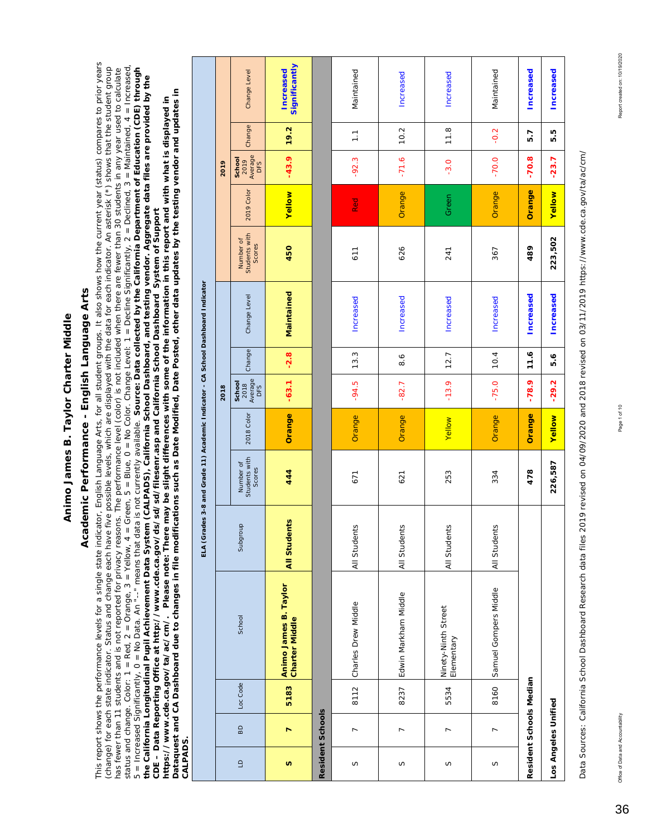## Academic Performance - English Language Arts **Academic Performance - English Language Arts**

This report shows the performance levels for a single state indicator, English Language Arts, for all student groups. It also shows how the current year (status) compares to prior years This report shows the performance levels for a single state indicator, English Language Arts, for all student groups. It also shows how the current year (status) compares to prior years status and change. Color: 1 = Red, 2 = Orange. The Orange Level: 0 = No Color: Change Level: 1 = Blue, 0 = No Color: Change Level: 1 = Decline Significantly, 2 = Mainted, 4 = Increased, (change) for each state indicator. Status and change each have five possible levels, which are displayed with the data for each indicator. An asterisk (\*) shows that the student group has fewer than 11 students and is not reported for privacy reasons. The performance level (color) is not included when there are fewer than 30 students in any year used to calculate status and change. Color: 1 = Red, 2 = Órange, 3 = Yellow, 4 = Green, 5 = Blue, 0 = No Color. Change Level: 1 = Decline Significantly, 2 = Declined, 3 = Maintained, 4 = Increased,<br>5 = Increased Significantly, 0 = No Data. 5 = Increased Significantly, 0 = No Data. An "--" means that data is not currently available. *Source: Data collected by the California Department of Education (CDE) through*  change) for each state indicator. Status and change each have five possible levels, which are displayed with the data for each indicator. An asterisk (\*) shows that the student group has fewer than 11 students and is not reported for privacy reasons. The performance level (color) is not included when there are fewer than 30 students in any year used to calculate *the California Longitudinal Pupil Achievement Data System (CALPADS), California School Dashboard, and testing vendor. Aggregate data files are provided by the Dataquest and CA Dashboard due to changes in file modifications such as Date Modified, Date Posted, other data updates by the testing vendor and updates in*  Dataquest and CA Dashboard due to changes in file modifications such as Date Modified, Date Posted, other data updates by the testing vendor and updates in https://www.cde.ca.gov/ta/ac/cm/. Please note: There may be slight differences with some of the information in this report and with what is displayed in *https://www.cde.ca.gov/ta/ac/cm/. Please note: There may be slight differences with some of the information in this report and with what is displayed in*  CDE - Data Reporting Office at http://www.cde.ca.gov/ds/sd/sd/filesenr.asp and California School Dashboard System of Support *CDE – Data Reporting Office at http://www.cde.ca.gov/ds/sd/sd/filesenr.asp and California School Dashboard System of Support* 

| CALPADS. |                         |                         |                                                |                     |                                      |            |                                  |               | ELA (Grades 3-8 and Grade 11) Academic Indicator - CA School Dashboard Indicator |                                      |            |                                  |                   |                                   |
|----------|-------------------------|-------------------------|------------------------------------------------|---------------------|--------------------------------------|------------|----------------------------------|---------------|----------------------------------------------------------------------------------|--------------------------------------|------------|----------------------------------|-------------------|-----------------------------------|
|          |                         |                         |                                                |                     |                                      |            | 2018                             |               |                                                                                  |                                      |            | 2019                             |                   |                                   |
| $\Xi$    | BD                      | Loc Code                | School                                         | Subgroup            | Students with<br>Number of<br>Scores | 2018 Color | Average<br>DFS<br>School<br>2018 | Change        | Change Level                                                                     | Students with<br>Number of<br>Scores | 2019 Color | Average<br>DFS<br>School<br>2019 | Change            | Change Level                      |
| S        | N                       | 5183                    | Animo James B. Taylor<br><b>Charter Middle</b> | <b>All Students</b> | 444                                  | Orange     | $-63.1$                          | $-2.8$        | Maintained                                                                       | 450                                  | Yellow     | $-43.9$                          | 19.2              | Significantly<br><b>Increased</b> |
|          | <b>Resident Schools</b> |                         |                                                |                     |                                      |            |                                  |               |                                                                                  |                                      |            |                                  |                   |                                   |
| $\circ$  | $\overline{ }$          | 8112                    | Charles Drew Middle                            | All Students        | 671                                  | Orange     | $-94.5$                          | 13.3          | Increased                                                                        | 611                                  | Red        | $-92.3$                          | $\overline{1}$ .  | Maintained                        |
| $\circ$  | $\overline{ }$          | 8237                    | Edwin Markham Middle                           | All Students        | 621                                  | Orange     | $-82.7$                          | $\frac{6}{8}$ | Increased                                                                        | 626                                  | Orange     | $-71.6$                          | 10.2              | Increased                         |
| S        | $\overline{ }$          | 5534                    | Ninety-Ninth Street<br>Elementary              | All Students        | 253                                  | Yellow     | $-13.9$                          | 12.7          | Increased                                                                        | 241                                  | Green      | $-3.0$                           | 11.8              | Increased                         |
| S        | $\overline{ }$          | 8160                    | Samuel Gompers Middle                          | All Students        | 334                                  | Orange     | $-75.0$                          | 10.4          | Increased                                                                        | 367                                  | Orange     | $-70.0$                          | $-0.2$            | Maintained                        |
|          |                         | Resident Schools Median |                                                |                     | 478                                  | Orange     | $-78.9$                          | 11.6          | <b>Increased</b>                                                                 | 489                                  | Orange     | $-70.8$                          | $\overline{5}$ .7 | <b>Increased</b>                  |
|          | Los Angeles Unified     |                         |                                                |                     | 226,587                              | Yellow     | $-29.2$                          | 5.6           | <b>Increased</b>                                                                 | 223,502                              | Yellow     | $-23.7$                          | 5.5               | <b>Increased</b>                  |

Data Sources: California School Dashboard Research data files 2019 revised on 04/09/2020 and 2018 revised on 03/11/2019 https://www.cde.ca.gov/ta/ac/cm/ Data Sources: California School Dashboard Research data files 2019 revised on 04/09/2020 and 2018 revised on 03/11/2019 https://www.cde.ca.gov/ta/ac/cm/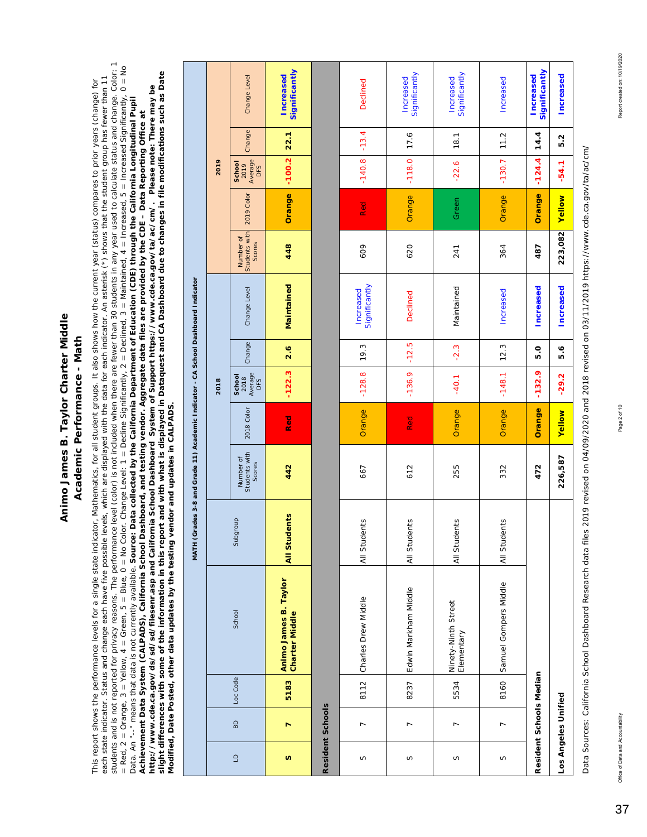## Academic Performance - Math **Academic Performance - Math**

students and is not reported for privacy reasons. The performance level (color) is not included when there are fewer than 30 students in any year used to calculate status and change. Color: 1 students and is not reported for privacy reasons. The performance level (color) is not included when there are fewer than 30 students in any year used to calculate status and change. Color: 1 = Red, 2 = Orange, 3 = Yellow, 4 = Green, 5 = Blue, 0 = No Color. Change Level: 1 = Decline Significantly, 2 = Declined, 3 = Maintained, 4 = Increased, 5 = Increased Significantly, 0 = No = Red, 2 = Orange, 3 = Yellow, 4 = Green, 5 = Blue, 0 = No Color. Change Level: 1 = Decline Significantly, 2 = Declined, 3 = Maintained, 4 = Increased, 5 = Increased Significantly, 0 = No *slight differences with some of the information in this report and with what is displayed in Dataquest and CA Dashboard due to changes in file modifications such as Date*  http://www.cde.ca.gov/ds/sd/sd/filesenr.asp and California School Dashboard System of Support https://www.cde.ca.gov/ta/ac/cm/. Please note: There may be<br>slight differences with some of the information in this report and w each state indicator. Status and change each have five possible levels, which are displayed with the data for each indicator. An asterisk (\*) shows that the student group has fewer than 11 each state indicator. Status and change each have five possible levels, which are displayed with the data for each indicator. An asterisk (\*) shows that the student group has fewer than 11 This report shows the performance levels for a single state indicator, Mathematics, for all student groups. It also shows how the current year (status) compares to prior years (change) for This report shows the performance levels for a single state indicator, Mathematics, for all student groups. It also shows how the current year (status) compares to prior years (change) for *http://www.cde.ca.gov/ds/sd/sd/filesenr.asp and California School Dashboard System of Support https://www.cde.ca.gov/ta/ac/cm/. Please note: There may be*  Data. An "--" means that data is not currently available. *Source: Data collected by the California Department of Education (CDE) through the California Longitudinal Pupil*  Data. An "--" means that data is not currently available. Source: Data collected by the California Department of Education (CDE) through the California Longitudinal Pupil Achievement Data System (CALPADS), California School Dashboard, and testing vendor. Aggregate data files are provided by the CDE – Data Reporting Office at *Achievement Data System (CALPADS), California School Dashboard, and testing vendor. Aggregate data files are provided by the CDE – Data Reporting Office at Modified, Date Posted, other data updates by the testing vendor and updates in CALPADS.*  Modified, Date Posted, other data updates by the testing vendor and updates in CALPADS.

|              |                         |          |                                                | MATH (Grades 3-8 and Grade 11) Academic Indicator - CA School Dashboard Indicator |                                      |            |                                  |         |                            |                                      |            |                                  |         |                                   |
|--------------|-------------------------|----------|------------------------------------------------|-----------------------------------------------------------------------------------|--------------------------------------|------------|----------------------------------|---------|----------------------------|--------------------------------------|------------|----------------------------------|---------|-----------------------------------|
|              |                         |          |                                                |                                                                                   |                                      |            | 2018                             |         |                            |                                      |            | 2019                             |         |                                   |
| $\mathbf{a}$ | $\overline{a}$          | Loc Code | School                                         | Subgroup                                                                          | Students with<br>Number of<br>Scores | 2018 Color | Average<br>DFS<br>School<br>2018 | Change  | Change Level               | Students with<br>Number of<br>Scores | 2019 Color | Average<br>DFS<br>School<br>2019 | Change  | Change Level                      |
| S            | r                       | 5183     | Animo James B. Taylor<br><b>Charter Middle</b> | <b>All Students</b>                                                               | 442                                  | Red        | $-122.3$                         | 2.6     | Maintained                 | 448                                  | Orange     | $-100.2$                         | 22.1    | Significantly<br><b>Increased</b> |
|              | Resident Schools        |          |                                                |                                                                                   |                                      |            |                                  |         |                            |                                      |            |                                  |         |                                   |
| $\mathcal O$ | $\overline{ }$          | 8112     | Charles Drew Middle                            | All Students                                                                      | 667                                  | Orange     | $-128.8$                         | 19.3    | Significantly<br>Increased | 609                                  | <b>Red</b> | $-140.8$                         | $-13.4$ | Declined                          |
| S            | $\overline{ }$          | 8237     | Edwin Markham Middle                           | All Students                                                                      | 612                                  | Red        | $-136.9$                         | $-12.5$ | <b>Declined</b>            | 620                                  | Orange     | $-118.0$                         | 17.6    | Significantly<br>Increased        |
| S            | $\overline{ }$          | 5534     | Ninety-Ninth Street<br>Elementary              | All Students                                                                      | 255                                  | Orange     | $-40.1$                          | $-2.3$  | Maintained                 | 241                                  | Green      | $-22.6$                          | 18.1    | Significantly<br>Increased        |
| S            | $\overline{ }$          | 8160     | Samuel Gompers Middle                          | All Students                                                                      | 332                                  | Orange     | $-148.1$                         | 12.3    | Increased                  | 364                                  | Orange     | $-130.7$                         | 11.2    | Increased                         |
|              | Resident Schools Median |          |                                                |                                                                                   | 472                                  | Orange     | $-132.9$                         | 5.0     | <b>Increased</b>           | 487                                  | Orange     | $-124.4$                         | 14.4    | Significantly<br><b>Increased</b> |
|              | Los Angeles Unified     |          |                                                |                                                                                   | 226,587                              | Yellow     | $-29.2$                          | 5.6     | <b>Increased</b>           | 223,082                              | Yellow     | $-54.1$                          | 5.2     | <b>Increased</b>                  |
|              |                         |          |                                                |                                                                                   |                                      |            |                                  |         |                            |                                      |            |                                  |         |                                   |

Data Sources: California School Dashboard Research data files 2019 revised on 04/09/2020 and 2018 revised on 03/11/2019 https://www.cde.ca.gov/ta/ac/cm/ Data Sources: California School Dashboard Research data files 2019 revised on 04/09/2020 and 2018 revised on 03/11/2019 https://www.cde.ca.gov/ta/ac/cm/

Office of Data and Accountability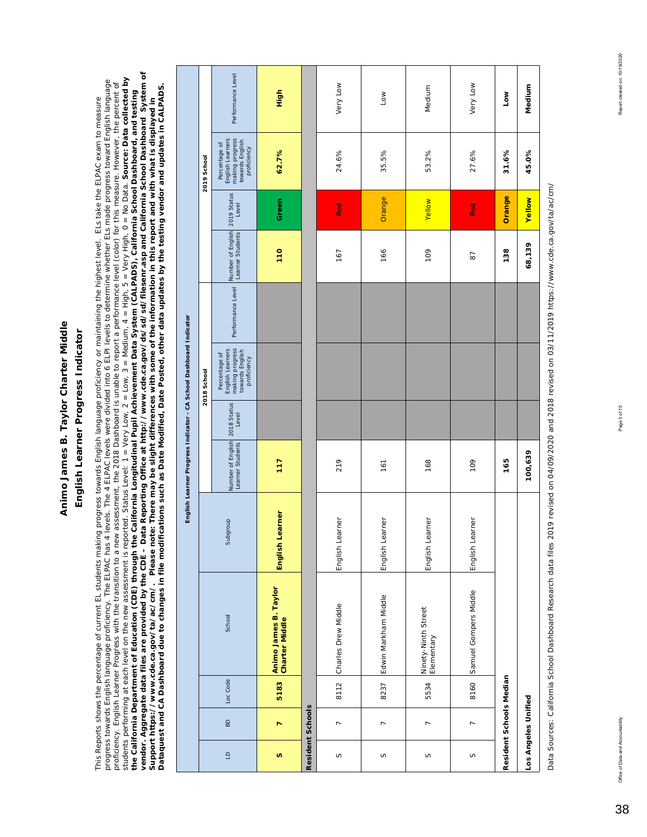## English Learner Progress Indicator **English Learner Progress Indicator**

vendor. Aggregate data files are provided by the CDE – Data Reporting Office at http://www.cde.ca.gov/ds/sd/filesenr.asp and California School Dashboard System of<br>Support https://www.cde.ca.gov/ta/ac/cm/. Please note: Th *vendor. Aggregate data files are provided by the CDE – Data Reporting Office at http://www.cde.ca.gov/ds/sd/sd/filesenr.asp and California School Dashboard System of*  students performing at each level on the new assessment is reported. Status Level: 1 = Very Low, 2 = Low, 3 = Medium, 4 = High, 5 = Very High, 0 = No Data. *Source: Data collected by*  This Reports shows the percentage of current EL students making progress towards English language proficiency or maintaining the highest level. ELs take the ELPAC exam to measure<br>progress towards English language proficien progress towards English language proficiency. The ELPAC has 4 levels. The 4 ELPAC levels were divided into 6 ELPI levels to determine whether ELs made progress toward English language students performing at each level on the new assessment is reported. Status Level: 1 = Very Low, 2 = Low, 3 = Medium, 4 = High, 5 = Very High, 0 = No Data. **Source: Data collected by**<br>the California Department of Education proficiency. English Learner Progress with the transition to a new assessment, the 2018 Dashboard is unable to report a performance level (color) for this measure. However, the percent of *Dataquest and CA Dashboard due to changes in file modifications such as Date Modified, Date Posted, other data updates by the testing vendor and updates in CALPADS. the California Department of Education (CDE) through the California Longitudinal Pupil Achievement Data System (CALPADS), California School Dashboard, and testing*  This Reports shows the percentage of current EL students making progress towards English language proficiency or maintaining the highest level. ELs take the ELPAC exam to measure *Support https://www.cde.ca.gov/ta/ac/cm/. Please note: There may be slight differences with some of the information in this report and with what is displayed in* 

|               |                         |          |                                                                                                                                                                                                                                |                 |                                                         | English Learner Progress Indicator - CA School Dashboard Indicator                     |                   |                                                         |               |                                                                                        |                   |
|---------------|-------------------------|----------|--------------------------------------------------------------------------------------------------------------------------------------------------------------------------------------------------------------------------------|-----------------|---------------------------------------------------------|----------------------------------------------------------------------------------------|-------------------|---------------------------------------------------------|---------------|----------------------------------------------------------------------------------------|-------------------|
|               |                         |          |                                                                                                                                                                                                                                |                 |                                                         | 2018 School                                                                            |                   |                                                         |               | 2019 School                                                                            |                   |
| $\Xi$         | BD                      | Loc Code | School                                                                                                                                                                                                                         | Subgroup        | Number of English 2018 Status<br>Learner Students Level | making progress<br>English Learners<br>towards English<br>Percentage of<br>proficiency | Performance Level | Number of English 2019 Status<br>Learner Students Level |               | making progress<br>towards English<br>English Learners<br>Percentage of<br>proficiency | Performance Level |
| <sub>S)</sub> | N                       | 5183     | Animo James B. Taylor<br>Charter Middle                                                                                                                                                                                        | English Learner | 117                                                     |                                                                                        |                   | 110                                                     | Green         | 62.7%                                                                                  | High              |
|               | <b>Resident Schools</b> |          |                                                                                                                                                                                                                                |                 |                                                         |                                                                                        |                   |                                                         |               |                                                                                        |                   |
| S             | $\overline{ }$          | 8112     | Charles Drew Middle                                                                                                                                                                                                            | English Learner | 219                                                     |                                                                                        |                   | 167                                                     | Red           | 24.6%                                                                                  | Very Low          |
| S             | $\overline{ }$          | 8237     | Edwin Markham Middle                                                                                                                                                                                                           | English Learner | 161                                                     |                                                                                        |                   | 166                                                     | Orange        | 35.5%                                                                                  | <b>NOT</b>        |
| S             | $\overline{ }$          | 5534     | Ninety-Ninth Street<br>Elementary                                                                                                                                                                                              | English Learner | 168                                                     |                                                                                        |                   | 109                                                     | Yellow        | 53.2%                                                                                  | Medium            |
| S             | $\overline{ }$          | 8160     | Samuel Gompers Middle                                                                                                                                                                                                          | English Learner | 109                                                     |                                                                                        |                   | 87                                                      | Red           | 27.6%                                                                                  | Very Low          |
|               | Resident Schools Median |          |                                                                                                                                                                                                                                |                 | 165                                                     |                                                                                        |                   | 138                                                     | Orange        | 31.6%                                                                                  | Low               |
|               | Los Angeles Unified     |          |                                                                                                                                                                                                                                |                 | 100,639                                                 |                                                                                        |                   | 68,139                                                  | <b>Yellow</b> | 45.0%                                                                                  | Medium            |
|               |                         |          | han and a chain School Dochdaid Docorre data filos 2010 poico do 000 2000 poico do 001 poico do 011 1201 inoviro do compositor do 2101 inoviro do 2101 inoviro do 2101 inoviro do 2101 inoviro do 2101 inoviro do 2101 inoviro |                 |                                                         |                                                                                        |                   |                                                         |               |                                                                                        |                   |

Data Sources: California School Dashboard Research data files 2019 revised on 04/09/2020 and 2018 revised on 03/11/2019 https://www.cde.ca.gov/ta/ac/cm/ Data Sources: California School Dashboard Research data files 2019 revised on 04/09/2020 and 2018 revised on 8 revised on 03171/23/11/28/05/2020 and 2018 revised on 04/09/2020 and 2018 revised on 03171/23/11/28/05/06/06/06

Office of Data and Accountability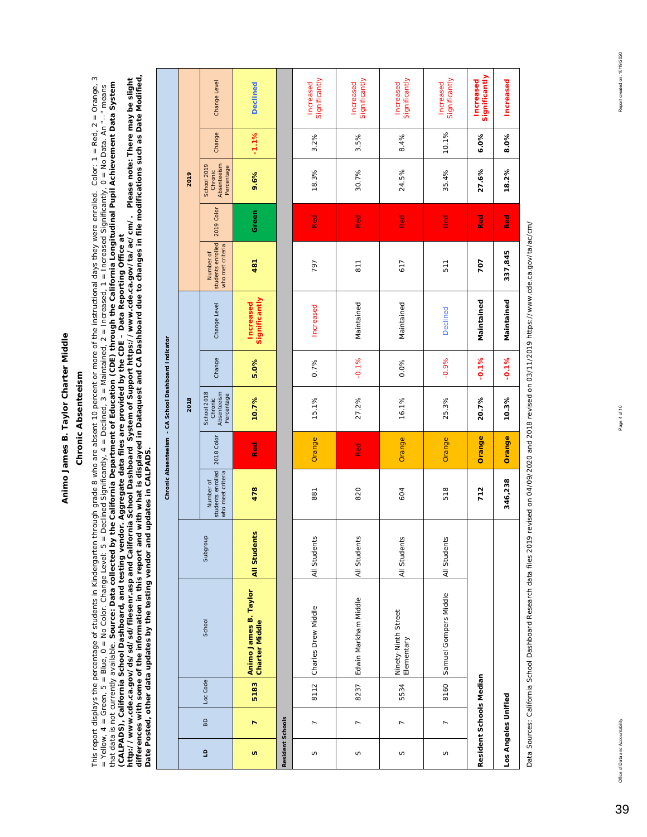### Chronic Absenteeism **Chronic Absenteeism**

This report displays the percentage of students in Kindergarten through grade 8 who are absent 10 percent or more of the instructional days they were enrolled. Color: 1 = Red, 2 = Orange, 3<br>= Yellow, 4 = Green, 5 = Blue, 0 This report displays the percentage of students in Kindergarten through grade 8 who are absent 10 percent or more of the instructional days they were enrolled. Color: 1 = Red, 2 = Orange, 3 *http://www.cde.ca.gov/ds/sd/sd/filesenr.asp and California School Dashboard System of Support https://www.cde.ca.gov/ta/ac/cm/. Please note: There may be slight*  that data is not currently available. *Source: Data collected by the California Department of Education (CDE) through the California Longitudinal Pupil Achievement Data System*  = Yellow, 4 = Green, 5 = Blue, 0 = No Color. Change Level: 5 = Declined Significantly, 4 = Declined, 3 = Maintained, 2 = Increased, 1 = Increased Significantly, 0 = No Data. An "--" means *(CALPADS), California School Dashboard, and testing vendor. Aggregate data files are provided by the CDE – Data Reporting Office at* 

*differences with some of the information in this report and with what is displayed in Dataquest and CA Dashboard due to changes in file modifications such as Date Modified, Date Posted, other data updates by the testing vendor and updates in CALPADS.* 

|                  |                     |                         |                                         |                     |                                                     |            | Chronic Absenteeism - CA School Dashboard Indicator |         |                                   |                                                    |            |                                                     |         |                                   |
|------------------|---------------------|-------------------------|-----------------------------------------|---------------------|-----------------------------------------------------|------------|-----------------------------------------------------|---------|-----------------------------------|----------------------------------------------------|------------|-----------------------------------------------------|---------|-----------------------------------|
|                  |                     |                         |                                         |                     |                                                     |            | 2018                                                |         |                                   |                                                    |            | 2019                                                |         |                                   |
| $\mathsf{G}$     | $\mathsf{B}$        | Loc Code                | School                                  | Subgroup            | students enrolled<br>who meet criteria<br>Number of | 2018 Color | Absenteeism<br>School 2018<br>Percentage<br>Chronic | Change  | Change Level                      | students enrolled<br>who met criteria<br>Number of | 2019 Color | Absenteeism<br>School 2019<br>Percentage<br>Chronic | Change  | Change Level                      |
| U)               | N                   | 5183                    | Animo James B. Taylor<br>Charter Middle | <b>All Students</b> | 478                                                 | Red        | 10.7%                                               | 5.0%    | Significantly<br><b>Increased</b> | 481                                                | Green      | 9.6%                                                | $-1.1%$ | <b>Declined</b>                   |
| Resident Schools |                     |                         |                                         |                     |                                                     |            |                                                     |         |                                   |                                                    |            |                                                     |         |                                   |
| $\mathcal O$     | $\overline{ }$      | 8112                    | Charles Drew Middle                     | All Students        | 881                                                 | Orange     | 15.1%                                               | 0.7%    | Increased                         | 797                                                | <b>Red</b> | 18.3%                                               | 3.2%    | Significantly<br>Increased        |
| S                | $\overline{ }$      | 8237                    | Edwin Markham Middle                    | All Students        | 820                                                 | Red        | 27.2%                                               | $-0.1%$ | Maintained                        | $\overline{8}$ 11                                  | <b>Red</b> | 30.7%                                               | 3.5%    | Significantly<br>Increased        |
| S                | $\overline{ }$      | 5534                    | Ninety-Ninth Street<br>Elementary       | All Students        | 604                                                 | Orange     | 16.1%                                               | 0.0%    | Maintained                        | 617                                                | Red        | 24.5%                                               | 8.4%    | Significantly<br>Increased        |
| $\mathcal O$     | $\overline{ }$      | 8160                    | Samuel Gompers Middle                   | All Students        | 518                                                 | Orange     | 25.3%                                               | $-0.9%$ | Declined                          | 511                                                | Red        | 35.4%                                               | 10.1%   | Significantly<br>Increased        |
|                  |                     | Resident Schools Median |                                         |                     | 712                                                 | Orange     | 20.7%                                               | $-0.1%$ | Maintained                        | 707                                                | <b>Red</b> | 27.6%                                               | 6.0%    | Significantly<br><b>Increased</b> |
|                  | Los Angeles Unified |                         |                                         |                     | 346,238                                             | Orange     | 10.3%                                               | $-0.1%$ | Maintained                        | 337,845                                            | Red        | 18.2%                                               | 8.0%    | <b>Increased</b>                  |
|                  |                     |                         |                                         |                     |                                                     |            |                                                     |         |                                   |                                                    |            |                                                     |         |                                   |

Data Sources: California School Dashboard Research data files 2019 revised on 04/09/2020 and 2018 revised on 03/11/2019 https://www.cde.ca.gov/ta/ac/cm/ Data Sources: California School Dashboard Research data files 2019 revised on 04/09/2020 and 2018 revised on 03/11/2019 https://www.cde.ca.gov/ta/ac/cm/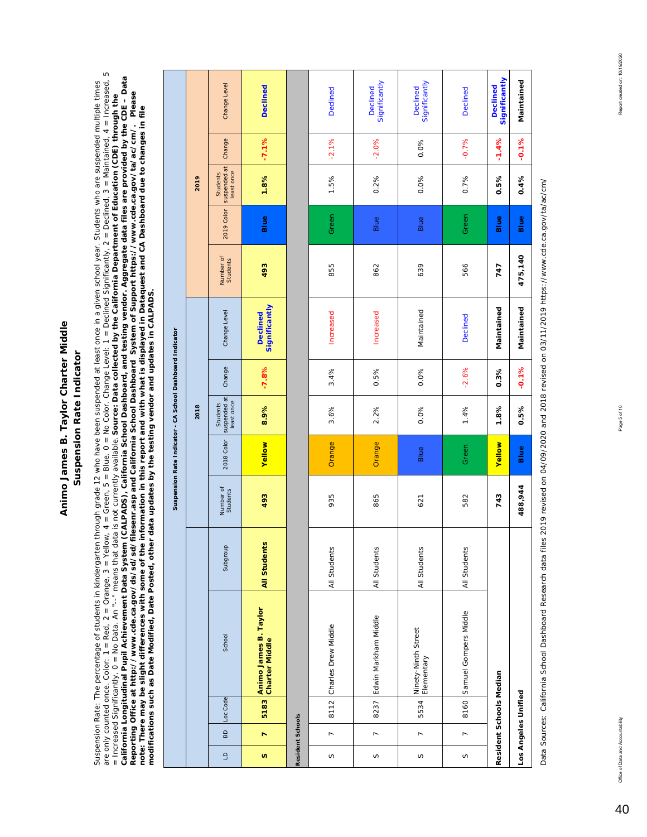### Suspension Rate Indicator **Suspension Rate Indicator**

are only counted once. Color: 1 = Red, 2 = Crange, 3 = Yellow, 4 = Green, 5 = Blue, 0 = No Color. Change Level: 1 = Declined Significantly, 2 = Declined, 3 = Maintained, 4 = Increased, 5 are only counted once. Color: 1 = Red, 2 = Orange, 3 = Yellow, 4 = Green, 5 = Blue, 0 = No Color. Change Level: 1 = Declined Significantly, 2 = Declined, 3 = Maintained, 4 = Increased, 5 = Increased Significantly, 0 = No Data. An "--" means that data is not currently available. S**ource: Data collected by the California Department of Education (CDE) through the California Longitudinal Pupil Achievement Dat** *California Longitudinal Pupil Achievement Data System (CALPADS), California School Dashboard, and testing vendor. Aggregate data files are provided by the CDE – Data*  Suspension Rate: The percentage of students in kindergarten through grade 12 who have been suspended at least once in a given school year. Students who are suspended multiple times Suspension Rate: The percentage of students in kindergarten through grade 12 who have been suspended at least once in a given school year. Students who are suspended multiple times *Reporting Office at http://www.cde.ca.gov/ds/sd/sd/filesenr.asp and California School Dashboard System of Support https://www.cde.ca.gov/ta/ac/cm/. Please*  = Increased Significantly, 0 = No Data. An "--" means that data is not currently available. *Source: Data collected by the California Department of Education (CDE) through the note: There may be slight differences with some of the information in this report and with what is displayed in Dataquest and CA Dashboard due to changes in file modifications such as Date Modified, Date Posted, other data updates by the testing vendor and updates in CALPADS.* 

|                  |                          |                         |                                                |                     |                       |            | Suspension Rate Indicator - CA School Dashboard Indicator |         |                                  |                              |            |                                        |         |                                  |
|------------------|--------------------------|-------------------------|------------------------------------------------|---------------------|-----------------------|------------|-----------------------------------------------------------|---------|----------------------------------|------------------------------|------------|----------------------------------------|---------|----------------------------------|
|                  |                          |                         |                                                |                     |                       |            | 2018                                                      |         |                                  |                              |            | 2019                                   |         |                                  |
| $\Box$           | $\overline{a}$           | Loc Code                | School                                         | Subgroup            | Number of<br>Students | 2018 Color | suspended at<br>least once<br>Students                    | Change  | Change Level                     | Number of<br><b>Students</b> | 2019 Color | suspended at<br>least once<br>Students | Change  | Change Level                     |
| S                | N                        | 5183                    | Animo James B. Taylor<br><b>Charter Middle</b> | <b>All Students</b> | 493                   | Yellow     | 8.9%                                                      | $-7.8%$ | Significantly<br><b>Declined</b> | 493                          | Blue       | 1.8%                                   | $-7.1%$ | <b>Declined</b>                  |
| Resident Schools |                          |                         |                                                |                     |                       |            |                                                           |         |                                  |                              |            |                                        |         |                                  |
| S                | $\overline{ }$           | 8112                    | Charles Drew Middle                            | All Students        | 935                   | Orange     | 3.6%                                                      | 3.4%    | Increased                        | 855                          | Green      | 1.5%                                   | $-2.1%$ | <b>Declined</b>                  |
| S                | $\overline{a}$           |                         | 8237 Edwin Markham Middle                      | All Students        | 865                   | Orange     | 2.2%                                                      | 0.5%    | Increased                        | 862                          | Blue       | 0.2%                                   | $-2.0%$ | Significantly<br>Declined        |
| S                | $\overline{\phantom{0}}$ | 5534                    | Ninety-Ninth Street<br>Elementary              | All Students        | 621                   | Blue       | 0.0%                                                      | 0.0%    | Maintained                       | 639                          | Blue       | 0.0%                                   | 0.0%    | Significantly<br><b>Declined</b> |
| S                | $\overline{a}$           | 8160                    | Samuel Gompers Middle                          | All Students        | 582                   | Green      | 1.4%                                                      | $-2.6%$ | Declined                         | 566                          | Green      | 0.7%                                   | $-0.7%$ | <b>Declined</b>                  |
|                  |                          | Resident Schools Median |                                                |                     | 743                   | Yellow     | 1.8%                                                      | 0.3%    | Maintained                       | 747                          | Blue       | 0.5%                                   | $-1.4%$ | Significantly<br>Declined        |
|                  |                          | Los Angeles Unified     |                                                |                     | 488,944               | Blue       | 0.5%                                                      | $-0.1%$ | Maintained                       | 475,140                      | Blue       | 0.4%                                   | $-0.1%$ | Maintained                       |
|                  |                          |                         |                                                |                     |                       |            |                                                           |         |                                  |                              |            |                                        |         |                                  |

Data Sources: California School Dashboard Research data files 2019 revised on 04/09/2020 and 2018 revised on 03/11/2019 https://www.cde.ca.gov/ta/ac/cm/ Data Sources: California School Dashboard Research data files 2019 revised on 04/09/2020 and 2018 revised on 03/11/2019 https://www.cde.ca.gov/ta/ac/cm/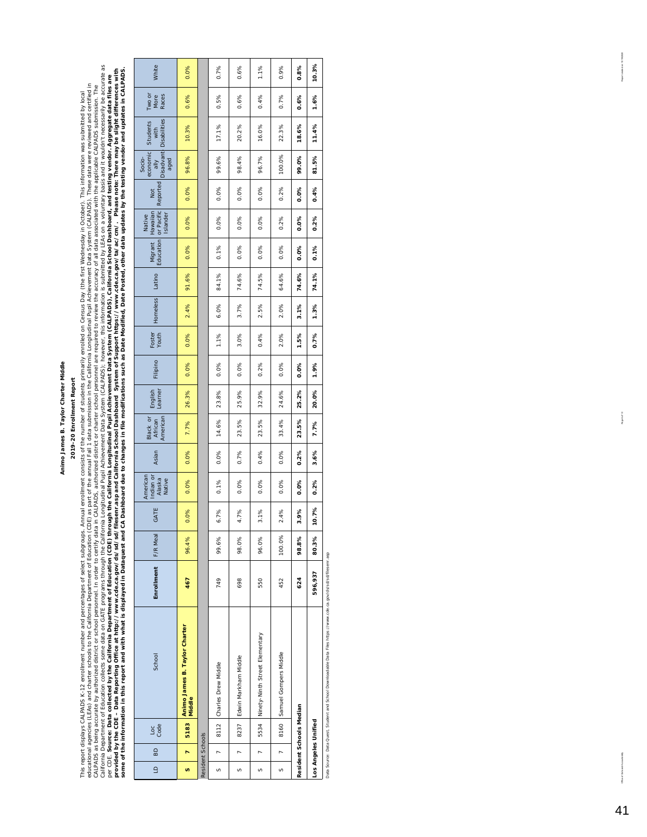### 2019-20 Enrollment Report **2019-20 Enrollment Report**

This report displays CALPADS K-12 enrollment number and percentages of select submultanchers of the number of students primarly enrolled on Census Day (the first Wednesday in October). This information was submitted by loc California Department of Education collects some data on GATE programs thre California Longitudinal Pupil Achievement Data System (CALPADS); however, this information is submitted by LEAs on a voluritary basis and it would some of the information in this report and with what is displayed in Suarguest and Dashboard due to changes in file modifications such as Date Modified, Date Posted, other data updates by the testing vendor and updates in provided by the CDE – Data Reporting Office at http://www.cde.ca.gov/ds.ca.gov/de.ca.gov/ds/senr.asp and California Sorbool Dashboard System of Support https://www.cde.ca.gov/ta/ac/cm/. Please note: There may be slight dif Source: Data collected by the Galifornia Department of Education (CDE) through the California Longitudinal Pupil Achievement Data System (CALPADS), California School Dashboard, and testing vendor. Aggregate data files are educational agencies (LEAS) and charter schools to the California Department of Education (CDE) as part of the annual Fall 1 data submission in the California Longitudinal Pupil Achievement Data System (CALPADS). These dat CALPADS as being accurate by authorized district or school personnel. In no charged to that the school personnel are required to review the accurace of all data associated with the applicable CALPADS submission. The This report displays CALPADS K-12 enrollment number and percentages of select subgroups. Annual enrollment or students primarily enrolled on Census Day (the first Wednesday in October). This information was submitted by lo per CDE.

|              |                  |                         | some of the information in this report and with what is displayed in Dataquest and |            |          |       |                                           |       |                                 |                    |          |                 |          |        |                                          |                    |                      |                                                  | CA Dashboard due to changes in file modifications such as Date Modified, Date Posted, other data updates by the testing vendor and updates in CALPADS. |                         |       |
|--------------|------------------|-------------------------|------------------------------------------------------------------------------------|------------|----------|-------|-------------------------------------------|-------|---------------------------------|--------------------|----------|-----------------|----------|--------|------------------------------------------|--------------------|----------------------|--------------------------------------------------|--------------------------------------------------------------------------------------------------------------------------------------------------------|-------------------------|-------|
| $\triangleq$ | BD               | Loc<br>Code             | School                                                                             | Enrollment | F/R Meal | GATE  | American<br>Indian or<br>Alaska<br>Native | Asian | American<br>Black or<br>African | English<br>Learner | Filipino | Foster<br>Youth | Homeless | Latino | Migrant Hawaiian<br>Education or Pacific | Islander<br>Native | Reported<br><b>S</b> | ally<br>Disadvant-<br>economic<br>Socio-<br>aged | <b>Disabilities</b><br>Students<br>with                                                                                                                | Two or<br>More<br>Races | White |
| U)           | ь                | 5183                    | Animo James B. Taylor Charter<br>Middle                                            | 467        | 96.4%    | 0.0%  | 0.0%                                      | 0.0%  | 7.7%                            | 26.3%              | 0.0%     | 0.0%            | 2.4%     | 91.6%  | 0.0%                                     | 0.0%               | 0.0%                 | 96.8%                                            | 10.3%                                                                                                                                                  | 0.6%                    | 0.0%  |
|              | Resident Schools |                         |                                                                                    |            |          |       |                                           |       |                                 |                    |          |                 |          |        |                                          |                    |                      |                                                  |                                                                                                                                                        |                         |       |
| S            |                  |                         | 8112 Charles Drew Middle                                                           | 749        | 99.6%    | 6.7%  | 0.1%                                      | 0.0%  | 14.6%                           | 23.8%              | 0.0%     | 1.1%            | 6.0%     | 84.1%  | 0.1%                                     | 0.0%               | 0.0%                 | 99.6%                                            | 17.1%                                                                                                                                                  | 0.5%                    | 0.7%  |
| S            | r.               |                         | 8237 Edwin Markham Middle                                                          | 698        | 98.0%    | 4.7%  | 0.0%                                      | 0.7%  | 23.5%                           | 25.9%              | 0.0%     | 3.0%            | 3.7%     | 74.6%  | 0.0%                                     | 0.0%               | 0.0%                 | 98.4%                                            | 20.2%                                                                                                                                                  | 0.6%                    | 0.6%  |
| S            | $\overline{ }$   | 5534                    | Ninety-Ninth Street Elementary                                                     | 550        | 96.0%    | 3.1%  | 0.0%                                      | 0.4%  | 23.5%                           | 32.9%              | 0.2%     | 0.4%            | 2.5%     | 74.5%  | 0.0%                                     | 0.0%               | 0.0%                 | 96.7%                                            | 16.0%                                                                                                                                                  | 0.4%                    | 1.1%  |
| S            | r.               | 8160                    | Samuel Gompers Middle                                                              | 452        | 100.0%   | 2.4%  | 0.0%                                      | 0.0%  | 33.4%                           | 24.6%              | 0.0%     | 2.0%            | 2.0%     | 64.6%  | 0.0%                                     | 0.2%               | 0.2%                 | 100.0%                                           | 22.3%                                                                                                                                                  | 0.7%                    | 0.9%  |
|              |                  | Resident Schools Median |                                                                                    | 624        | 98.8%    | 3.9%  | 0.0%                                      | 0.2%  | 23.5%                           | 25.2%              | 0.0%     | 1.5%            | 3.1%     | 74.6%  | 0.0%                                     | <b>0.0%</b>        | 0.0%                 | 99.0%                                            | 18.6%                                                                                                                                                  | 0.6%                    | 0.8%  |
|              |                  | Los Angeles Unified     |                                                                                    | 596,937    | 80.3%    | 10.7% | 0.2%                                      | 3.6%  | 7.7%                            | 20.0%              | 1.9%     | 0.7%            | 1.3%     | 74.1%  | 0.1%                                     | 0.2%               | 0.4%                 | 81.5%                                            | 11.4%                                                                                                                                                  | 1.6%                    | 10.3% |

Data Source: Data Quest, Student and School Downloadable Data Files https://www.cde.ca.gov/ds/sd/filesenr.asp Data Source: Data Quest, Student and School Downloadable Data Files https://www.cde.ca.gov/ds/sd/sd/filesenr.asp Report anested on: 10/19/2020

tatav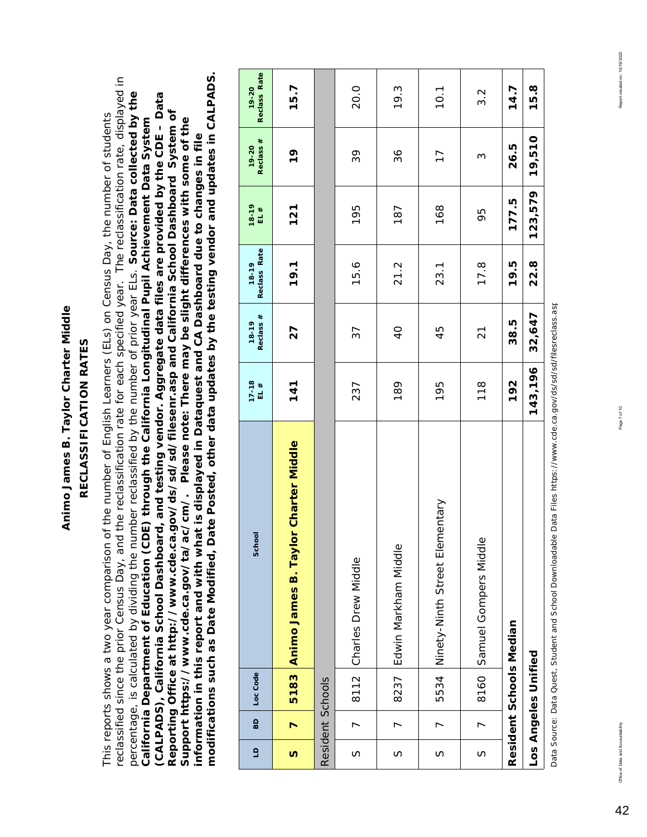### Animo James B. Taylor Charter Middle **Animo James B. Taylor Charter Middle** RECLASSIFICATION RATES

**RECLASSIFICATION RATES**

*modifications such as Date Modified, Date Posted, other data updates by the testing vendor and updates in CALPADS.*  reclassified since the prior Census Day, and the reclassification rate for each specified year. The reclassification rate, displayed in modifications such as Date Modified, Date Posted, other data updates by the testing vendor and updates in CALPADS. reclassified since the prior Census Day, and the reclassification rate for each specified year. The reclassification rate, displayed in percentage, is calculated by dividing the number reclassified by the number of prior year ELs. *Source: Data collected by the*  percentage, is calculated by dividing the number reclassified by the number of prior year ELs. Source: Data collected by the *(CALPADS), California School Dashboard, and testing vendor. Aggregate data files are provided by the CDE – Data*  (CALPADS), California School Dashboard, and testing vendor. Aggregate data files are provided by the CDE - Data *Reporting Office at http://www.cde.ca.gov/ds/sd/sd/filesenr.asp and California School Dashboard System of*  Reporting Office at http://www.cde.ca.gov/ds/sd/sd/filesenr.asp and California School Dashboard System of This reports shows a two year comparison of the number of English Learners (ELs) on Census Day, the number of students This reports shows a two year comparison of the number of English Learners (ELs) on Census Day, the number of students *California Department of Education (CDE) through the California Longitudinal Pupil Achievement Data System Support https://www.cde.ca.gov/ta/ac/cm/. Please note: There may be slight differences with some of the*  California Department of Education (CDE) through the California Longitudinal Pupil Achievement Data System Support https://www.cde.ca.gov/ta/ac/cm/. Please note: There may be slight differences with some of the *information in this report and with what is displayed in Dataquest and CA Dashboard due to changes in file*  information in this report and with what is displayed in Dataquest and CA Dashboard due to changes in file

| $\overline{a}$ | $\overline{a}$ | Loc Code                | School                                    | $17 - 18$<br>EL # | Reclass #<br>18-19 | Reclass Rate<br>$18 - 19$ | $18 - 19$<br>EL # | Reclass #<br>19-20 | Reclass Rate<br>$19 - 20$ |
|----------------|----------------|-------------------------|-------------------------------------------|-------------------|--------------------|---------------------------|-------------------|--------------------|---------------------------|
| S              | N              |                         | 5183 Animo James B. Taylor Charter Middle | 141               | 27                 | 19.1                      | 121               | $\frac{6}{1}$      | 15.7                      |
|                |                | Resident Schools        |                                           |                   |                    |                           |                   |                    |                           |
| S              | ∼              | 8112                    | Charles Drew Middle                       | 237               | 37                 | 15.6                      | 195               | 39                 | 20.0                      |
| $\circ$        | ∼              | 8237                    | Edwin Markham Middle                      | 189               | $\overline{0}$     | 21.2                      | 187               | 36                 | 19.3                      |
| $\circ$        | 宀              | 5534                    | Ninety-Ninth Street Elementary            | 195               | 45                 | 23.1                      | 168               | $\overline{17}$    | 10.1                      |
| S              | ∼              |                         | 8160 Samuel Gompers Middle                | 118               | $\overline{2}$ 1   | 17.8                      | 95                | S                  | 3.2                       |
|                |                | Resident Schools Median |                                           | 192               | 38.5               | 19.5                      | 177.5             | 26.5               | 14.7                      |
|                |                | Los Angeles Unified     |                                           | 143,196           | 32,647             | 22.8                      | 123,579           | 19,510             | 15.8                      |

Data Source: Data Quest, Student and School Downloadable Data Files https://www.cde.ca.gov/ds/sd/filesreclass.asp Data Source: Data Quest, Student and School Downloadable Data Files https://www.cde.ca.gov/ds/sd/sd/filesreclass.asp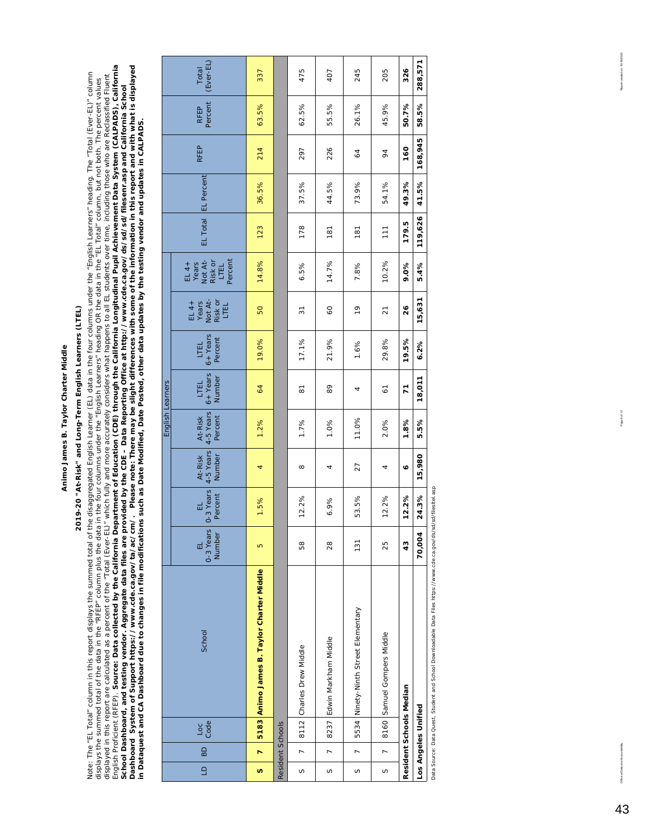## 2019-20 "At-Risk" and Long-Term English Learners (LTEL) **2019-20 "At-Risk" and Long-Term English Learners (LTEL)**

English Proficient (RFEP). Source: Data collected by the California Department of Education (CDE) through the California Longitudinal Pupil Achievement Data System (CALPADS), California<br>School Dashboard, and testing vendor English Proficient (RFEP). *Source: Data collected by the California Department of Education (CDE) through the California Longitudinal Pupil Achievement Data System (CALPADS), California Dashboard System of Support https://www.cde.ca.gov/ta/ac/cm/. Please note: There may be slight differences with some of the information in this report and with what is displayed*  Note: The "EL Total" column in this report displays the summed total of the disaggregated English Learner (EL) data in the four columns under the "English Learners" heading. The "Total (Ever-EL)" column Note: The "EL Total" column in this report displays the summed total of the disaggregated English Learner (EL) data in the four columns under the "English Learners" heading. The "Total (Ever-EL)" column<br>displays the summed displayed in this report are calculated as a percent of the "Total (Ever-EL)" which fully and more accurately considers what happens to all EL students over time, including those who are Reclassified Fluent displays the summed total of the data in the verseligity the data in the four columns under the "English Learners" heading OR the data in the "EL Total" column, but not both. The percent values *School Dashboard, and testing vendor. Aggregate data files are provided by the CDE – Data Reporting Office at http://www.cde.ca.gov/ds/sd/sd/filesenr.asp and California School in Dataquest and CA Dashboard due to changes in file modifications such as Date Modified, Date Posted, other data updates by the testing vendor and updates in CALPADS.* 

|                            |             |                                               |                           |                                   |                                | English Learners                |                            |                             |                                              |                                                         |                |                   |         |                 |                    |
|----------------------------|-------------|-----------------------------------------------|---------------------------|-----------------------------------|--------------------------------|---------------------------------|----------------------------|-----------------------------|----------------------------------------------|---------------------------------------------------------|----------------|-------------------|---------|-----------------|--------------------|
| BD<br>$\Box$               | Loc<br>Code | School                                        | EL<br>0-3 Years<br>Number | 0-3 Years<br>Percent<br>$\vec{p}$ | 4-5 Years<br>Number<br>At-Risk | 4-5 Years<br>Percent<br>At-Risk | 6+ Years<br>Number<br>LTEL | 6+ Years<br>Percent<br>LTEL | Not At-<br>Risk or<br>EL 4+<br>Years<br>LTEL | Not At-<br>Percent<br>Risk or<br>LTEL<br>EL 4+<br>Years | EL Total       | <b>EL</b> Percent | RFEP    | Percent<br>RFEP | (Ever-EL)<br>Total |
| <sub>s</sub>               |             | 7   5183 Animo James B. Taylor Charter Middle | Б                         | 1.5%                              | 4                              | 1.2%                            | 64                         | 19.0%                       | 50                                           | 14.8%                                                   | 123            | 36.5%             | 214     | 63.5%           | 337                |
| Resident Schools           |             |                                               |                           |                                   |                                |                                 |                            |                             |                                              |                                                         |                |                   |         |                 |                    |
| $\overline{1}$<br>S        |             | 8112 Charles Drew Middle                      | 58                        | 12.2%                             | $\infty$                       | 1.7%                            | 51                         | 17.1%                       | 51                                           | 6.5%                                                    | 178            | 37.5%             | 297     | 62.5%           | 475                |
| $\overline{a}$<br>$\omega$ |             | 8237 Edwin Markham Middle                     | 28                        | 6.9%                              | 4                              | 1.0%                            | 89                         | 21.9%                       | 60                                           | 14.7%                                                   | 181            | 44.5%             | 226     | 55.5%           | 407                |
| $\overline{ }$<br>S        |             | 5534 Ninety-Ninth Street Elementary           | 131                       | 53.5%                             | 27                             | 11.0%                           | 4                          | 1.6%                        | $\frac{1}{2}$                                | 7.8%                                                    | 181            | 73.9%             | 64      | 26.1%           | 245                |
| $\overline{1}$<br>S        |             | 8160 Samuel Gompers Middle                    | 25                        | 12.2%                             | 4                              | 2.0%                            | 51                         | 29.8%                       | $\overline{2}$                               | 10.2%                                                   | $\frac{1}{11}$ | 54.1%             | 94      | 45.9%           | 205                |
|                            |             | Resident Schools Median                       | $\frac{3}{4}$             | 12.2%                             | Ó                              | 1.8%                            | $\overline{7}$             | 19.5%                       | 26                                           | 9.0%                                                    | 179.5          | 49.3%             | 160     | 50.7%           | 326                |
| Los Angeles Unified        |             |                                               | 70,004                    | 24.3%                             | 15,980                         | 5.5%                            | 18,011                     | 6.2%                        | 15,631                                       | 5.4%                                                    | 119,626        | 41.5%             | 168,945 | 58.5%           | 288,571            |

Data Source: Data Quest, Student and School Downloadable Data Files https://www.cde.ca.gov/ds/sd/sd/filesltel.asp Data Source: Data Quest, Student and School Downloadable Data Files https://www.cde.ca.gov/ds/sd/sd/filesltel.asp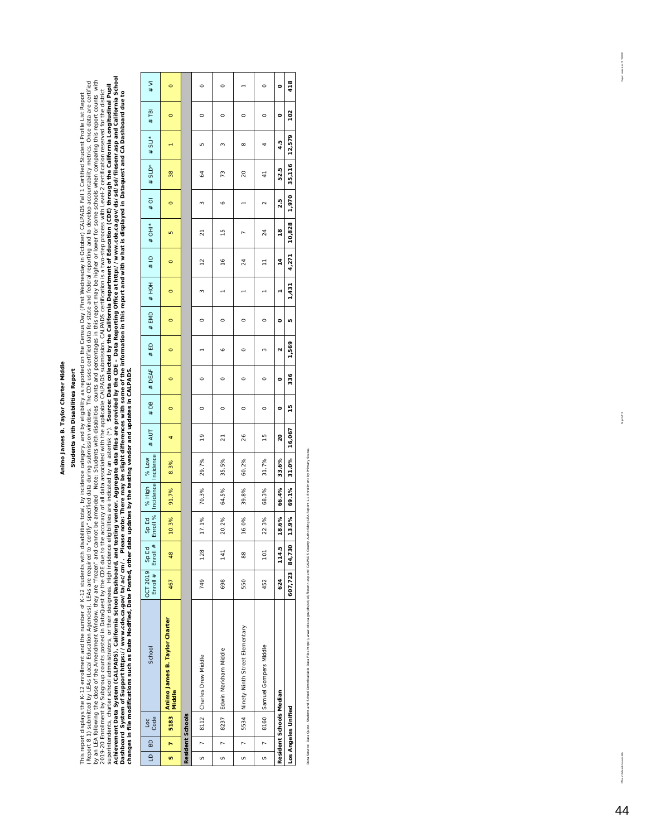### Students with Disabilities Report **Students with Disabilities Report**

This report displays the K-12 arrollment and the number of K-12 students with disabilities total, by incidence category, and by eligibility as reported on the Census Day (First Wednesday in October) CALPADS Fall 1 Certifie Achievement Data System (CALPADS), California School Dashboard, and testing vendor. Aggregate data files are provided by the CDE – Data Reporting Office at http://www.ca.gov/ds/sd/selesem.asp and California School by an LEA following the dose of the Amendment Window, they are "frozen" and cannot cannot be amended Note: Students with disabilities counts and percentages in this report only be higher or lower for some schools when comp Report 8.1) submitted by LEAs (Local Education Agencies). LEAs are required to "certify" specified data during submission windows. The CDE uses certified data for state and federal reporting and to develop accountability m *Source: Data collected by the California Department of Education (CDE) through the California Longitudinal Pupil*  2019-2016 counts posted in DataQuest by the CDE due to the accuracy of all data associated with the applicable CALPADS submission. CALPADS certification is a two-step process with Level-2 certification reserved for the dis This report displays the K-12 enrollment and the number of K-12 students with disabilities total, by incidence category, and by eligibility as reported on the Census Day (First Wednesday in October) CALPADS Fall 1 Certifie *Dashboard System of Support https://www.cde.ca.gov/ta/ac/cm/. Please note: There may be slight differences with some of the information in this report and with what is displayed in Dataquest and CA Dashboard due to changes in file modifications such as Date Modified, Date Posted, other data updates by the testing vendor and updates in CALPADS.*  superintendents, charter school administrators, or their designees. High incidence eligibilities are indicated by an asterisk (\*).

 $\mathbf{I}$ 

| $\triangleq$ | BD | Loge<br>Code            | School                                       | <b>OCT 2019</b><br>Enroll # | Enroll #<br>Sp <sub>Ed</sub> | Enroll %<br>Sp Ed | Incidence<br>% High | Incidence<br>% Low | # AUT          | $#$ DB  | # DEAF  | # ED    | # EMD   | $#$ HOH | #1D            | $#$ OHI $*$    | $\overline{0}$ | $#$ SLD*      | $# SLI*$ | $#$ TBI | W#      |
|--------------|----|-------------------------|----------------------------------------------|-----------------------------|------------------------------|-------------------|---------------------|--------------------|----------------|---------|---------|---------|---------|---------|----------------|----------------|----------------|---------------|----------|---------|---------|
| U)           | r  |                         | 5183 Animo James B. Taylor Charter<br>Middle | 467                         | $\frac{48}{3}$               | 10.3%             | 91.7%               | 8.3%               |                | $\circ$ | $\circ$ | $\circ$ | $\circ$ | $\circ$ | $\circ$        | m              | $\circ$        | 38            |          | $\circ$ | $\circ$ |
|              |    | Resident Schools        |                                              |                             |                              |                   |                     |                    |                |         |         |         |         |         |                |                |                |               |          |         |         |
| S            |    |                         | 8112 Charles Drew Middle                     | 749                         | 128                          | 17.1%             | 70.3%               | 29.7%              | $\frac{6}{1}$  | $\circ$ | $\circ$ |         | O       | 3       | $\tilde{c}$    | 21             | $\infty$       | 64            | Ю        | $\circ$ | $\circ$ |
| S            |    |                         | 8237 Edwin Markham Middle                    | 698                         | 141                          | 20.2%             | 64.5%               | 35.5%              | $\overline{2}$ | $\circ$ | $\circ$ | ∘       | $\circ$ |         | $\frac{6}{2}$  | $\frac{15}{2}$ | ∘              | 73            | 3        | $\circ$ | $\circ$ |
| S            |    |                         | 5534 Ninety-Ninth Street Elementary          | 550                         | 88                           | 16.0%             | 39.8%               | 60.2%              | 26             | $\circ$ | $\circ$ | $\circ$ | $\circ$ |         | $^{24}$        |                |                | 20            | $\infty$ | $\circ$ |         |
| S            |    | 8160                    | Samuel Gompers Middle                        | 452                         | 101                          | 22.3%             | 68.3%               | 31.7%              | 15             | $\circ$ | $\circ$ | m       | $\circ$ |         |                | 24             | $\sim$         | $\frac{1}{4}$ |          | $\circ$ | $\circ$ |
|              |    | Resident Schools Median |                                              | 624                         | 114.5                        | 18.6%             | 66.4%               | 33.6%              | 20             | 0       | 0       | N       | 0       |         | $\overline{1}$ | 18             | 2.5            | 52.5          | 4.5      | 0       | 0       |
|              |    | Los Angeles Unified     |                                              | 607,723 84,730              |                              | 13.9%             | 69.1%               | 31.0%              | 16,067         | 15      | 336     | 1,569   | LO      | 1,431   | 4,271          | 10,828         | 1,970          | 35,116        | 12,579   | 102     | 418     |

asp and CALPADS County Authorizing LEA Report 1.1 Enrollment by Primary Status. Data Source: Data Quest, Student and School Downloadable Data Files https://www.cde.ca.gov/ds/sd/sd/filesenr.asp and CALPADS County Authorizing LEA Report 1.1 Enrollment by Primary Status. ğ. vadable Data Files https: Data Source: Data Quest, Student and Sche Office of Data and Accountability Page 9 of 10 Page 9 of 10 Page 9 of 10 Page 9 of 10 Report created on: 10 Report created on: 10 Report created on: 10 Report created on: 10 Report created on: 10 Report created on: 10 Repo

Page 9 of 10

Report anested on: 1019/2020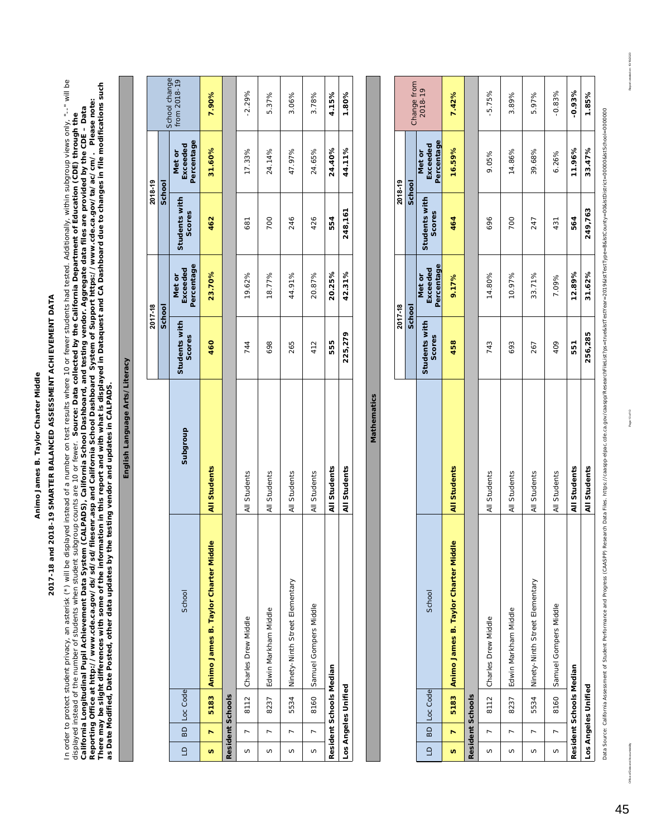## 2017-18 and 2018-19 SMARTER BALANCED ASSESSMENT ACHIEVEMENT DATA **2017-18 and 2018-19 SMARTER BALANCED ASSESSMENT ACHIEVEMENT DATA**

In order to protect student privacy, an asterisk (\*) will be displayed instead of a number on test results where 10 or fewer students had tested. Additionally, within subgroup views only, "--" will be<br>displayed instead of In order to protect student privacy, an asterisk (\*) will be displayed instead of a number on test results where 10 or fewer students had tested. Additionally, within subgroup views only, "--" will be California Longitudinal Pupil Achievement Data System (CALPADS), California School Dashboard, and testing vendor. Aggregate data files are provided by the CDE – Data<br>Reporting Office at http://www.cde.ca.gov/ds/sd/sd/files *There may be slight differences with some of the information in this report and with what is displayed in Dataquest and CA Dashboard due to changes in file modifications such Reporting Office at http://www.cde.ca.gov/ds/sd/sd/filesenr.asp and California School Dashboard System of Support https://www.cde.ca.gov/ta/ac/cm/. Please note: California Longitudinal Pupil Achievement Data System (CALPADS), California School Dashboard, and testing vendor. Aggregate data files are provided by the CDE – Data*  displayed instead of the number of students when student subgroup counts are 10 or fewer. *Source: Data collected by the California Department of Education (CDE) through the*  as Date Modified, Date Posted, other data updates by the testing vendor and updates in CALPADS. *as Date Modified, Date Posted, other data updates by the testing vendor and updates in CALPADS.* 

**English Language Arts/Literacy**

English Language Arts/Literacy

|                |                |                         |                                           |                     | 2017-18                 |                                  | 2018-19                 |                                  |                               |
|----------------|----------------|-------------------------|-------------------------------------------|---------------------|-------------------------|----------------------------------|-------------------------|----------------------------------|-------------------------------|
|                |                |                         |                                           |                     | School                  |                                  | School                  |                                  |                               |
| $\overline{a}$ |                | <b>BD</b> Loc Code      | School                                    | Subgroup            | Students with<br>Scores | Percentage<br>Exceeded<br>Met or | Students with<br>Scores | Percentage<br>Exceeded<br>Met or | School change<br>from 2018-19 |
| U)             | M              |                         | 5183 Animo James B. Taylor Charter Middle | <b>All Students</b> | 460                     | 23.70%                           | 462                     | 31.60%                           | 7.90%                         |
|                |                | Resident Schools        |                                           |                     |                         |                                  |                         |                                  |                               |
| $\omega$       | $\overline{1}$ |                         | 8112 Charles Drew Middle                  | All Students        | 744                     | 19.62%                           | 681                     | 17.33%                           | $-2.29%$                      |
| S              |                | 8237                    | Edwin Markham Middle                      | All Students        | 698                     | 18.77%                           | 700                     | 24.14%                           | 5.37%                         |
| S              |                | 5534                    | Ninety-Ninth Street Elementary            | All Students        | 265                     | 44.91%                           | 246                     | 47.97%                           | 3.06%                         |
| S              | $\overline{1}$ |                         | 8160 Samuel Gompers Middle                | All Students        | 412                     | 20.87%                           | 426                     | 24.65%                           | 3.78%                         |
|                |                | Resident Schools Median |                                           | All Students        | 555                     | 20.25%                           | 554                     | 24.40%                           | 4.15%                         |
|                |                | Los Angeles Unified     |                                           | All Students        | 225,279                 | 42.31%                           | 248,161                 | 44.11%                           | 1.80%                         |
|                |                |                         |                                           |                     |                         |                                  |                         |                                  |                               |

|              |                |                         |                                           |                     | 2017-18                 |                                  | 2018-19                 |                                  |             |
|--------------|----------------|-------------------------|-------------------------------------------|---------------------|-------------------------|----------------------------------|-------------------------|----------------------------------|-------------|
|              |                |                         |                                           |                     | School                  |                                  | School                  |                                  | Change from |
| $\triangleq$ |                | <b>BD</b> Loc Code      | School                                    |                     | Students with<br>Scores | Percentage<br>Exceeded<br>Met or | Students with<br>Scores | Percentage<br>Exceeded<br>Met or | 2018-19     |
| S            | r              |                         | 5183 Animo James B. Taylor Charter Middle | <b>All Students</b> | 458                     | 9.17%                            | 464                     | 16.59%                           | 7.42%       |
|              |                | Resident Schools        |                                           |                     |                         |                                  |                         |                                  |             |
| S            |                | 8112                    | Charles Drew Middle                       | All Students        | 743                     | 14.80%                           | 696                     | 9.05%                            | $-5.75%$    |
| S            |                | 8237                    | Edwin Markham Middle                      | All Students        | 693                     | 10.97%                           | 700                     | 14.86%                           | 3.89%       |
| S            | r              | 5534                    | Ninety-Ninth Street Elementary            | All Students        | 267                     | 33.71%                           | 247                     | 39.68%                           | 5.97%       |
| S            | $\overline{1}$ |                         | 8160 Samuel Gompers Middle                | All Students        | 409                     | 7.09%                            | 431                     | 6.26%                            | $-0.83%$    |
|              |                | Resident Schools Median |                                           | All Students        | 551                     | 12.89%                           | 564                     | 11.96%                           | $-0.93%$    |
|              |                | Los Angeles Unified     |                                           | All Students        | 256,285                 | 31.62%                           | 249,763                 | 33.47%                           | 1.85%       |

**Mathematics**

Mathematics

Data Source: California Assessment of Student Performance and Progress (CAASPP) Research Data Files. https://caaspp-epac.cde.ca.gov/caaspp/ResearchFileList?ps=true&isfTestYear=2019&IsTestType=B&IsfOunty=00&IstDistrict=0000 Data Source: California Assessment Performance and Progress (CAASPP) Research Data Files. https://caaspp-elpac.code.ca.gov/caaspp/elsearchFileList?ps=true&IstTestYear=2019&IstTestYyee=B&IstCloinYy=00&IstCloin/0000081stScho

Page 10 of 10

fice of Data and Aco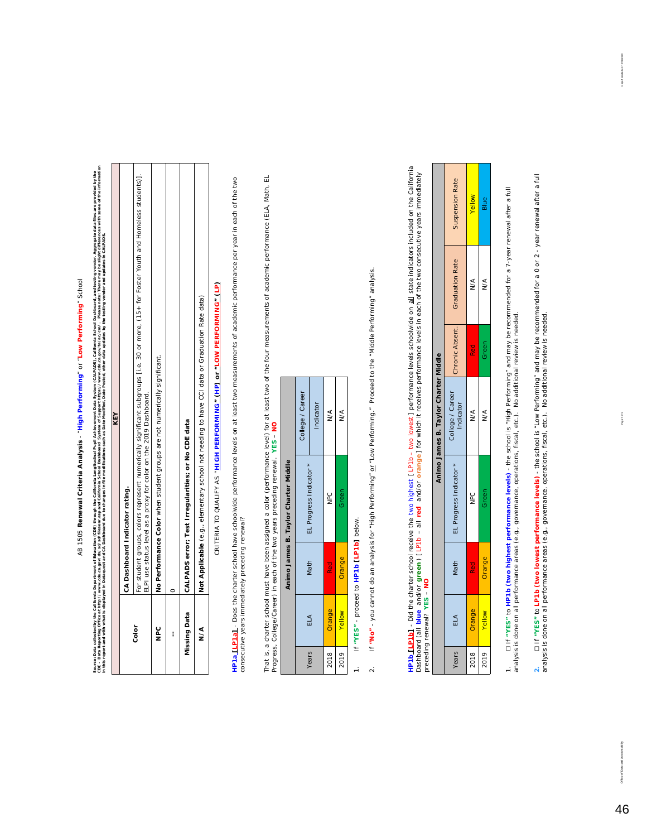## AB 1505 Renewal Criteria Analysis - "High Performing" or "Low Performing" School AB 1505 **Renewal Criteria Analysis** - "**High Performing**" or "**Low Performing**" School

DBE – Data Reporting Office at http://www.cde.ca.gov/ds/sd/silesonr.asp and California School Dashboard System of Support Https://www.cde.ca.gov/ta/ac/cm/. Please note: There may be slight differences with some of the info Source: Data collected by the California Data Marchan (CDE) through the California Data Papel Andreased Sources and the state of the state of the figure of the files are provided by the<br>In the representation of the compare Source: Data collected by the California Department of Education (CDE) through the California Longitudinal Pupil Achievement Data System (CALPADS), California School Dashboard, and testing vendor. Aggregate data files are *in this report and with what is displayed in Dataquest and CA Dashboard due to changes in file modifications such as Date Modified, Date Posted, other data updates by the testing vendor and updates in CALPADS.* 

|              | KEY                                                                                                                                                                                                          |
|--------------|--------------------------------------------------------------------------------------------------------------------------------------------------------------------------------------------------------------|
|              | CA Dashboard Indicator rating.                                                                                                                                                                               |
| color        | For student groups, colors represent numerically significant subgroups [i.e. 30 or more, (15+ for Foster Youth and Homeless students)].<br>ELPI use status level as a proxy for color on the 2019 Dashboard. |
| o<br>B       | No Performance Color when student groups are not numerically significant.                                                                                                                                    |
|              |                                                                                                                                                                                                              |
| Missing Data | CALPADS error; Test Irregularities; or No CDE data                                                                                                                                                           |
| ≤<br>≥       | Not Applicable (e.g., elementary school not needing to have CCI data or Graduation Rate data)                                                                                                                |
|              |                                                                                                                                                                                                              |

CRITERIA TO QUALIFY AS "<mark>HIGH PERFORMING" (HP) or "LOW PERFORMING" (LP)</mark> CRITERIA TO QUALIFY AS "**HIGH PERFORMING" (HP) or "LOW PERFORMING" (LP)** HP1a LLP1a1 - Does the charter school have schoolwide performance levels on at least two measurements of academic performance per year in each of the two **HP1a [LP1a]** - *Does the charter school have schoolwide performance levels on at least two measurements of academic performance per year in each of the two consecutive years immediately preceding renewal?*  consecutive years immediately preceding renewal?

That is, a charter school must have been assigned a color (performance level) for at least two of the four measurements of academic performance (ELA, Math, EL That is, a charter school must have been assigned a color (performance level) for at least two of the four measurements of academic performance (ELA, Math, EL<br>Progress, College/Career) in each of the two years preceding re Progress, College/Career) in each of the two years preceding renewal. **YES** – **NO**

|       |        |               | Animo James B. Taylor Charter Middle |                  |
|-------|--------|---------------|--------------------------------------|------------------|
| Years | ELA    | Math          |                                      | College / Career |
|       |        |               | EL Progress Indicator *              | Indicator        |
| 2018  | Orange | $\frac{1}{2}$ | Dep                                  | ∖<br>≥           |
| 2019  | Yellow | Orange        | Green                                | N/A              |
|       |        |               |                                      |                  |

If "YES" - proceed to HP1b [LP1b] below. 1. If **"YES"** - proceed to **HP1b [LP1b]** below.  $\frac{1}{2}$ 

If "No" - you cannot do an analysis for "High Performing" or "Low Performing." Proceed to the "Middle Performing" analysis. 2. If **"No"** - you cannot do an analysis for "High Performing" or "Low Performing." Proceed to the "Middle Performing" analysis.  $\alpha$ 

HP1b <mark>LP1b]</mark> - Did the charter school receive the two highest [LP1b – two lowest] performance levels schoolwide on <u>all</u> state indicators included on the California<br>Dashboard (all **blue** and/or **green**) [LP1b – all **red HP1b [LP1b]** - *Did the charter school receive the two highest [ LP1b – two lowest ] performance levels schoolwide on all state indicators included on the California*  Dashboard (all blue and/or green) [LP1b – all red and/or orange] for which it receives performance levels in each of the two consecutive years immediately *preceding renewal?* **YES** – **NO**

|                                      | <b>Suspension Rate</b>       | Yellow  | Blue          |
|--------------------------------------|------------------------------|---------|---------------|
|                                      | <b>Graduation Rate</b>       | ≸       | ≶             |
|                                      | Chronic Absent.              | 2<br>Re | Green         |
| Animo James B. Taylor Charter Middle | ollege / Career<br>Indicator | ≸       | ∖∕            |
|                                      | EL Progress Indicator        | DC<br>D | Green         |
|                                      | Math                         | Red     | prange        |
|                                      | ELA                          | Orange  | <b>Yellow</b> |
|                                      | Years                        | 2018    | 2019          |

1. ☐ If **"YES"** to **HP1b (two highest performance levels)** - the school is "High Performing" and may be recommended for a 7-year renewal after a full analysis is done on all performance areas (e.g., governance, operations, fiscal, etc.). No additional review is needed.

2. If "YES" to LP1b (two lowest performance levels) - the school is "Low Performing" and may be recommended for a 0 or 2 - year renewal after a full<br>analysis is done on all performance areas (e.g., governance, operations, **2.** ☐ If **"YES"** to **LP1b (two lowest performance levels)** - the school is "Low Performing" and may be recommended for a 0 or 2 - year renewal after a full analysis is done on all performance areas (e.g., governance, operations, fiscal, etc.). No additional review is needed.

anzan **Record created** 

ffice of Data and Av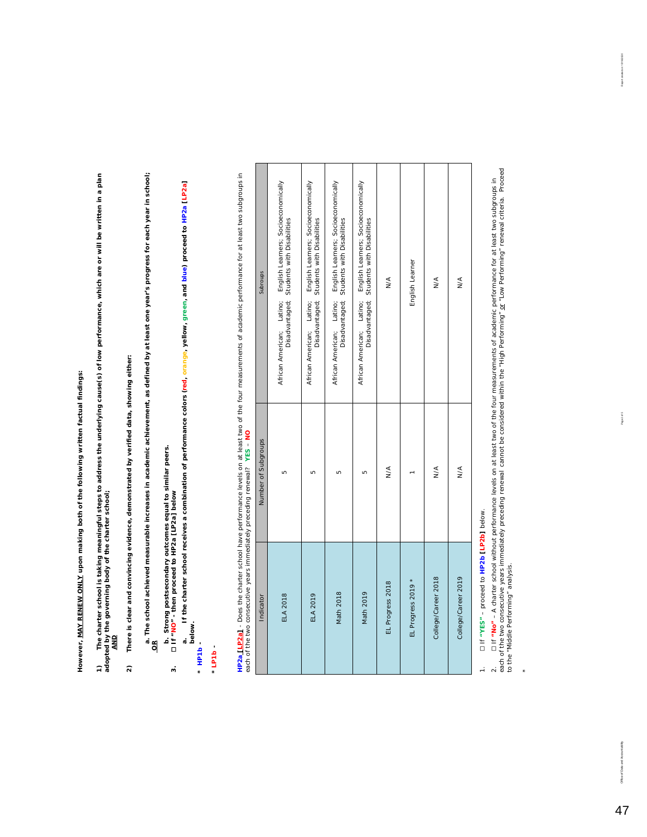However, MAY RENEW ONLY upon making both of the following written factual findings: **However, MAY RENEW ONLY upon making both of the following written factual findings:**

**1) The charter school is taking meaningful steps to address the underlying cause(s) of low performance, which are or will be written in a plan adopted by the governing body of the charter school;**  1) The charter school is taking meaningful steps to address the underlying cause(s) of low performance, which are or will be written in a plan<br>adopted by the governing body of the charter school;<br><u>AND</u>

There is clear and convincing evidence, demonstrated by verified data, showing either: **2) There is clear and convincing evidence, demonstrated by verified data, showing either:**  $\hat{z}$ 

**a. The school achieved measurable increases in academic achievement, as defined by at least one year's progress for each year in school;** a. The school achieved measurable increases in academic achievement, as defined by at least one year's progress for each year in school;<br><u>OR</u>

b. Strong postsecondary outcomes equal to similar peers.<br>
D If "NO" - then proceed to HP2a [LP2a] below **b. Strong postsecondary outcomes equal to similar peers. 3.** ☐ **If "NO" - then proceed to HP2a [LP2a] below**

**a. If the charter school receives a combination of performance colors (red, orange, yellow, green, and blue) proceed to HP2a [LP2a]**  a. If the charter school receives a combination of performance colors (red, orange, yellow, green, and blue) proceed to HP2a [LP2a]<br>below. **below.** 

**\****HP1b -* 

 $\ddot{ }$ 

*\*LP1b -* 

HP2a [LP2a] - Does the charter school have performance levels on at least two of the four measurements of academic performance for at least two subgroups in<br>each of the two consecutive years immediately preceding renewal? **HP2a [LP2a]** - *Does the charter school have performance levels on at least two of the four measurements of academic performance for at least two subgroups in each of the two consecutive years immediately preceding renewal?* **YES** – **NO**

 $\overline{\phantom{0}}$ 

┱

Τ

┱

Τ

Τ

Τ

Τ

|                      | Subroups            | African American; Latino; English Learners; Socioeconomically<br>Disadvantaged; Students with Disabilities | African American; Latino; English Learners; Socioeconomically<br>Disadvantaged; Students with Disabilities | African American; Latino; English Learners; Socioeconomically<br>Disadvantaged; Students with Disabilities | African American; Latino; English Learners; Socioeconomically<br>Disadvantaged; Students with Disabilities | $\frac{4}{2}$    | English Learner    | $\frac{4}{2}$       | $\frac{8}{2}$       |
|----------------------|---------------------|------------------------------------------------------------------------------------------------------------|------------------------------------------------------------------------------------------------------------|------------------------------------------------------------------------------------------------------------|------------------------------------------------------------------------------------------------------------|------------------|--------------------|---------------------|---------------------|
| $\ddot{\phantom{0}}$ | Number of Subgroups | Ю                                                                                                          | ١ю                                                                                                         | Ю                                                                                                          | ١ю                                                                                                         | $\frac{4}{2}$    |                    | $\frac{4}{2}$       | $\frac{8}{2}$       |
|                      | Indicator           | <b>ELA 2018</b>                                                                                            | <b>ELA 2019</b>                                                                                            | Math 2018                                                                                                  | Math 2019                                                                                                  | EL Progress 2018 | EL Progress 2019 * | College/Career 2018 | College/Career 2019 |

1. ☐ If **"YES"** – proceed to **HP2b [LP2b]** below. □ If "YES" - proceed to HP2b [LP2b] below.  $\frac{1}{\sqrt{2}}$ 

\*

2. [1 f "**No" – A** charter school without performance levels on at least two of the four measurements of academic performance for at least two subgroups in<br>each of the two consecutive years immediately preceding renewal ca *each of the two consecutive years immediately preceding renewal* cannot be considered within the "High Performing" or "Low Performing" renewal criteria. Proceed 2. ☐ If **"No"** – A charter school without *performance levels on at least two of the four measurements of academic performance for at least two subgroups in*  to the "Middle Performing" analysis.  $\frac{2}{3}$ 

nazaza **Report** construct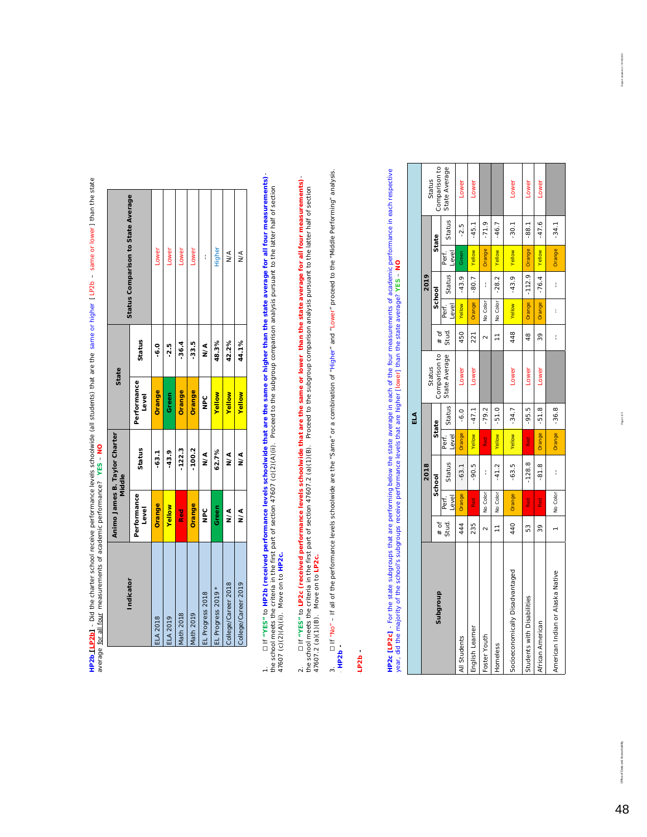HP2b <mark>LP2b]</mark> - Did the charter school receive performance levels schoolwide (all students) that are the same or higher [LP2b – same or lower] than the state<br>average <u>for all four</u> measurements of academic performance? YES **HP2b [LP2b]** - *Did the charter school receive performance levels schoolwide (all students) that are the same or higher [ LP2b – same or lower ] than the state average for all four measurements of academic performance?* **YES** – **NO**

1. [1 f "YES" to HP2b (received performance levels schoolwide that are the same or higher than the state average for all four measurements) -<br>the school meets the criteria in the first part of section 47607 (C)(2)( 1. ☐ If **"YES"** to **HP2b (received performance levels schoolwide that are the same or higher than the state average for all four measurements)**  the school meets the criteria in the first part of section 47607 (c)(2)(A)(ii). Proceed to the subgroup comparison analysis pursuant to the latter half of section 47607 (c)(2)(A)(ii). Move on to **HP2c.**

2. ☐ If **"YES"** to **LP2c (received performance levels schoolwide that are the same or lower than the state average for all four measurements)**- 2. [1] f "YES" to LP2c (received performance levels schoolwide that are the same or lower than the state average for all four measurements) -<br>the school meets the criteria in the first part of section 47607.2 (a)(1)(B). Pr the school meets the criteria in the first part of section 47607.2 (a)(1)(B). Proceed to the subgroup comparison analysis pursuant to the latter half of section 47607.2 (a)(1)(B). Move on to **LP2c.**

3. Dif "No" – If all of the performance levels schoolwide are the "Same" or a combination of "Higher" and "Lower" proceed to the "Middle Performing" analysis.<br>- HP2b -3. ☐ If "No" – If all of the performance levels schoolwide are the "Same" or a combination of "Higher" and "Lower" proceed to the "Middle Performing" analysis. \* *HP2b -* 

 $-920 -$ \**LP2b -*  **HP2c [LP2c]** - For the state subgroups that are performing below the state average in each of the four measurements of academic performance in each respective<br>year, did the majority of the school's subgroups receive perfo **HP2c [LP2c]** - For the state subgroups that are performing below the state average in each of the four measurements of academic performance in each respective year, did the majority of the school's subgroups receive performance levels that are higher [lower] than the state average? **YES** – **NO**

|                                  |                |                |          |                | ELA     |               |                |                |          |                |         |               |
|----------------------------------|----------------|----------------|----------|----------------|---------|---------------|----------------|----------------|----------|----------------|---------|---------------|
|                                  |                |                | 2018     |                |         | Status        |                |                | 2019     |                |         | Status        |
| dno.nbqns                        | $#$ of         |                | School   |                | State   | Comparison to | $#$ of         |                | School   |                | State   | Comparison to |
|                                  | Stud.          | Level<br>Perf. | Status   | Perf.<br>Level | Status  | State Average | Stud.          | Level<br>Perf. | Status   | Level<br>Perf. | Status  | State Average |
| All Students                     | 444            | Orange         | $-63.1$  | Orange         | $-6.0$  | Lower         | 450            | Yellow         | $-43.9$  | Green          | $-2.5$  | Lower         |
| English Learner                  | 235            | Red            | $-90.5$  | Yellow         | $-47.1$ | Lower         | 221            | Orange         | $-80.7$  | Yellow         | $-45.1$ | Lower         |
| Foster Youth                     | $\sim$         | No Color       | l        | Red<br>Red     | $-79.2$ |               | $\sim$         | No Color       | I        | Orange         | $-71.9$ |               |
| Homeless                         | $\overline{1}$ | No Color       | $-41.2$  | Yellow         | $-51.0$ |               | $\overline{1}$ | No Color       | $-28.2$  | Yellow         | $-46.7$ |               |
| Socioeconomically Disadvantaged  | 440            | Orange         | $-63.5$  | Yellow         | $-34.7$ | Lower         | 448            | Yellow         | $-43.9$  | Yellow         | $-30.1$ | Lower         |
| Students with Disabilities       | 53             | Red<br>Red     | $-128.8$ | Red<br>Red     | $-95.5$ | Lower         | 48             | Orange         | $-112.9$ | Orange         | $-88.1$ | Lower         |
| African American                 | 8              | Red            | $-81.8$  | Orange         | $-51.8$ | Lower         | 8              | Orange         | $-76.4$  | Yellow         | $-47.6$ | Lower         |
| American Indian or Alaska Native |                | No Color       | l        | Orange         | $-36.8$ |               | l              | ł              | j        | Orange         | $-34.1$ |               |

Report created on: 10/10/2020

Mice of Data and Ac-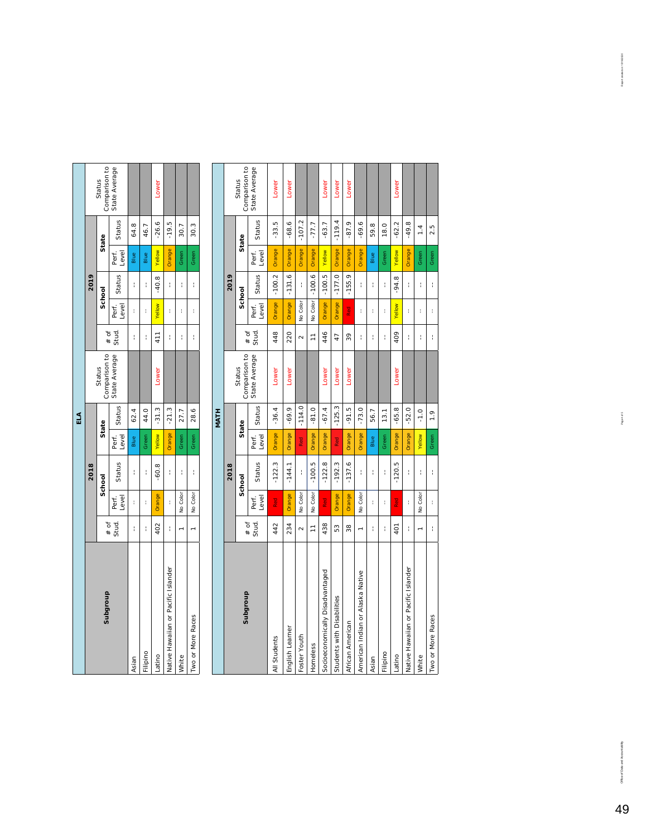|                                     |                 |                |               |                | $\mathbb{E}$ |                         |                 |                |          |                |                        |                         |
|-------------------------------------|-----------------|----------------|---------------|----------------|--------------|-------------------------|-----------------|----------------|----------|----------------|------------------------|-------------------------|
|                                     |                 |                | 2018          |                |              |                         |                 |                | 2019     |                |                        |                         |
| Subgroup                            | $#$ of          |                | School        |                | State        | Comparison to<br>Status | $\ddot{}$       | School         |          |                | State                  | Comparison to<br>Status |
|                                     | Stud.           | Perf.<br>Level | Status        | Level<br>Perf. | Status       | State Average           | đ<br>Stud.      | Level<br>Perf. | Status   | Perf.<br>Level | Status                 | State Average           |
| Asian                               | f,              | Ť.             | t             | Blue           | 62.4         |                         | t               | ŧ              | f,       | Blue           | 64.8                   |                         |
| Filipino                            | t               | f.             | t             | Green          | 44.0         |                         | ł               | f.             | t        | Blue           | 46.7                   |                         |
| Latino                              | 402             | Orange         | $-60.8$       | Yellow         | $-31.3$      | Lower                   | 411             | Yellow         | $-40.8$  | Yellow         | $-26.6$                | Lower                   |
| Native Hawaiian or Pacific Islander | ţ.              | ł.             | ţ.            | Orange         | $-21.3$      |                         | ţ.              | ł.             | f.       | Orange         | $-19.5$                |                         |
| White                               | $\overline{ }$  | No Color       | t             | Green          | 27.7         |                         | ł.              | ł.             | ŧ        | Green          | ↖<br>$\overline{30}$ . |                         |
| Two or More Races                   | $\overline{ }$  | No Color       | Ť             | Green          | 28.6         |                         | t               | ł              | Ť        | Green          | 30.3                   |                         |
|                                     |                 |                |               |                |              |                         |                 |                |          |                |                        |                         |
|                                     |                 |                |               |                | <b>MATH</b>  |                         |                 |                |          |                |                        |                         |
|                                     |                 |                | 2018          |                |              |                         |                 |                | 2019     |                |                        |                         |
| Subgroup                            |                 |                | School        |                | State        | Comparison to<br>Status |                 | School         |          |                | State                  | Comparison to<br>Status |
|                                     | $*$ of<br>Stud. | Level<br>Perf. | Status        | Level<br>Perf. | Status       | State Average           | $#$ of<br>Stud. | Level<br>Perf. | Status   | Level<br>Perf. | Status                 | State Average           |
| All Students                        | 442             | <b>Red</b>     | $-122.3$      | Orange         | $-36.4$      | Lower                   | 448             | Orange         | $-100.2$ | Orange         | rú<br>$-33.$           | Lower                   |
| English Learner                     | 234             | Orange         | $-144.1$      | Orange         | o<br>$-69.$  | Lower                   | 220             | Orange         | $-131.6$ | Orange         | $-68.6$                | Lower                   |
| Foster Youth                        | $\sim$          | No Color       | ł             | Red            | $-114.0$     |                         | $\sim$          | No Color       | ł        | Orange         | $-107.2$               |                         |
| Homeless                            | $\overline{1}$  | No Color       | $-100.5$      | Orange         | $-81.0$      |                         | Ξ               | No Color       | $-100.6$ | Orange         | $-77.7$                |                         |
| Socioeconomically Disadvantaged     | 438             | <b>Red</b>     | $-122.8$      | Orange         | $-67.4$      | Lower                   | 446             | Orange         | $-100.5$ | Yellow         | $-63.7$                | Lower                   |
| Students with Disabilities          | 53              | Orange         | $-192.3$      | Red            | $-125.3$     | Lower                   | $\ddot{t}$      | Orange         | $-177.0$ | Orange         | $-119.4$               | Lower                   |
| African American                    | 38              | Orange         | $-137.6$      | Orange         | $-91.5$      | Lower                   | 89              | Red<br>R       | $-155.9$ | Orange         | $-87.9$                | Lower                   |
| American Indian or Alaska Native    | $\overline{ }$  | No Color       | f.            | Orange         | $-73.0$      |                         | ł.              | ł.             | ţ.       | Orange         | $-69.6$                |                         |
| Asian                               | t               | ł.             | f,            | Blue           | 56.7         |                         | t               | Ť              | ŧ        | Blue           | 59.8                   |                         |
| Filipino                            | t               | t              | t             | Green          | 13.1         |                         | t               | f.             | f,       | Green          | 18.0                   |                         |
| Latino                              | 401             | Red<br>R       | Ю<br>$-120.5$ | Orange         | $-65.8$      | Lower                   | 409             | Yellow         | $-94.8$  | Yellow         | $-62.2$                | Lower                   |
| Native Hawaiian or Pacific Islander | ł.              | ţ.             | ţ.            | Orange         | $-52.0$      |                         | ţ.              | ţ.             | ţ.       | Orange         | $-49.8$                |                         |

 $\overline{1}$ 

No Color  $\mathfrak{t}$ 

 No Color -- Yellow -1.0 -- -- -- Green 1.4 -- -- -- Green 1.9 -- -- -- Green 2.5

 $1.4$ 

Green Green

 $\overline{\phantom{a}}$ 

 $\bar{1}$  $\mathfrak{t}$ 

 $\bar{1}$  $\bar{1}$ 

2.5

White None None Two or More Races None None

 $\frac{1}{2}$ 

Green

 $\bar{1}$ 

 $\mathfrak{t}$ 

Two or More Races White

 $\begin{array}{|c|c|c|}\n\hline\n\text{Yellow} & -1.0 \\
\hline\n\end{array}$  $1.9$  022201 Report created art 18

ability.

ffice of Data and Ac-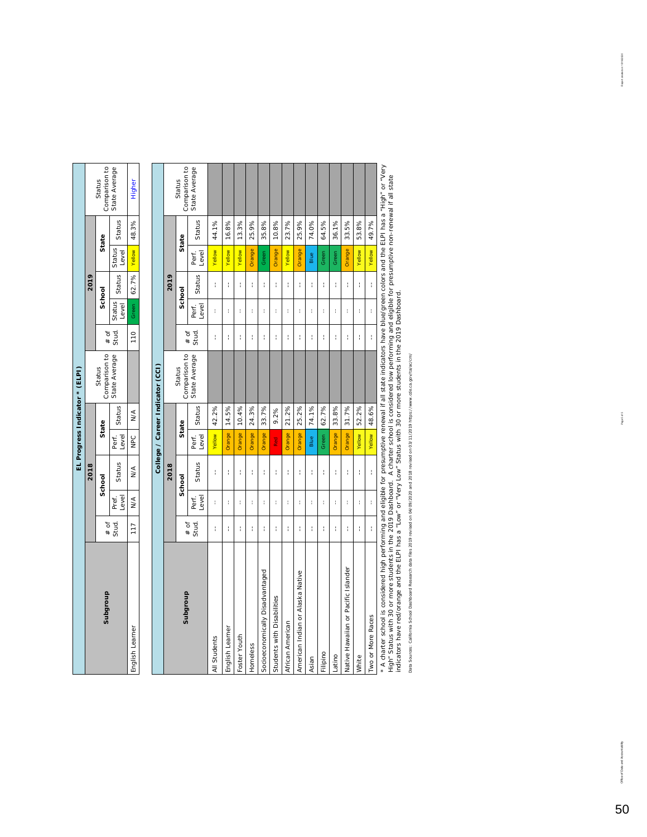|                                | 2019 | Status<br>State<br>School | Comparison to<br>State Average<br>Status status Status<br>Level Status Level Status | Higher<br>110 Green 62.7% Yellow 48.3% |                                  |  |
|--------------------------------|------|---------------------------|-------------------------------------------------------------------------------------|----------------------------------------|----------------------------------|--|
|                                |      | $#$ of                    |                                                                                     |                                        |                                  |  |
| EL Progress Indicator * (ELPI) |      | Comparison to  <br>Status | State Average Stud.                                                                 |                                        | College / Career Indicator (CCI) |  |
|                                |      | State                     | Perf. Status<br>Level Status                                                        |                                        |                                  |  |
|                                |      |                           |                                                                                     |                                        |                                  |  |
|                                | 2018 | School                    | Status                                                                              | N/A NPC NNA                            |                                  |  |
|                                |      |                           | Pref.<br>Level                                                                      | 117 N/A                                |                                  |  |
|                                |      | $#$ of                    | Stud.                                                                               |                                        |                                  |  |
|                                |      | dno.lbgns                 |                                                                                     | English Learner                        |                                  |  |

|                                     |                 |                |        |                |        | <b>こうしつ Internet I Internet Value)</b> |        |                |        |                |        |                         |
|-------------------------------------|-----------------|----------------|--------|----------------|--------|----------------------------------------|--------|----------------|--------|----------------|--------|-------------------------|
|                                     |                 |                | 2018   |                |        |                                        |        |                | 2019   |                |        |                         |
| <b>Subgroup</b>                     |                 |                | School |                | State  | Comparison to<br>Status                | $#$ of |                | School |                | State  | Comparison to<br>Status |
|                                     | $#$ of<br>Stud. | Level<br>Perf. | Status | Level<br>Perf. | Status | State Average                          | Stud.  | Level<br>Perf. | Status | Perf.<br>Level | Status | State Average           |
| All Students                        | ł               | t              | ł      | Yellow         | 42.2%  |                                        | ł      | ł              | ł      | Yellow         | 44.1%  |                         |
| English Learner                     | I               | ł              | ł      | Orange         | 14.5%  |                                        | ł      | ł              | ł      | Yellow         | 16.8%  |                         |
| Foster Youth                        | I               | ł              | ł      | Orange         | 10.4%  |                                        | ł      | ł              | ł      | Yellow         | 13.3%  |                         |
| Homeless                            | I               | t              | ł      | Orange         | 24.3%  |                                        | ł      | ł              | ł      | Orange         | 25.9%  |                         |
| Socioeconomically Disadvantaged     | ł               | ł              | ł      | Orange         | 33.7%  |                                        | ł      | ł              | ł      | Green          | 35.8%  |                         |
| Students with Disabilities          | ł               | ł              | ł      | Red            | 9.2%   |                                        | ł      | ł              | ł      | Orange         | 10.8%  |                         |
| African American                    | ł               | Í              | ł      | Orange         | 21.2%  |                                        | ł      | ł              | ł      | <b>Yellow</b>  | 23.7%  |                         |
| American Indian or Alaska Native    | I               | ł              | ł      | Orange         | 25.2%  |                                        | ł      | ł              | ł      | Orange         | 25.9%  |                         |
| Asian                               | ł               | ł              | ł      | Blue           | 74.1%  |                                        | ł      | ł              | ł      | Blue           | 74.0%  |                         |
| Filipino                            | ł               | ł              | ł      | Green          | 62.7%  |                                        | ł      | ł              | ł      | Green          | 64.5%  |                         |
| Latino                              | ł               | ł              | ł      | Orange         | 33.8%  |                                        | ł      | ł              | ł      | Green          | 36.1%  |                         |
| Native Hawaiian or Pacific Islander | I               | ł              | ł      | Orange         | 31.7%  |                                        | ł      | ł              | ł      | Orange         | 33.5%  |                         |
| White                               | I               | ł              | ł      | Yellow         | 52.2%  |                                        | ł      | ł              | ł      | Yellow         | 53.8%  |                         |
| Two or More Races                   | ł               | ł              | ł      | Yellow         | 48.6%  |                                        | ł      | ł              | ł      | Yellow         | 49.7%  |                         |
|                                     |                 |                |        |                |        |                                        |        |                |        |                |        |                         |

\* A charter school is considered high performing and eligible for presumptive renewal if all state indicators have blue/green colors and the ELPI has a "High" or "Very<br>High" Status with 30 or more students in the 2019 Dash \* A charter school is considered high performing and eligible for presumptive renewal if all state indicators have blue/green colors and the ELPI has a "High" or "Very High" Status with 30 or more students in the 2019 Dashboard. A charter school is considered low performing and eligible for presumptive non-renewal if all state indicators have red/orange and the ELPI has a "Low" or "Very Low" Status with 30 or more students in the 2019 Dashboard.

Data Sources: California School Dashboard Research data files 2019 revised on 04/09/2020 and 2018 revised on 03/11/2019 https://www.cde.ca.gov/ta/ac/cm/ Data Sources: California School Dashboard Research data files 2019 revised on 04/09/2020 and 2018 revised on 03/11/2019 https://www.cde.ca.gov/ta/ac/cm/

Report created on: 10/16/2020

shilly

Mice of Data and Ac